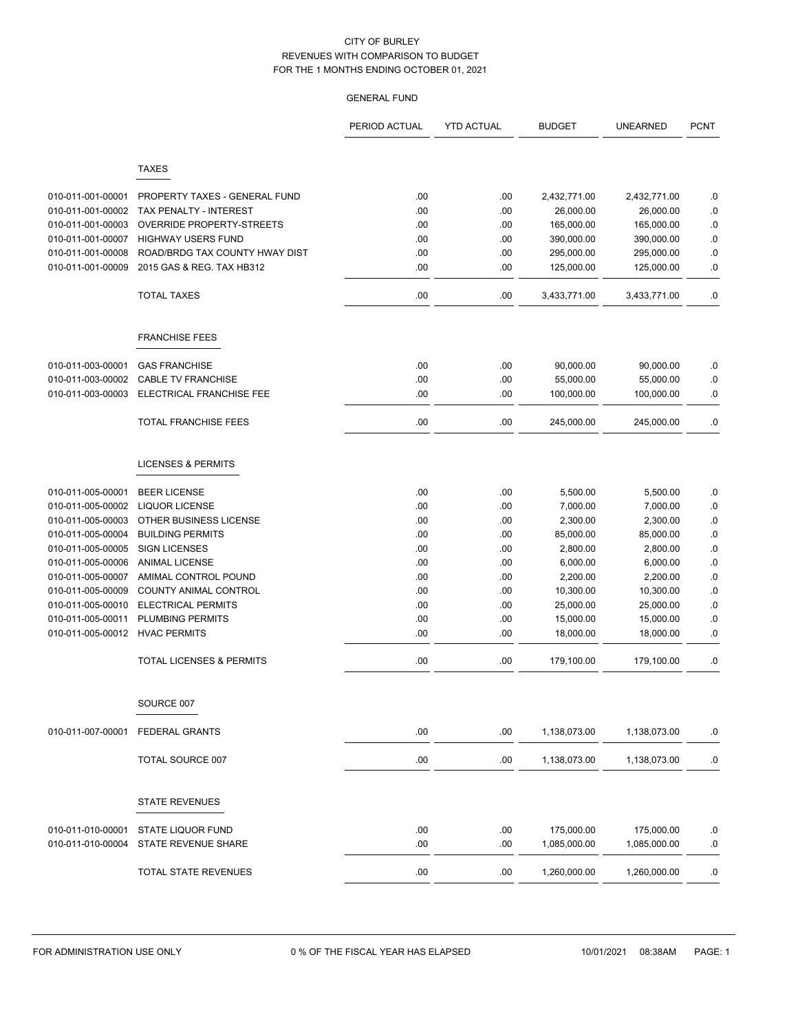| <b>TAXES</b>                                                                                                       |           |
|--------------------------------------------------------------------------------------------------------------------|-----------|
|                                                                                                                    |           |
|                                                                                                                    |           |
| 010-011-001-00001<br>.00<br>PROPERTY TAXES - GENERAL FUND<br>.00<br>2,432,771.00<br>2,432,771.00                   | .0        |
| .00<br>.00<br>010-011-001-00002<br>TAX PENALTY - INTEREST<br>26,000.00<br>26,000.00                                | .0        |
| OVERRIDE PROPERTY-STREETS<br>.00<br>.00<br>165,000.00<br>010-011-001-00003<br>165,000.00                           | $\cdot$ 0 |
| 010-011-001-00007<br><b>HIGHWAY USERS FUND</b><br>.00<br>.00<br>390,000.00<br>390,000.00                           | $\cdot$ 0 |
| 010-011-001-00008<br>ROAD/BRDG TAX COUNTY HWAY DIST<br>.00<br>.00<br>295,000.00<br>295,000.00                      | .0        |
| 010-011-001-00009<br>2015 GAS & REG. TAX HB312<br>.00<br>.00<br>125,000.00<br>125,000.00                           | 0.0       |
| <b>TOTAL TAXES</b><br>.00<br>.00<br>3,433,771.00<br>3,433,771.00                                                   | 0.        |
| <b>FRANCHISE FEES</b>                                                                                              |           |
| 010-011-003-00001<br><b>GAS FRANCHISE</b><br>.00                                                                   |           |
| .00<br>90,000.00<br>90,000.00<br>010-011-003-00002<br><b>CABLE TV FRANCHISE</b><br>55,000.00                       | .0        |
| .00<br>.00<br>55,000.00<br>ELECTRICAL FRANCHISE FEE<br>.00<br>010-011-003-00003<br>.00<br>100,000.00<br>100,000.00 | 0.<br>.0  |
|                                                                                                                    |           |
| <b>TOTAL FRANCHISE FEES</b><br>.00<br>.00<br>245,000.00<br>245,000.00                                              | .0        |
| <b>LICENSES &amp; PERMITS</b>                                                                                      |           |
| <b>BEER LICENSE</b><br>.00<br>.00<br>010-011-005-00001<br>5,500.00<br>5,500.00                                     | .0        |
| 010-011-005-00002<br><b>LIQUOR LICENSE</b><br>.00<br>.00<br>7,000.00<br>7,000.00                                   | $\cdot$ 0 |
| 010-011-005-00003<br>OTHER BUSINESS LICENSE<br>.00<br>.00<br>2,300.00<br>2,300.00                                  | $\cdot$ 0 |
| 010-011-005-00004<br><b>BUILDING PERMITS</b><br>.00<br>85,000.00<br>.00<br>85,000.00                               | $\cdot$ 0 |
| 010-011-005-00005<br><b>SIGN LICENSES</b><br>.00<br>.00<br>2,800.00<br>2,800.00                                    | $\cdot$ 0 |
| 010-011-005-00006<br>.00<br>.00<br>6,000.00<br><b>ANIMAL LICENSE</b><br>6,000.00                                   | .0        |
| 010-011-005-00007<br>AMIMAL CONTROL POUND<br>.00<br>.00<br>2,200.00<br>2,200.00                                    | $\cdot$ 0 |
| 010-011-005-00009<br>COUNTY ANIMAL CONTROL<br>.00<br>.00<br>10,300.00<br>10,300.00                                 | .0        |
| 010-011-005-00010<br><b>ELECTRICAL PERMITS</b><br>.00<br>.00<br>25,000.00<br>25,000.00                             | $\cdot$ 0 |
| 010-011-005-00011<br><b>PLUMBING PERMITS</b><br>.00<br>.00<br>15,000.00<br>15,000.00                               | .0        |
| 010-011-005-00012<br><b>HVAC PERMITS</b><br>.00<br>.00<br>18,000.00<br>18,000.00                                   | .0        |
| <b>TOTAL LICENSES &amp; PERMITS</b><br>.00<br>.00<br>179,100.00<br>179,100.00                                      | .0        |
| SOURCE 007                                                                                                         |           |
| <b>FEDERAL GRANTS</b><br>.00<br>.00<br>010-011-007-00001<br>1,138,073.00<br>1,138,073.00                           | .0        |
| TOTAL SOURCE 007<br>.00<br>.00<br>1,138,073.00<br>1,138,073.00                                                     | .0        |
|                                                                                                                    |           |
| <b>STATE REVENUES</b>                                                                                              |           |
| 010-011-010-00001<br>STATE LIQUOR FUND<br>175,000.00<br>175,000.00<br>.00.<br>.00                                  | .0        |
| 010-011-010-00004<br>STATE REVENUE SHARE<br>.00<br>.00<br>1,085,000.00<br>1,085,000.00                             | $\cdot$ 0 |
| TOTAL STATE REVENUES<br>.00<br>.00.<br>1,260,000.00<br>1,260,000.00                                                | .0        |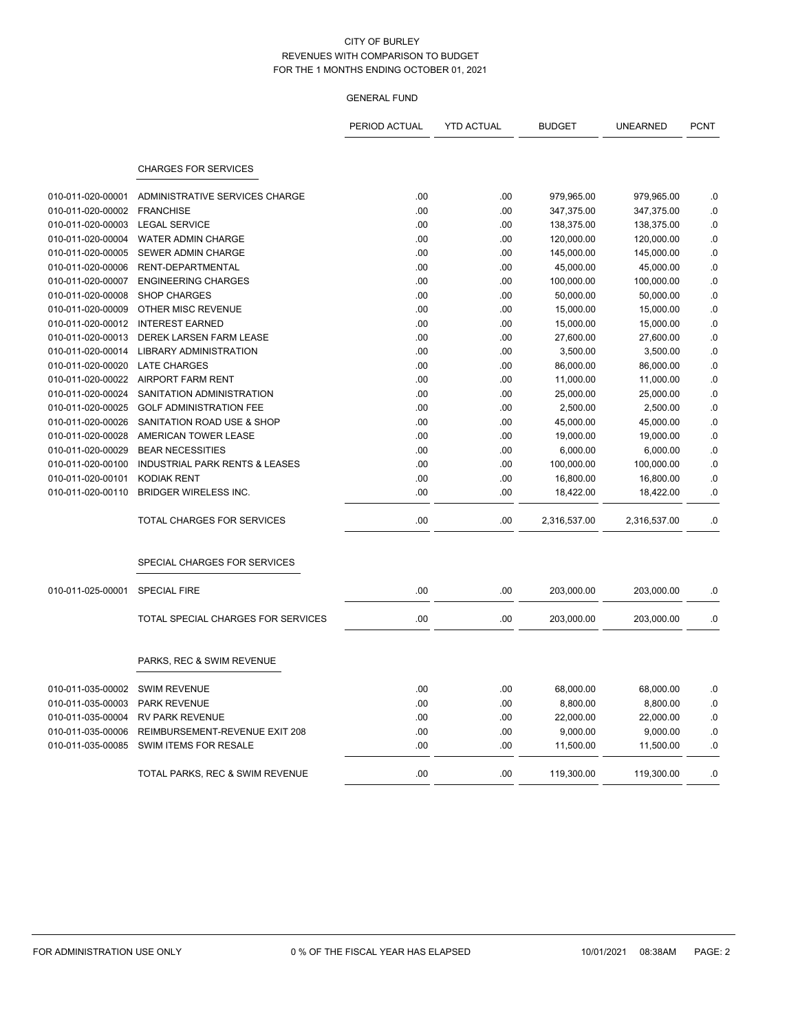|                   |                                           | PERIOD ACTUAL | <b>YTD ACTUAL</b> | <b>BUDGET</b> | <b>UNEARNED</b> | <b>PCNT</b> |
|-------------------|-------------------------------------------|---------------|-------------------|---------------|-----------------|-------------|
|                   | <b>CHARGES FOR SERVICES</b>               |               |                   |               |                 |             |
| 010-011-020-00001 | ADMINISTRATIVE SERVICES CHARGE            | .00           | .00               | 979,965.00    | 979,965.00      | .0          |
| 010-011-020-00002 | <b>FRANCHISE</b>                          | .00           | .00               | 347,375.00    | 347,375.00      | .0          |
| 010-011-020-00003 | <b>LEGAL SERVICE</b>                      | .00           | .00               | 138,375.00    | 138,375.00      | .0          |
| 010-011-020-00004 | WATER ADMIN CHARGE                        | .00           | .00               | 120,000.00    | 120,000.00      | .0          |
| 010-011-020-00005 | <b>SEWER ADMIN CHARGE</b>                 | .00           | .00               | 145,000.00    | 145,000.00      | .0          |
| 010-011-020-00006 | RENT-DEPARTMENTAL                         | .00           | .00               | 45,000.00     | 45,000.00       | .0          |
| 010-011-020-00007 | <b>ENGINEERING CHARGES</b>                | .00           | .00               | 100,000.00    | 100,000.00      | .0          |
| 010-011-020-00008 | <b>SHOP CHARGES</b>                       | .00           | .00               | 50,000.00     | 50,000.00       | .0          |
| 010-011-020-00009 | OTHER MISC REVENUE                        | .00           | .00               | 15,000.00     | 15,000.00       | .0          |
| 010-011-020-00012 | <b>INTEREST EARNED</b>                    | .00           | .00               | 15,000.00     | 15,000.00       | 0.0         |
| 010-011-020-00013 | <b>DEREK LARSEN FARM LEASE</b>            | .00           | .00               | 27,600.00     | 27,600.00       | .0          |
| 010-011-020-00014 | <b>LIBRARY ADMINISTRATION</b>             | .00           | .00               | 3,500.00      | 3,500.00        | .0          |
| 010-011-020-00020 | <b>LATE CHARGES</b>                       | .00           | .00               | 86,000.00     | 86,000.00       | .0          |
| 010-011-020-00022 | AIRPORT FARM RENT                         | .00           | .00               | 11,000.00     | 11,000.00       | .0          |
| 010-011-020-00024 | SANITATION ADMINISTRATION                 | .00           | .00               | 25,000.00     | 25,000.00       | .0          |
| 010-011-020-00025 | <b>GOLF ADMINISTRATION FEE</b>            | .00           | .00               | 2,500.00      | 2,500.00        | .0          |
| 010-011-020-00026 | SANITATION ROAD USE & SHOP                | .00           | .00               | 45,000.00     | 45,000.00       | .0          |
| 010-011-020-00028 | AMERICAN TOWER LEASE                      | .00           | .00               | 19,000.00     | 19,000.00       | .0          |
| 010-011-020-00029 | <b>BEAR NECESSITIES</b>                   | .00.          | .00               | 6,000.00      | 6,000.00        | 0.0         |
| 010-011-020-00100 | <b>INDUSTRIAL PARK RENTS &amp; LEASES</b> | .00           | .00               | 100,000.00    | 100,000.00      | .0          |
| 010-011-020-00101 | <b>KODIAK RENT</b>                        | .00           | .00               | 16,800.00     | 16,800.00       | 0.0         |
| 010-011-020-00110 | <b>BRIDGER WIRELESS INC.</b>              | .00           | .00               | 18,422.00     | 18,422.00       | .0          |
|                   | TOTAL CHARGES FOR SERVICES                | .00           | .00               | 2,316,537.00  | 2,316,537.00    | .0          |
|                   | SPECIAL CHARGES FOR SERVICES              |               |                   |               |                 |             |
| 010-011-025-00001 | <b>SPECIAL FIRE</b>                       | .00           | .00               | 203,000.00    | 203,000.00      | .0          |
|                   | TOTAL SPECIAL CHARGES FOR SERVICES        | .00           | .00               | 203,000.00    | 203,000.00      | 0.0         |
|                   | PARKS, REC & SWIM REVENUE                 |               |                   |               |                 |             |
| 010-011-035-00002 | <b>SWIM REVENUE</b>                       | .00           | .00               | 68,000.00     | 68,000.00       | .0          |
| 010-011-035-00003 | <b>PARK REVENUE</b>                       | .00           | .00               | 8,800.00      | 8,800.00        | .0          |
| 010-011-035-00004 | <b>RV PARK REVENUE</b>                    | .00           | .00               | 22,000.00     | 22,000.00       | .0          |
| 010-011-035-00006 | REIMBURSEMENT-REVENUE EXIT 208            | .00           | .00               | 9,000.00      | 9,000.00        | .0          |
| 010-011-035-00085 | SWIM ITEMS FOR RESALE                     | .00           | .00               | 11,500.00     | 11,500.00       | .0          |
|                   | TOTAL PARKS, REC & SWIM REVENUE           | .00           | .00               | 119,300.00    | 119,300.00      | 0.          |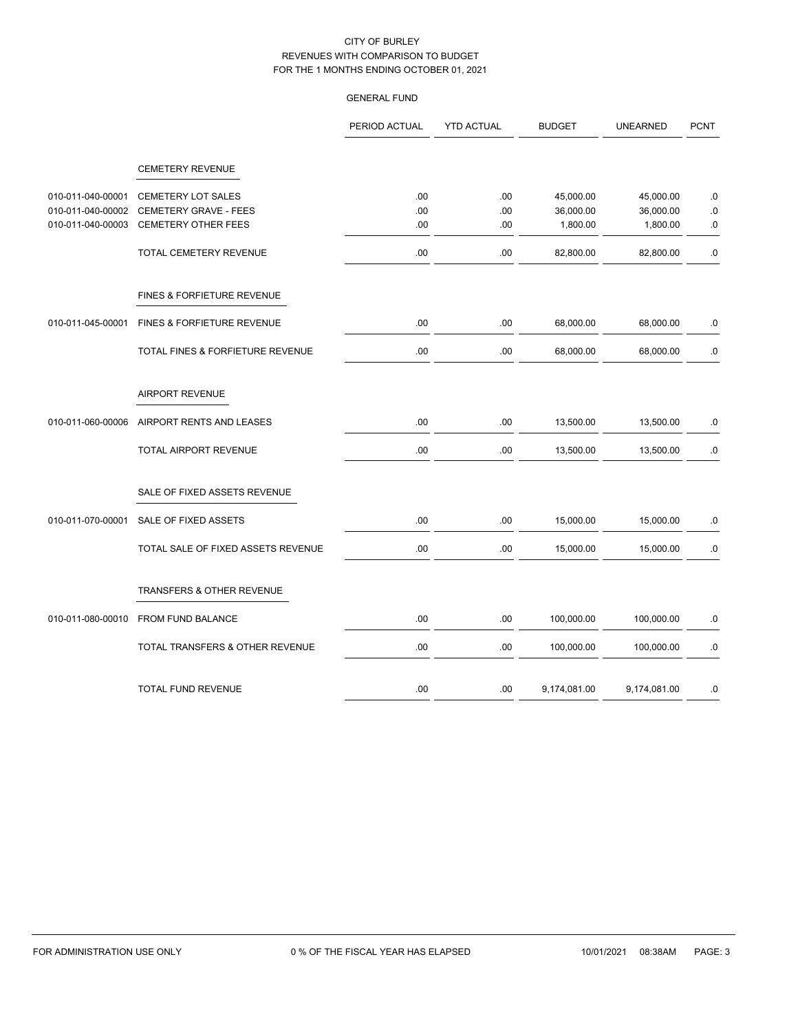|                                        |                                                    | PERIOD ACTUAL | <b>YTD ACTUAL</b> | <b>BUDGET</b>          | <b>UNEARNED</b>        | <b>PCNT</b>            |
|----------------------------------------|----------------------------------------------------|---------------|-------------------|------------------------|------------------------|------------------------|
|                                        | <b>CEMETERY REVENUE</b>                            |               |                   |                        |                        |                        |
|                                        |                                                    |               |                   |                        |                        |                        |
| 010-011-040-00001<br>010-011-040-00002 | <b>CEMETERY LOT SALES</b><br>CEMETERY GRAVE - FEES | .00<br>.00.   | .00<br>.00        | 45,000.00<br>36,000.00 | 45,000.00<br>36,000.00 | $\cdot$ 0<br>$\cdot$ 0 |
| 010-011-040-00003                      | CEMETERY OTHER FEES                                | .00           | .00               | 1,800.00               | 1,800.00               | .0                     |
|                                        | TOTAL CEMETERY REVENUE                             | .00           | .00               | 82,800.00              | 82,800.00              | .0                     |
|                                        | FINES & FORFIETURE REVENUE                         |               |                   |                        |                        |                        |
| 010-011-045-00001                      | FINES & FORFIETURE REVENUE                         | .00           | .00               | 68,000.00              | 68,000.00              | .0                     |
|                                        | <b>TOTAL FINES &amp; FORFIETURE REVENUE</b>        | .00           | .00               | 68,000.00              | 68,000.00              | .0                     |
|                                        | <b>AIRPORT REVENUE</b>                             |               |                   |                        |                        |                        |
| 010-011-060-00006                      | AIRPORT RENTS AND LEASES                           | .00           | .00               | 13,500.00              | 13,500.00              | 0.0                    |
|                                        | TOTAL AIRPORT REVENUE                              | .00           | .00               | 13,500.00              | 13,500.00              | ${\bf .0}$             |
|                                        | SALE OF FIXED ASSETS REVENUE                       |               |                   |                        |                        |                        |
| 010-011-070-00001                      | SALE OF FIXED ASSETS                               | .00           | .00               | 15,000.00              | 15,000.00              | 0.                     |
|                                        | TOTAL SALE OF FIXED ASSETS REVENUE                 | .00           | .00               | 15,000.00              | 15,000.00              | .0                     |
|                                        | TRANSFERS & OTHER REVENUE                          |               |                   |                        |                        |                        |
| 010-011-080-00010                      | FROM FUND BALANCE                                  | .00           | .00               | 100,000.00             | 100,000.00             | .0                     |
|                                        | TOTAL TRANSFERS & OTHER REVENUE                    | .00           | .00               | 100,000.00             | 100,000.00             | 0.                     |
|                                        | TOTAL FUND REVENUE                                 | .00           | .00               | 9,174,081.00           | 9,174,081.00           | .0                     |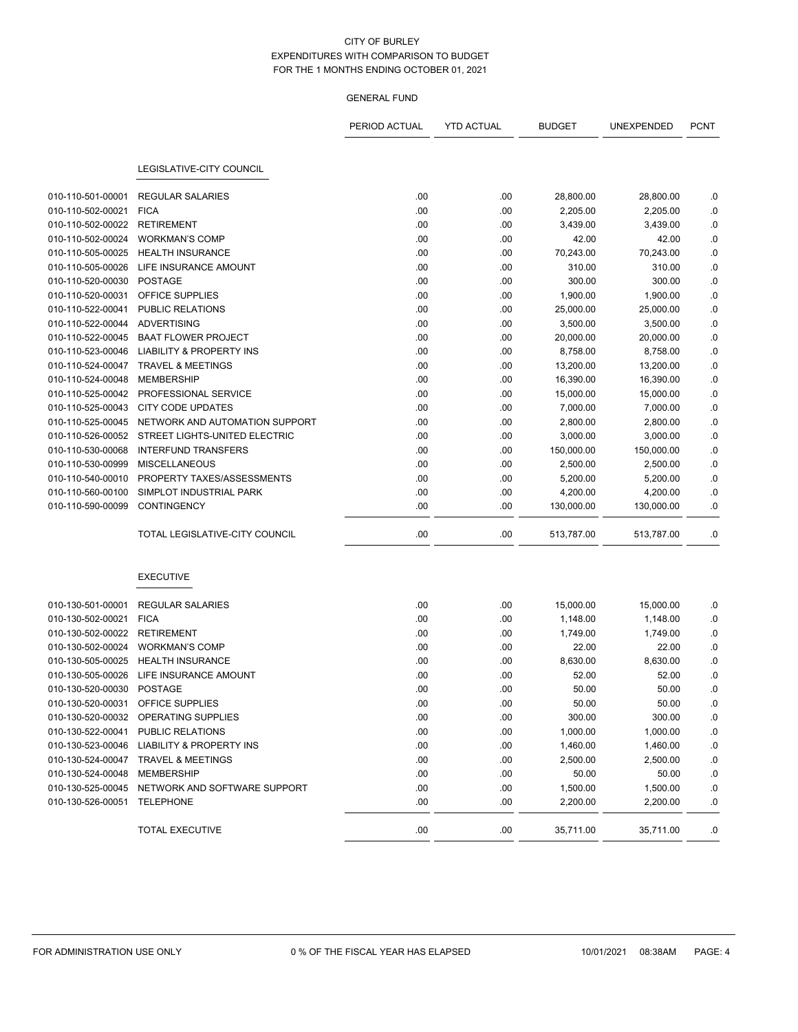|                              |                                                 | PERIOD ACTUAL | <b>YTD ACTUAL</b> | <b>BUDGET</b> | UNEXPENDED | <b>PCNT</b> |
|------------------------------|-------------------------------------------------|---------------|-------------------|---------------|------------|-------------|
|                              |                                                 |               |                   |               |            |             |
|                              | LEGISLATIVE-CITY COUNCIL                        |               |                   |               |            |             |
| 010-110-501-00001            | <b>REGULAR SALARIES</b>                         | .00           | .00               | 28,800.00     | 28,800.00  | .0          |
| 010-110-502-00021            | <b>FICA</b>                                     | .00           | .00               | 2,205.00      | 2,205.00   | .0          |
| 010-110-502-00022 RETIREMENT |                                                 | .00           | .00               | 3,439.00      | 3,439.00   | .0          |
| 010-110-502-00024            | <b>WORKMAN'S COMP</b>                           | .00           | .00               | 42.00         | 42.00      | .0          |
| 010-110-505-00025            | <b>HEALTH INSURANCE</b>                         | .00           | .00               | 70,243.00     | 70,243.00  | $\cdot$ 0   |
| 010-110-505-00026            | LIFE INSURANCE AMOUNT                           | .00           | .00               | 310.00        | 310.00     | .0          |
| 010-110-520-00030            | <b>POSTAGE</b>                                  | .00           | .00               | 300.00        | 300.00     | .0          |
| 010-110-520-00031            | OFFICE SUPPLIES                                 | .00           | .00               | 1,900.00      | 1,900.00   | $\cdot$ 0   |
| 010-110-522-00041            | PUBLIC RELATIONS                                | .00           | .00               | 25,000.00     | 25,000.00  | .0          |
| 010-110-522-00044            | ADVERTISING                                     | .00           | .00               | 3,500.00      | 3,500.00   | 0.0         |
| 010-110-522-00045            | <b>BAAT FLOWER PROJECT</b>                      | .00           | .00               | 20,000.00     | 20,000.00  | .0          |
| 010-110-523-00046            | <b>LIABILITY &amp; PROPERTY INS</b>             | .00           | .00               | 8,758.00      | 8,758.00   | .0          |
| 010-110-524-00047            | <b>TRAVEL &amp; MEETINGS</b>                    | .00           | .00               | 13,200.00     | 13,200.00  | $\cdot$ 0   |
| 010-110-524-00048            | <b>MEMBERSHIP</b>                               | .00           | .00               | 16,390.00     | 16,390.00  | .0          |
| 010-110-525-00042            | PROFESSIONAL SERVICE                            | .00           | .00               | 15,000.00     | 15,000.00  | $\cdot$ 0   |
| 010-110-525-00043            | <b>CITY CODE UPDATES</b>                        | .00           | .00               | 7,000.00      | 7,000.00   | $\cdot$ 0   |
| 010-110-525-00045            | NETWORK AND AUTOMATION SUPPORT                  | .00           | .00               | 2,800.00      | 2,800.00   | .0          |
|                              | 010-110-526-00052 STREET LIGHTS-UNITED ELECTRIC | .00           | .00               | 3,000.00      | 3,000.00   | .0          |
| 010-110-530-00068            | <b>INTERFUND TRANSFERS</b>                      | .00           | .00               | 150,000.00    | 150,000.00 | .0          |
| 010-110-530-00999            | <b>MISCELLANEOUS</b>                            | .00           | .00               | 2,500.00      | 2,500.00   | .0          |
| 010-110-540-00010            | PROPERTY TAXES/ASSESSMENTS                      | .00           | .00               | 5,200.00      | 5,200.00   | .0          |
| 010-110-560-00100            | SIMPLOT INDUSTRIAL PARK                         | .00           | .00               | 4,200.00      | 4,200.00   | .0          |
| 010-110-590-00099            | <b>CONTINGENCY</b>                              | .00           | .00.              | 130,000.00    | 130,000.00 | .0          |
|                              | TOTAL LEGISLATIVE-CITY COUNCIL                  | .00           | .00               | 513,787.00    | 513,787.00 | .0          |
|                              |                                                 |               |                   |               |            |             |
|                              | <b>EXECUTIVE</b>                                |               |                   |               |            |             |
| 010-130-501-00001            | <b>REGULAR SALARIES</b>                         | .00           | .00               | 15,000.00     | 15,000.00  | .0          |
| 010-130-502-00021            | <b>FICA</b>                                     | .00           | .00               | 1,148.00      | 1,148.00   | .0          |
| 010-130-502-00022            | <b>RETIREMENT</b>                               | .00           | .00               | 1,749.00      | 1,749.00   | .0          |
| 010-130-502-00024            | <b>WORKMAN'S COMP</b>                           | .00           | .00               | 22.00         | 22.00      | .0          |
| 010-130-505-00025            | <b>HEALTH INSURANCE</b>                         | .00           | .00               | 8,630.00      | 8,630.00   | .0          |
| 010-130-505-00026            | LIFE INSURANCE AMOUNT                           | .00           | .00               | 52.00         | 52.00      | .0          |
| 010-130-520-00030            | POSTAGE                                         | .00           | .00               | 50.00         | 50.00      | .0          |
| 010-130-520-00031            | OFFICE SUPPLIES                                 | .00           | .00               | 50.00         | 50.00      | 0.          |
|                              | 010-130-520-00032 OPERATING SUPPLIES            | .00           | .00               | 300.00        | 300.00     | $\cdot$     |
|                              | 010-130-522-00041 PUBLIC RELATIONS              | .00           | .00               | 1,000.00      | 1,000.00   | .0          |
|                              | 010-130-523-00046 LIABILITY & PROPERTY INS      | .00           | .00               | 1,460.00      | 1,460.00   | .0          |
|                              | 010-130-524-00047 TRAVEL & MEETINGS             | .00           | .00               | 2,500.00      | 2,500.00   | .0          |
| 010-130-524-00048            | MEMBERSHIP                                      | .00           | .00               | 50.00         | 50.00      | .0          |
|                              | 010-130-525-00045 NETWORK AND SOFTWARE SUPPORT  | .00           | .00               | 1,500.00      | 1,500.00   | .0          |
| 010-130-526-00051            | <b>TELEPHONE</b>                                | .00           | .00               | 2,200.00      | 2,200.00   | .0          |
|                              |                                                 |               |                   |               |            |             |
|                              | TOTAL EXECUTIVE                                 | .00           | .00.              | 35,711.00     | 35,711.00  | .0          |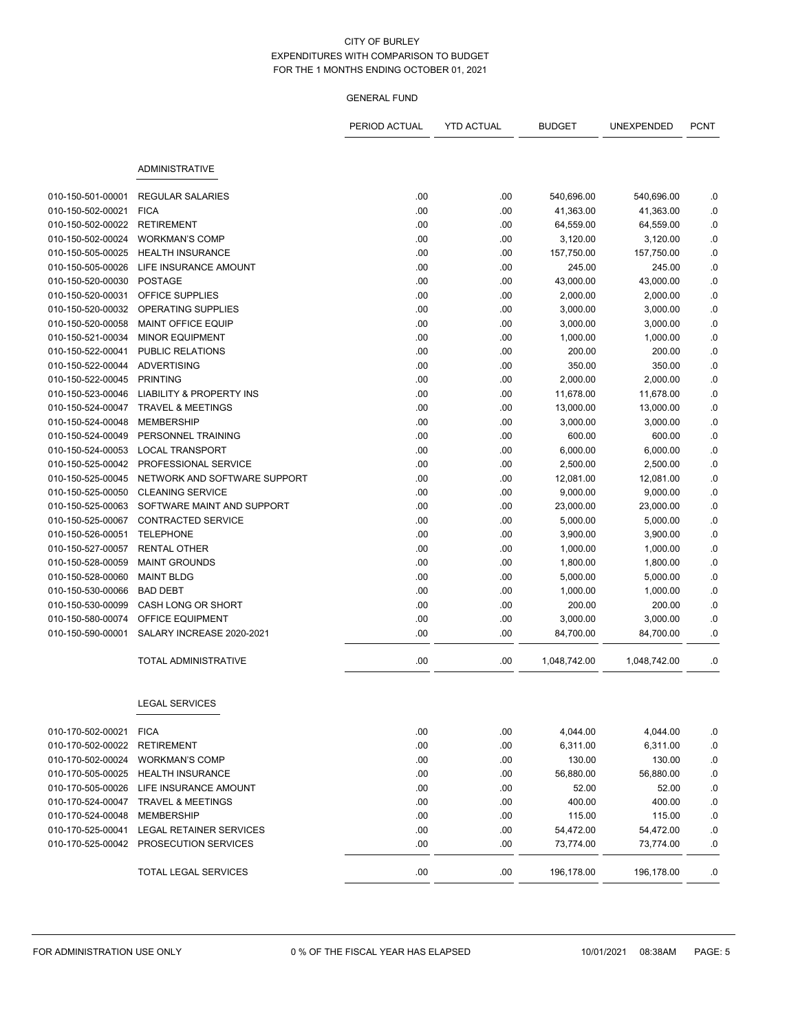| <b>ADMINISTRATIVE</b><br>010-150-501-00001<br><b>REGULAR SALARIES</b><br>.00<br>.00<br>540,696.00<br>.00<br>.00<br>010-150-502-00021<br><b>FICA</b><br>41,363.00 | 540,696.00<br>41,363.00<br>64,559.00<br>3,120.00 | .0<br>.0  |
|------------------------------------------------------------------------------------------------------------------------------------------------------------------|--------------------------------------------------|-----------|
|                                                                                                                                                                  |                                                  |           |
|                                                                                                                                                                  |                                                  |           |
|                                                                                                                                                                  |                                                  |           |
|                                                                                                                                                                  |                                                  |           |
| 010-150-502-00022<br><b>RETIREMENT</b><br>.00<br>.00<br>64,559.00                                                                                                |                                                  | .0        |
| 010-150-502-00024<br><b>WORKMAN'S COMP</b><br>.00<br>.00<br>3,120.00                                                                                             |                                                  | .0        |
| 010-150-505-00025<br><b>HEALTH INSURANCE</b><br>.00<br>.00<br>157,750.00                                                                                         | 157,750.00                                       | $\cdot$ 0 |
| 010-150-505-00026<br>LIFE INSURANCE AMOUNT<br>.00<br>.00<br>245.00                                                                                               | 245.00                                           | .0        |
| 010-150-520-00030<br><b>POSTAGE</b><br>.00<br>.00<br>43,000.00                                                                                                   | 43,000.00                                        | .0        |
| <b>OFFICE SUPPLIES</b><br>010-150-520-00031<br>.00<br>.00<br>2,000.00                                                                                            | 2,000.00                                         | .0        |
| 010-150-520-00032<br>OPERATING SUPPLIES<br>.00<br>.00<br>3,000.00                                                                                                | 3,000.00                                         | .0        |
| 010-150-520-00058<br>MAINT OFFICE EQUIP<br>.00<br>.00<br>3,000.00                                                                                                | 3,000.00                                         | $\cdot$ 0 |
| 010-150-521-00034<br><b>MINOR EQUIPMENT</b><br>.00<br>.00<br>1,000.00                                                                                            | 1,000.00                                         | .0        |
| 010-150-522-00041<br>PUBLIC RELATIONS<br>.00<br>.00<br>200.00                                                                                                    | 200.00                                           | .0        |
| ADVERTISING<br>010-150-522-00044<br>.00<br>.00<br>350.00                                                                                                         | 350.00                                           | .0        |
| 010-150-522-00045<br><b>PRINTING</b><br>.00<br>2,000.00<br>.00                                                                                                   | 2,000.00                                         | .0        |
| <b>LIABILITY &amp; PROPERTY INS</b><br>010-150-523-00046<br>.00<br>.00<br>11,678.00                                                                              | 11,678.00                                        | .0        |
| TRAVEL & MEETINGS<br>010-150-524-00047<br>.00<br>.00<br>13,000.00                                                                                                | 13,000.00                                        | .0        |
| .00<br>.00<br>010-150-524-00048<br><b>MEMBERSHIP</b><br>3,000.00                                                                                                 | 3,000.00                                         | .0        |
| PERSONNEL TRAINING<br>.00<br>600.00<br>010-150-524-00049<br>.00                                                                                                  | 600.00                                           | .0        |
| 010-150-524-00053<br><b>LOCAL TRANSPORT</b><br>.00<br>.00<br>6,000.00                                                                                            | 6,000.00                                         | 0.0       |
| 010-150-525-00042 PROFESSIONAL SERVICE<br>.00<br>.00<br>2,500.00                                                                                                 | 2,500.00                                         | $\cdot$ 0 |
| NETWORK AND SOFTWARE SUPPORT<br>010-150-525-00045<br>.00<br>.00<br>12,081.00                                                                                     | 12,081.00                                        | .0        |
| .00<br>010-150-525-00050<br><b>CLEANING SERVICE</b><br>.00<br>9,000.00                                                                                           | 9,000.00                                         | .0        |
| 010-150-525-00063<br>SOFTWARE MAINT AND SUPPORT<br>.00<br>.00<br>23,000.00                                                                                       | 23,000.00                                        | .0        |
| 010-150-525-00067<br><b>CONTRACTED SERVICE</b><br>.00<br>.00<br>5,000.00                                                                                         | 5,000.00                                         | .0        |
| 010-150-526-00051<br><b>TELEPHONE</b><br>.00<br>.00<br>3,900.00                                                                                                  | 3,900.00                                         | .0        |
| <b>RENTAL OTHER</b><br>010-150-527-00057<br>.00<br>.00<br>1,000.00                                                                                               | 1,000.00                                         | .0        |
| 010-150-528-00059<br><b>MAINT GROUNDS</b><br>.00<br>.00<br>1,800.00                                                                                              | 1,800.00                                         | .0        |
| 010-150-528-00060<br><b>MAINT BLDG</b><br>.00<br>.00<br>5,000.00                                                                                                 | 5,000.00                                         | .0        |
| 010-150-530-00066<br><b>BAD DEBT</b><br>.00<br>.00<br>1,000.00                                                                                                   | 1,000.00                                         | .0        |
| 010-150-530-00099<br>CASH LONG OR SHORT<br>.00<br>.00<br>200.00                                                                                                  | 200.00                                           | $\cdot$   |
| 010-150-580-00074<br>OFFICE EQUIPMENT<br>.00<br>.00<br>3,000.00                                                                                                  | 3,000.00                                         | .0        |
| .00<br>010-150-590-00001<br>SALARY INCREASE 2020-2021<br>.00<br>84,700.00                                                                                        | 84,700.00                                        | .0        |
| TOTAL ADMINISTRATIVE<br>.00<br>.00<br>1,048,742.00                                                                                                               | 1,048,742.00                                     | .0        |
| <b>LEGAL SERVICES</b>                                                                                                                                            |                                                  |           |
| 010-170-502-00021 FICA<br>.00<br>.00<br>4,044.00                                                                                                                 | 4,044.00                                         | .0        |
| <b>RETIREMENT</b><br>.00<br>.00<br>010-170-502-00022<br>6,311.00                                                                                                 | 6,311.00                                         | 0.        |
| 010-170-502-00024<br><b>WORKMAN'S COMP</b><br>.00<br>.00<br>130.00                                                                                               | 130.00                                           | .0        |
| 010-170-505-00025<br><b>HEALTH INSURANCE</b><br>.00<br>.00<br>56,880.00                                                                                          | 56,880.00                                        | .0        |
| 52.00<br>010-170-505-00026<br>LIFE INSURANCE AMOUNT<br>.00<br>.00                                                                                                | 52.00                                            | .0        |
| 010-170-524-00047<br>.00<br>.00<br>400.00<br><b>TRAVEL &amp; MEETINGS</b>                                                                                        | 400.00                                           | .0        |
| 010-170-524-00048<br><b>MEMBERSHIP</b><br>.00<br>.00<br>115.00                                                                                                   | 115.00                                           | .0        |
| 010-170-525-00041<br>LEGAL RETAINER SERVICES<br>.00.<br>.00<br>54,472.00                                                                                         | 54,472.00                                        | .0        |
| 010-170-525-00042<br>PROSECUTION SERVICES<br>.00<br>.00<br>73,774.00                                                                                             | 73,774.00                                        | .0        |
| .00<br>.00<br>196,178.00<br><b>TOTAL LEGAL SERVICES</b>                                                                                                          | 196,178.00                                       | .0        |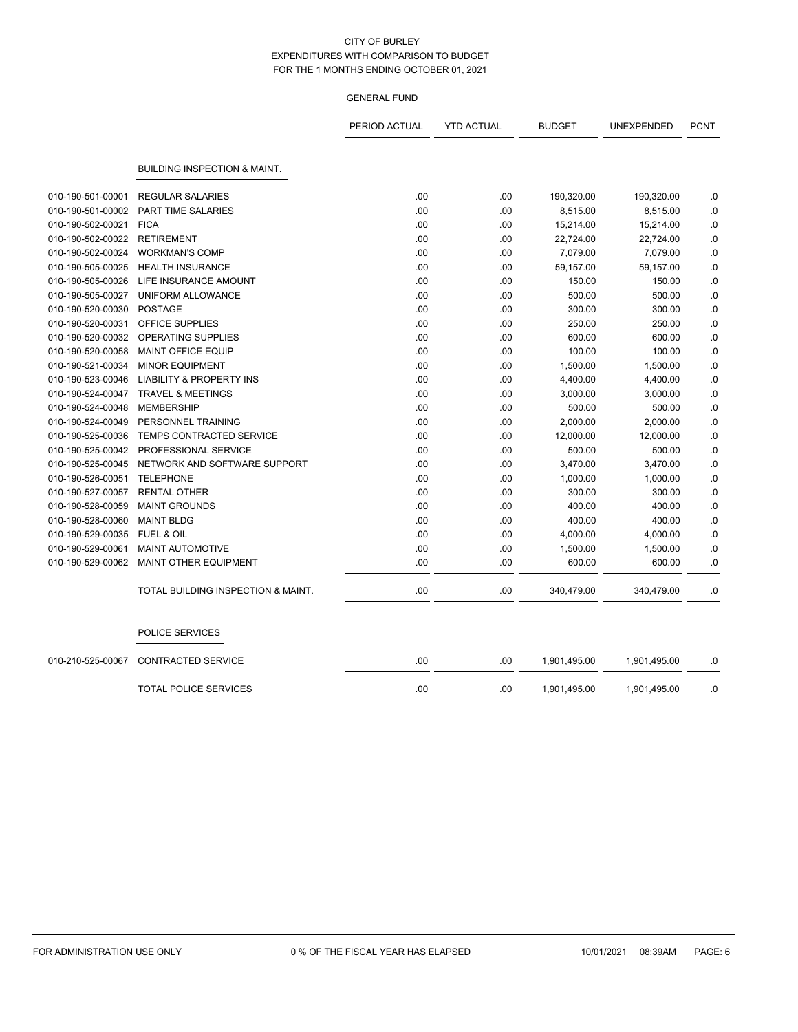|                   |                                         | PERIOD ACTUAL | <b>YTD ACTUAL</b> | <b>BUDGET</b> | UNEXPENDED   | <b>PCNT</b> |
|-------------------|-----------------------------------------|---------------|-------------------|---------------|--------------|-------------|
|                   | <b>BUILDING INSPECTION &amp; MAINT.</b> |               |                   |               |              |             |
|                   |                                         |               |                   |               |              |             |
| 010-190-501-00001 | <b>REGULAR SALARIES</b>                 | .00           | .00               | 190,320.00    | 190,320.00   | .0          |
| 010-190-501-00002 | <b>PART TIME SALARIES</b>               | .00           | .00               | 8,515.00      | 8,515.00     | .0          |
| 010-190-502-00021 | <b>FICA</b>                             | .00           | .00               | 15,214.00     | 15,214.00    | .0          |
| 010-190-502-00022 | <b>RETIREMENT</b>                       | .00           | .00               | 22,724.00     | 22,724.00    | .0          |
| 010-190-502-00024 | <b>WORKMAN'S COMP</b>                   | .00           | .00               | 7,079.00      | 7,079.00     | .0          |
| 010-190-505-00025 | <b>HEALTH INSURANCE</b>                 | .00           | .00               | 59,157.00     | 59,157.00    | .0          |
| 010-190-505-00026 | LIFE INSURANCE AMOUNT                   | .00           | .00               | 150.00        | 150.00       | .0          |
| 010-190-505-00027 | UNIFORM ALLOWANCE                       | .00           | .00               | 500.00        | 500.00       | 0.0         |
| 010-190-520-00030 | <b>POSTAGE</b>                          | .00           | .00               | 300.00        | 300.00       | .0          |
| 010-190-520-00031 | OFFICE SUPPLIES                         | .00           | .00               | 250.00        | 250.00       | .0          |
| 010-190-520-00032 | <b>OPERATING SUPPLIES</b>               | .00           | .00               | 600.00        | 600.00       | .0          |
| 010-190-520-00058 | MAINT OFFICE EQUIP                      | .00           | .00               | 100.00        | 100.00       | .0          |
| 010-190-521-00034 | <b>MINOR EQUIPMENT</b>                  | .00           | .00               | 1,500.00      | 1,500.00     | .0          |
| 010-190-523-00046 | <b>LIABILITY &amp; PROPERTY INS</b>     | .00           | .00               | 4,400.00      | 4,400.00     | .0          |
| 010-190-524-00047 | <b>TRAVEL &amp; MEETINGS</b>            | .00           | .00               | 3,000.00      | 3,000.00     | .0          |
| 010-190-524-00048 | <b>MEMBERSHIP</b>                       | .00           | .00               | 500.00        | 500.00       | .0          |
| 010-190-524-00049 | PERSONNEL TRAINING                      | .00           | .00               | 2,000.00      | 2,000.00     | .0          |
| 010-190-525-00036 | TEMPS CONTRACTED SERVICE                | .00           | .00               | 12,000.00     | 12,000.00    | .0          |
| 010-190-525-00042 | PROFESSIONAL SERVICE                    | .00           | .00               | 500.00        | 500.00       | .0          |
| 010-190-525-00045 | NETWORK AND SOFTWARE SUPPORT            | .00           | .00               | 3,470.00      | 3,470.00     | 0.0         |
| 010-190-526-00051 | <b>TELEPHONE</b>                        | .00           | .00               | 1,000.00      | 1,000.00     | .0          |
| 010-190-527-00057 | <b>RENTAL OTHER</b>                     | .00           | .00               | 300.00        | 300.00       | .0          |
| 010-190-528-00059 | <b>MAINT GROUNDS</b>                    | .00           | .00               | 400.00        | 400.00       | .0          |
| 010-190-528-00060 | <b>MAINT BLDG</b>                       | .00           | .00               | 400.00        | 400.00       | .0          |
| 010-190-529-00035 | <b>FUEL &amp; OIL</b>                   | .00           | .00               | 4,000.00      | 4,000.00     | .0          |
| 010-190-529-00061 | MAINT AUTOMOTIVE                        | .00           | .00               | 1,500.00      | 1,500.00     | .0          |
| 010-190-529-00062 | <b>MAINT OTHER EQUIPMENT</b>            | .00           | .00               | 600.00        | 600.00       | .0          |
|                   | TOTAL BUILDING INSPECTION & MAINT.      | .00           | .00               | 340,479.00    | 340,479.00   | .0          |
|                   | POLICE SERVICES                         |               |                   |               |              |             |
| 010-210-525-00067 | <b>CONTRACTED SERVICE</b>               | .00           | .00               | 1,901,495.00  | 1,901,495.00 | .0          |
|                   | <b>TOTAL POLICE SERVICES</b>            | .00           | .00               | 1,901,495.00  | 1,901,495.00 | .0          |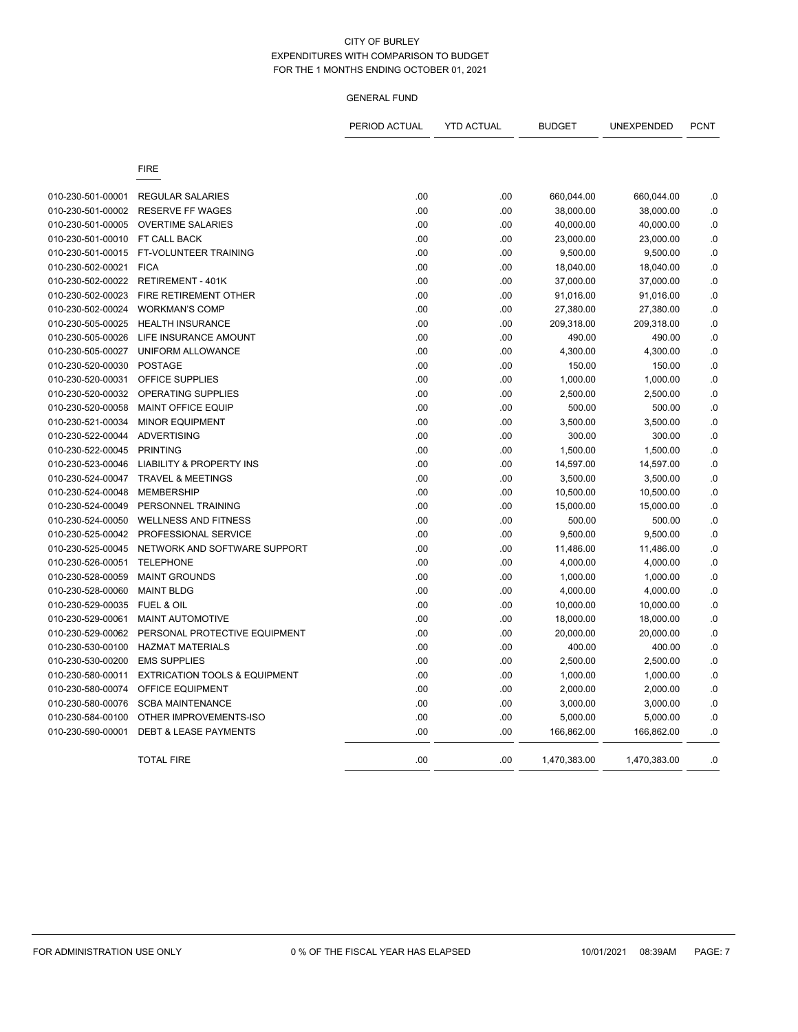|                   |                                          | PERIOD ACTUAL | <b>YTD ACTUAL</b> | <b>BUDGET</b> | UNEXPENDED   | <b>PCNT</b> |
|-------------------|------------------------------------------|---------------|-------------------|---------------|--------------|-------------|
|                   | <b>FIRE</b>                              |               |                   |               |              |             |
| 010-230-501-00001 | <b>REGULAR SALARIES</b>                  | .00           | .00               | 660,044.00    | 660,044.00   | .0          |
| 010-230-501-00002 | <b>RESERVE FF WAGES</b>                  | .00           | .00               | 38,000.00     | 38,000.00    | $0.$        |
| 010-230-501-00005 | <b>OVERTIME SALARIES</b>                 | .00           | .00               | 40,000.00     | 40,000.00    | $\cdot$ 0   |
| 010-230-501-00010 | FT CALL BACK                             | .00           | .00               | 23,000.00     | 23,000.00    | $\cdot$ 0   |
| 010-230-501-00015 | FT-VOLUNTEER TRAINING                    | .00           | .00               | 9,500.00      | 9,500.00     | $0.$        |
| 010-230-502-00021 | <b>FICA</b>                              | .00           | .00               | 18,040.00     | 18,040.00    | 0.          |
| 010-230-502-00022 | <b>RETIREMENT - 401K</b>                 | .00           | .00               | 37,000.00     | 37,000.00    | 0.          |
| 010-230-502-00023 | FIRE RETIREMENT OTHER                    | .00           | .00               | 91,016.00     | 91,016.00    | $\cdot$     |
| 010-230-502-00024 | <b>WORKMAN'S COMP</b>                    | .00           | .00               | 27,380.00     | 27,380.00    | 0.          |
| 010-230-505-00025 | <b>HEALTH INSURANCE</b>                  | .00           | .00               | 209,318.00    | 209,318.00   | $0.$        |
| 010-230-505-00026 | LIFE INSURANCE AMOUNT                    | .00           | .00               | 490.00        | 490.00       | .0          |
| 010-230-505-00027 | UNIFORM ALLOWANCE                        | .00           | .00               | 4,300.00      | 4,300.00     | 0.          |
| 010-230-520-00030 | <b>POSTAGE</b>                           | .00           | .00               | 150.00        | 150.00       | .0          |
| 010-230-520-00031 | OFFICE SUPPLIES                          | .00           | .00               | 1,000.00      | 1,000.00     | .0          |
| 010-230-520-00032 | OPERATING SUPPLIES                       | .00           | .00               | 2,500.00      | 2,500.00     | .0          |
| 010-230-520-00058 | <b>MAINT OFFICE EQUIP</b>                | .00           | .00               | 500.00        | 500.00       | $\cdot$ 0   |
| 010-230-521-00034 | <b>MINOR EQUIPMENT</b>                   | .00           | .00               | 3,500.00      | 3,500.00     | $\cdot$ 0   |
| 010-230-522-00044 | <b>ADVERTISING</b>                       | .00           | .00               | 300.00        | 300.00       | $0.$        |
| 010-230-522-00045 | <b>PRINTING</b>                          | .00           | .00               | 1,500.00      | 1,500.00     | 0.          |
| 010-230-523-00046 | <b>LIABILITY &amp; PROPERTY INS</b>      | .00           | .00               | 14,597.00     | 14,597.00    | .0          |
| 010-230-524-00047 | <b>TRAVEL &amp; MEETINGS</b>             | .00           | .00               | 3,500.00      | 3,500.00     | 0.          |
| 010-230-524-00048 | <b>MEMBERSHIP</b>                        | .00           | .00               | 10,500.00     | 10,500.00    | .0          |
| 010-230-524-00049 | PERSONNEL TRAINING                       | .00           | .00               | 15,000.00     | 15,000.00    | $0.$        |
| 010-230-524-00050 | <b>WELLNESS AND FITNESS</b>              | .00           | .00               | 500.00        | 500.00       | .0          |
| 010-230-525-00042 | PROFESSIONAL SERVICE                     | .00           | .00               | 9,500.00      | 9,500.00     | $\cdot$ 0   |
| 010-230-525-00045 | NETWORK AND SOFTWARE SUPPORT             | .00           | .00               | 11,486.00     | 11,486.00    | $\cdot$ 0   |
| 010-230-526-00051 | <b>TELEPHONE</b>                         | .00           | .00               | 4,000.00      | 4,000.00     | .0          |
| 010-230-528-00059 | <b>MAINT GROUNDS</b>                     | .00           | .00               | 1,000.00      | 1,000.00     | $\cdot$ 0   |
| 010-230-528-00060 | <b>MAINT BLDG</b>                        | .00           | .00               | 4,000.00      | 4,000.00     | $\cdot$ 0   |
| 010-230-529-00035 | FUEL & OIL                               | .00           | .00               | 10,000.00     | 10,000.00    | .0          |
| 010-230-529-00061 | <b>MAINT AUTOMOTIVE</b>                  | .00           | .00               | 18,000.00     | 18,000.00    | $0.$        |
| 010-230-529-00062 | PERSONAL PROTECTIVE EQUIPMENT            | .00           | .00               | 20,000.00     | 20,000.00    | .0          |
| 010-230-530-00100 | <b>HAZMAT MATERIALS</b>                  | .00           | .00               | 400.00        | 400.00       | .0          |
| 010-230-530-00200 | <b>EMS SUPPLIES</b>                      | .00           | .00               | 2,500.00      | 2,500.00     | .0          |
| 010-230-580-00011 | <b>EXTRICATION TOOLS &amp; EQUIPMENT</b> | .00           | .00               | 1,000.00      | 1,000.00     | .0          |
| 010-230-580-00074 | <b>OFFICE EQUIPMENT</b>                  | .00           | .00               | 2,000.00      | 2,000.00     | $\cdot$ 0   |
| 010-230-580-00076 | <b>SCBA MAINTENANCE</b>                  | .00           | .00               | 3,000.00      | 3,000.00     | $\cdot$ 0   |
| 010-230-584-00100 | OTHER IMPROVEMENTS-ISO                   | .00           | .00               | 5,000.00      | 5,000.00     | 0.          |
| 010-230-590-00001 | <b>DEBT &amp; LEASE PAYMENTS</b>         | .00           | .00               | 166,862.00    | 166,862.00   | 0.          |
|                   | <b>TOTAL FIRE</b>                        | .00           | .00               | 1,470,383.00  | 1,470,383.00 | .0          |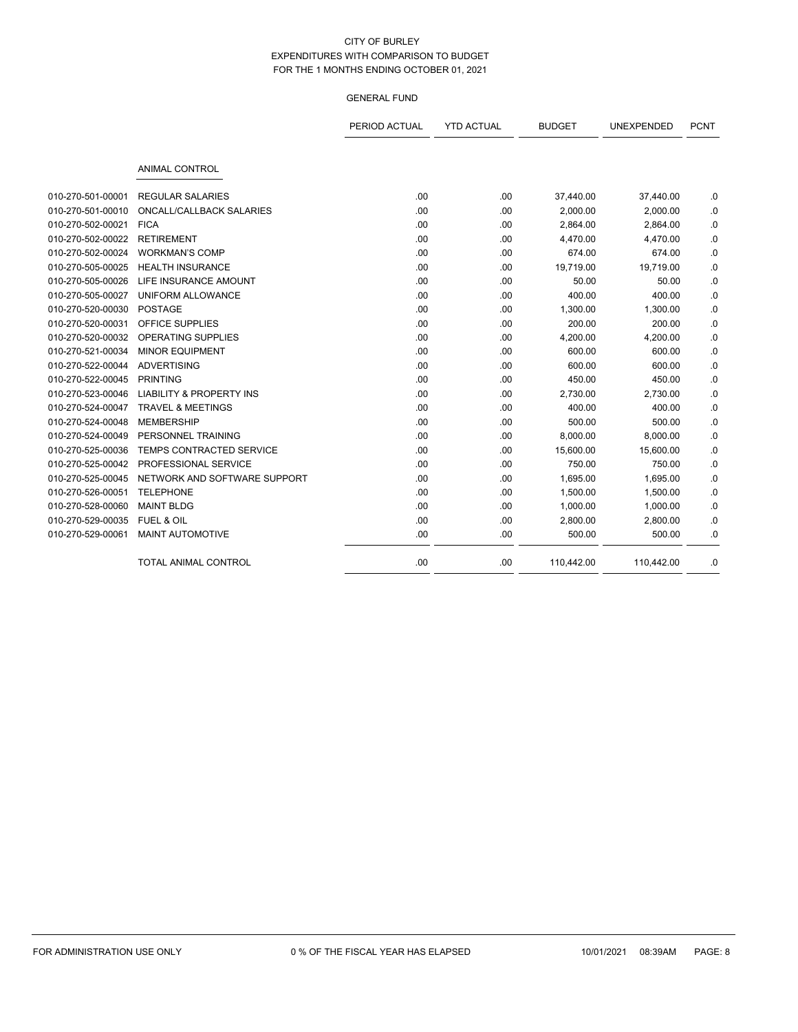|                   |                                     | PERIOD ACTUAL | <b>YTD ACTUAL</b> | <b>BUDGET</b> | UNEXPENDED | <b>PCNT</b> |
|-------------------|-------------------------------------|---------------|-------------------|---------------|------------|-------------|
|                   | <b>ANIMAL CONTROL</b>               |               |                   |               |            |             |
| 010-270-501-00001 | <b>REGULAR SALARIES</b>             | .00           | .00               | 37,440.00     | 37,440.00  | .0          |
| 010-270-501-00010 | <b>ONCALL/CALLBACK SALARIES</b>     | .00           | .00               | 2,000.00      | 2,000.00   | .0          |
| 010-270-502-00021 | <b>FICA</b>                         | .00           | .00               | 2,864.00      | 2,864.00   | .0          |
| 010-270-502-00022 | <b>RETIREMENT</b>                   | .00           | .00               | 4,470.00      | 4,470.00   | $\cdot$ 0   |
| 010-270-502-00024 | <b>WORKMAN'S COMP</b>               | .00           | .00               | 674.00        | 674.00     | .0          |
| 010-270-505-00025 | <b>HEALTH INSURANCE</b>             | .00           | .00               | 19,719.00     | 19,719.00  | .0          |
| 010-270-505-00026 | LIFE INSURANCE AMOUNT               | .00           | .00               | 50.00         | 50.00      | .0          |
| 010-270-505-00027 | UNIFORM ALLOWANCE                   | .00           | .00               | 400.00        | 400.00     | .0          |
| 010-270-520-00030 | <b>POSTAGE</b>                      | .00           | .00               | 1,300.00      | 1,300.00   | .0          |
| 010-270-520-00031 | <b>OFFICE SUPPLIES</b>              | .00           | .00               | 200.00        | 200.00     | .0          |
| 010-270-520-00032 | <b>OPERATING SUPPLIES</b>           | .00           | .00               | 4,200.00      | 4,200.00   | .0          |
| 010-270-521-00034 | <b>MINOR EQUIPMENT</b>              | .00           | .00               | 600.00        | 600.00     | .0          |
| 010-270-522-00044 | <b>ADVERTISING</b>                  | .00           | .00               | 600.00        | 600.00     | .0          |
| 010-270-522-00045 | <b>PRINTING</b>                     | .00           | .00               | 450.00        | 450.00     | .0          |
| 010-270-523-00046 | <b>LIABILITY &amp; PROPERTY INS</b> | .00           | .00               | 2,730.00      | 2,730.00   | .0          |
| 010-270-524-00047 | <b>TRAVEL &amp; MEETINGS</b>        | .00           | .00               | 400.00        | 400.00     | .0          |
| 010-270-524-00048 | <b>MEMBERSHIP</b>                   | .00           | .00               | 500.00        | 500.00     | .0          |
| 010-270-524-00049 | PERSONNEL TRAINING                  | .00           | .00               | 8,000.00      | 8,000.00   | .0          |
| 010-270-525-00036 | TEMPS CONTRACTED SERVICE            | .00           | .00               | 15,600.00     | 15,600.00  | .0          |
| 010-270-525-00042 | PROFESSIONAL SERVICE                | .00           | .00               | 750.00        | 750.00     | .0          |
| 010-270-525-00045 | NETWORK AND SOFTWARE SUPPORT        | .00           | .00               | 1,695.00      | 1,695.00   | .0          |
| 010-270-526-00051 | <b>TELEPHONE</b>                    | .00           | .00               | 1,500.00      | 1,500.00   | .0          |
| 010-270-528-00060 | <b>MAINT BLDG</b>                   | .00           | .00               | 1,000.00      | 1,000.00   | .0          |
| 010-270-529-00035 | <b>FUEL &amp; OIL</b>               | .00           | .00               | 2,800.00      | 2,800.00   | .0          |
| 010-270-529-00061 | <b>MAINT AUTOMOTIVE</b>             | .00           | .00               | 500.00        | 500.00     | .0          |
|                   | <b>TOTAL ANIMAL CONTROL</b>         | .00           | .00               | 110,442.00    | 110,442.00 | .0          |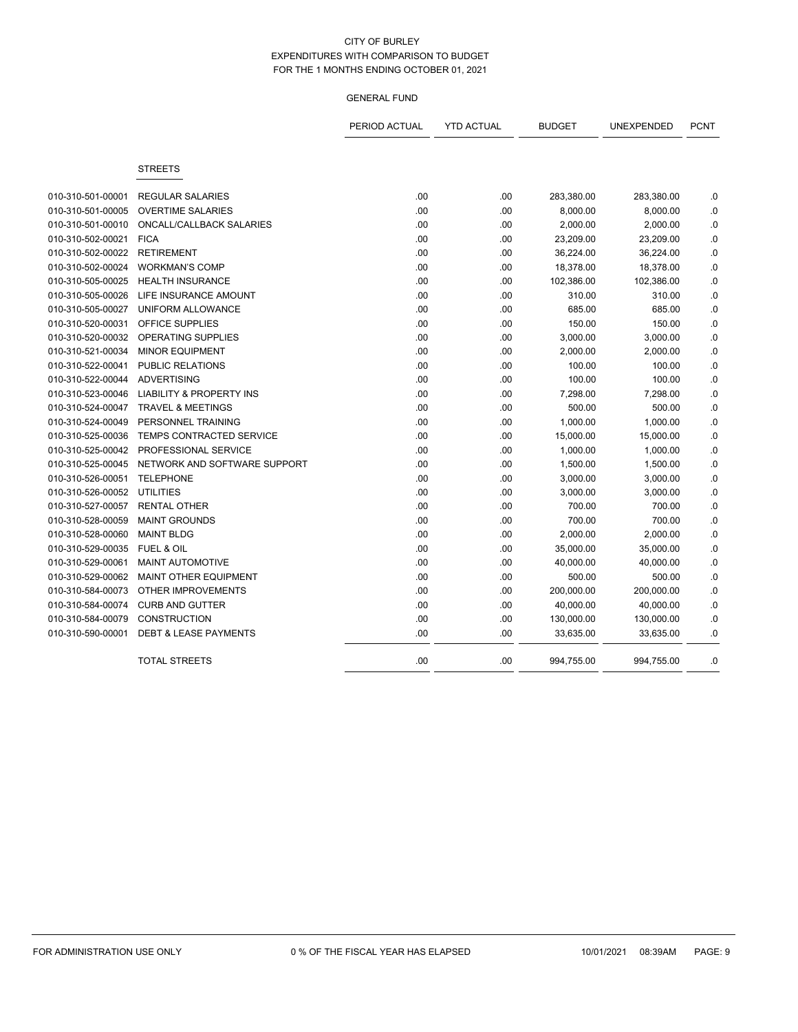|                   |                                     | PERIOD ACTUAL | <b>YTD ACTUAL</b> | <b>BUDGET</b> | UNEXPENDED | <b>PCNT</b> |
|-------------------|-------------------------------------|---------------|-------------------|---------------|------------|-------------|
|                   | <b>STREETS</b>                      |               |                   |               |            |             |
| 010-310-501-00001 | <b>REGULAR SALARIES</b>             | .00           | .00               | 283,380.00    | 283,380.00 | .0          |
| 010-310-501-00005 | <b>OVERTIME SALARIES</b>            | .00           | .00               | 8,000.00      | 8,000.00   | $\cdot$ 0   |
| 010-310-501-00010 | ONCALL/CALLBACK SALARIES            | .00           | .00.              | 2,000.00      | 2,000.00   | .0          |
| 010-310-502-00021 | <b>FICA</b>                         | .00           | .00               | 23,209.00     | 23,209.00  | $\cdot$ 0   |
| 010-310-502-00022 | <b>RETIREMENT</b>                   | .00           | .00               | 36,224.00     | 36,224.00  | $\cdot$ 0   |
| 010-310-502-00024 | <b>WORKMAN'S COMP</b>               | .00           | .00               | 18,378.00     | 18,378.00  | $\cdot$ 0   |
| 010-310-505-00025 | <b>HEALTH INSURANCE</b>             | .00           | .00               | 102,386.00    | 102,386.00 | 0.          |
| 010-310-505-00026 | LIFE INSURANCE AMOUNT               | .00           | .00.              | 310.00        | 310.00     | .0          |
| 010-310-505-00027 | UNIFORM ALLOWANCE                   | .00           | .00.              | 685.00        | 685.00     | .0          |
| 010-310-520-00031 | OFFICE SUPPLIES                     | .00           | .00               | 150.00        | 150.00     | .0          |
| 010-310-520-00032 | OPERATING SUPPLIES                  | .00           | .00               | 3,000.00      | 3,000.00   | $\cdot$ 0   |
| 010-310-521-00034 | <b>MINOR EQUIPMENT</b>              | .00           | .00               | 2,000.00      | 2,000.00   | $0.$        |
| 010-310-522-00041 | <b>PUBLIC RELATIONS</b>             | .00           | .00               | 100.00        | 100.00     | 0.          |
| 010-310-522-00044 | <b>ADVERTISING</b>                  | .00           | .00               | 100.00        | 100.00     | $0.$        |
| 010-310-523-00046 | <b>LIABILITY &amp; PROPERTY INS</b> | .00           | .00               | 7,298.00      | 7,298.00   | .0          |
| 010-310-524-00047 | <b>TRAVEL &amp; MEETINGS</b>        | .00           | .00               | 500.00        | 500.00     | .0          |
| 010-310-524-00049 | PERSONNEL TRAINING                  | .00           | .00               | 1,000.00      | 1,000.00   | .0          |
| 010-310-525-00036 | TEMPS CONTRACTED SERVICE            | .00           | .00               | 15,000.00     | 15,000.00  | .0          |
| 010-310-525-00042 | PROFESSIONAL SERVICE                | .00           | .00               | 1,000.00      | 1,000.00   | $\cdot$ 0   |
| 010-310-525-00045 | NETWORK AND SOFTWARE SUPPORT        | .00           | .00               | 1,500.00      | 1,500.00   | .0          |
| 010-310-526-00051 | <b>TELEPHONE</b>                    | .00           | .00               | 3,000.00      | 3,000.00   | $\cdot$ 0   |
| 010-310-526-00052 | <b>UTILITIES</b>                    | .00           | .00               | 3,000.00      | 3,000.00   | $0.$        |
| 010-310-527-00057 | <b>RENTAL OTHER</b>                 | .00           | .00               | 700.00        | 700.00     | $\cdot$ 0   |
| 010-310-528-00059 | <b>MAINT GROUNDS</b>                | .00           | .00               | 700.00        | 700.00     | .0          |
| 010-310-528-00060 | <b>MAINT BLDG</b>                   | .00           | .00.              | 2,000.00      | 2,000.00   | $\cdot$ 0   |
| 010-310-529-00035 | FUEL & OIL                          | .00           | .00               | 35,000.00     | 35,000.00  | .0          |
| 010-310-529-00061 | MAINT AUTOMOTIVE                    | .00           | .00               | 40,000.00     | 40,000.00  | $\cdot$ 0   |
| 010-310-529-00062 | <b>MAINT OTHER EQUIPMENT</b>        | .00           | .00               | 500.00        | 500.00     | .0          |
| 010-310-584-00073 | <b>OTHER IMPROVEMENTS</b>           | .00           | .00               | 200,000.00    | 200,000.00 | 0.          |
| 010-310-584-00074 | <b>CURB AND GUTTER</b>              | .00           | .00               | 40,000.00     | 40,000.00  | $\cdot$ 0   |
| 010-310-584-00079 | <b>CONSTRUCTION</b>                 | .00           | .00               | 130,000.00    | 130,000.00 | .0          |
| 010-310-590-00001 | <b>DEBT &amp; LEASE PAYMENTS</b>    | .00           | .00               | 33,635.00     | 33,635.00  | .0          |
|                   | <b>TOTAL STREETS</b>                | .00           | .00               | 994,755.00    | 994,755.00 | .0          |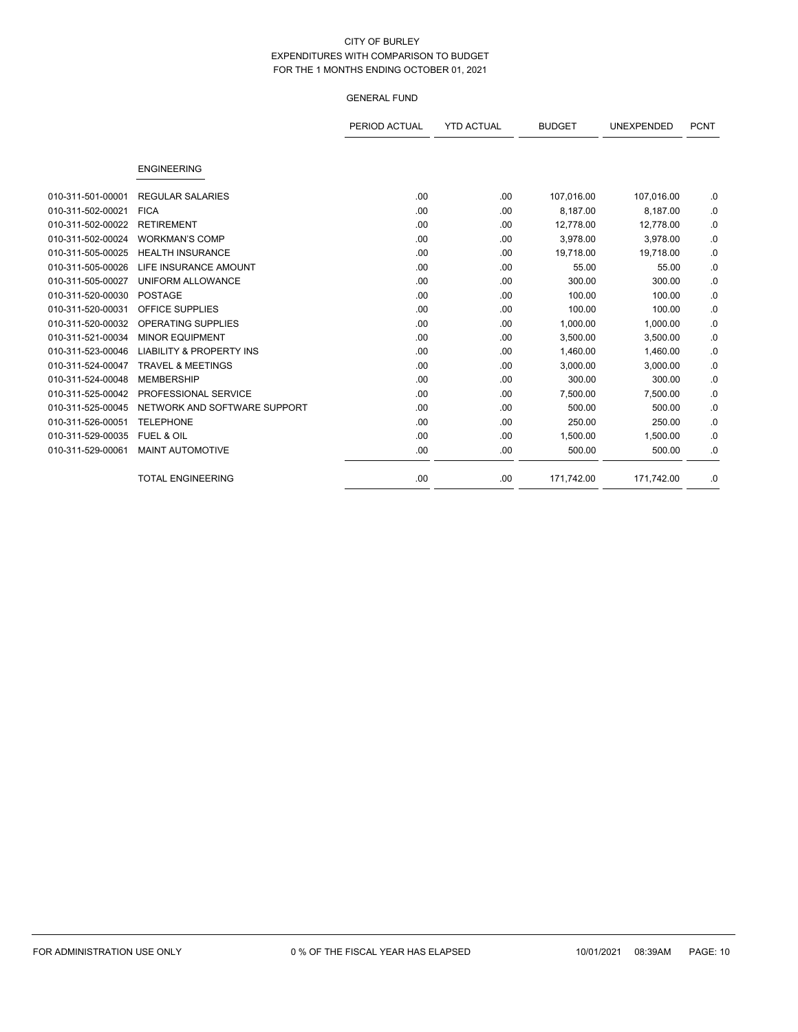|                   |                                     | PERIOD ACTUAL | <b>YTD ACTUAL</b> | <b>BUDGET</b> | <b>UNEXPENDED</b> | <b>PCNT</b> |
|-------------------|-------------------------------------|---------------|-------------------|---------------|-------------------|-------------|
|                   |                                     |               |                   |               |                   |             |
|                   | <b>ENGINEERING</b>                  |               |                   |               |                   |             |
| 010-311-501-00001 | <b>REGULAR SALARIES</b>             | .00.          | .00.              | 107,016.00    | 107,016.00        | .0          |
| 010-311-502-00021 | <b>FICA</b>                         | .00           | .00.              | 8,187.00      | 8,187.00          | .0          |
| 010-311-502-00022 | <b>RETIREMENT</b>                   | .00           | .00               | 12,778.00     | 12,778.00         | .0          |
| 010-311-502-00024 | <b>WORKMAN'S COMP</b>               | .00.          | .00.              | 3,978.00      | 3,978.00          | .0          |
| 010-311-505-00025 | <b>HEALTH INSURANCE</b>             | .00           | .00               | 19,718.00     | 19,718.00         | .0          |
| 010-311-505-00026 | LIFE INSURANCE AMOUNT               | .00.          | .00               | 55.00         | 55.00             | .0          |
| 010-311-505-00027 | UNIFORM ALLOWANCE                   | .00.          | .00               | 300.00        | 300.00            | .0          |
| 010-311-520-00030 | <b>POSTAGE</b>                      | .00.          | .00               | 100.00        | 100.00            | .0          |
| 010-311-520-00031 | <b>OFFICE SUPPLIES</b>              | .00           | .00               | 100.00        | 100.00            | .0          |
| 010-311-520-00032 | <b>OPERATING SUPPLIES</b>           | .00.          | .00.              | 1,000.00      | 1,000.00          | .0          |
| 010-311-521-00034 | <b>MINOR EQUIPMENT</b>              | .00           | .00.              | 3,500.00      | 3,500.00          | .0          |
| 010-311-523-00046 | <b>LIABILITY &amp; PROPERTY INS</b> | .00           | .00               | 1,460.00      | 1,460.00          | .0          |
| 010-311-524-00047 | <b>TRAVEL &amp; MEETINGS</b>        | .00.          | .00               | 3,000.00      | 3,000.00          | .0          |
| 010-311-524-00048 | <b>MEMBERSHIP</b>                   | .00           | .00               | 300.00        | 300.00            | .0          |
| 010-311-525-00042 | PROFESSIONAL SERVICE                | .00.          | .00.              | 7,500.00      | 7,500.00          | .0          |
| 010-311-525-00045 | NETWORK AND SOFTWARE SUPPORT        | .00           | .00.              | 500.00        | 500.00            | .0          |
| 010-311-526-00051 | <b>TELEPHONE</b>                    | .00.          | .00               | 250.00        | 250.00            | .0          |
| 010-311-529-00035 | <b>FUEL &amp; OIL</b>               | .00.          | .00.              | 1,500.00      | 1,500.00          | .0          |
| 010-311-529-00061 | <b>MAINT AUTOMOTIVE</b>             | .00           | .00               | 500.00        | 500.00            | .0          |
|                   | <b>TOTAL ENGINEERING</b>            | .00.          | .00.              | 171,742.00    | 171,742.00        | .0          |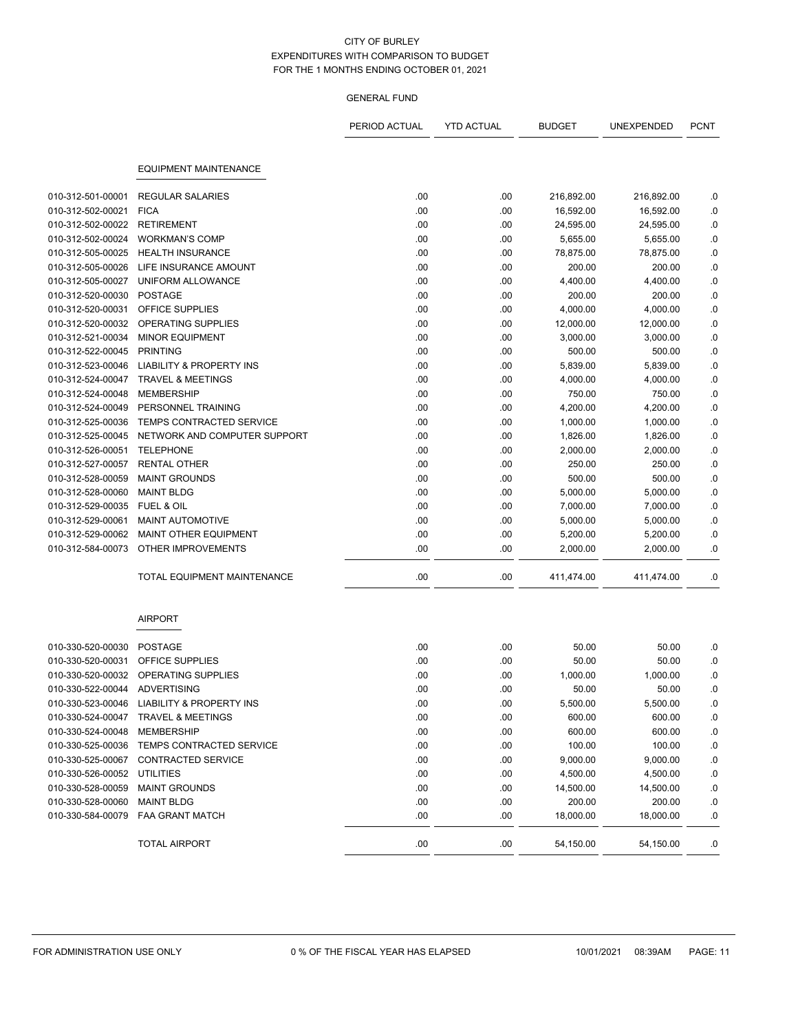|                                        |                                            | PERIOD ACTUAL | <b>YTD ACTUAL</b> | <b>BUDGET</b> | <b>UNEXPENDED</b>   | <b>PCNT</b> |
|----------------------------------------|--------------------------------------------|---------------|-------------------|---------------|---------------------|-------------|
|                                        | <b>EQUIPMENT MAINTENANCE</b>               |               |                   |               |                     |             |
| 010-312-501-00001                      | <b>REGULAR SALARIES</b>                    | .00           | .00               | 216,892.00    | 216,892.00          | .0          |
| 010-312-502-00021                      | <b>FICA</b>                                | .00           | .00               | 16,592.00     | 16,592.00           | .0          |
| 010-312-502-00022                      | <b>RETIREMENT</b>                          | .00           | .00               | 24,595.00     | 24,595.00           | .0          |
| 010-312-502-00024                      | <b>WORKMAN'S COMP</b>                      | .00           | .00               | 5,655.00      | 5,655.00            | .0          |
|                                        | <b>HEALTH INSURANCE</b>                    | .00           |                   | 78,875.00     |                     |             |
| 010-312-505-00025<br>010-312-505-00026 | LIFE INSURANCE AMOUNT                      | .00           | .00<br>.00        | 200.00        | 78,875.00<br>200.00 | .0<br>.0    |
| 010-312-505-00027                      | UNIFORM ALLOWANCE                          | .00           | .00               | 4,400.00      | 4,400.00            | .0          |
| 010-312-520-00030                      | <b>POSTAGE</b>                             | .00           | .00               | 200.00        | 200.00              | $\cdot$ 0   |
| 010-312-520-00031                      | OFFICE SUPPLIES                            | .00           | .00               | 4,000.00      | 4,000.00            | .0          |
| 010-312-520-00032                      | OPERATING SUPPLIES                         | .00           |                   |               |                     |             |
| 010-312-521-00034                      | <b>MINOR EQUIPMENT</b>                     | .00           | .00               | 12,000.00     | 12,000.00           | .0          |
|                                        | <b>PRINTING</b>                            | .00           | .00               | 3,000.00      | 3,000.00<br>500.00  | .0          |
| 010-312-522-00045<br>010-312-523-00046 | <b>LIABILITY &amp; PROPERTY INS</b>        | .00           | .00<br>.00        | 500.00        |                     | .0          |
|                                        | <b>TRAVEL &amp; MEETINGS</b>               |               |                   | 5,839.00      | 5,839.00            | .0          |
| 010-312-524-00047                      |                                            | .00           | .00               | 4,000.00      | 4,000.00            | .0          |
| 010-312-524-00048                      | <b>MEMBERSHIP</b>                          | .00           | .00               | 750.00        | 750.00              | .0          |
| 010-312-524-00049                      | PERSONNEL TRAINING                         | .00           | .00               | 4,200.00      | 4,200.00            | $\cdot$ 0   |
| 010-312-525-00036                      | TEMPS CONTRACTED SERVICE                   | .00           | .00               | 1,000.00      | 1,000.00            | .0          |
| 010-312-525-00045                      | NETWORK AND COMPUTER SUPPORT               | .00           | .00               | 1,826.00      | 1,826.00            | $\cdot$ 0   |
| 010-312-526-00051                      | <b>TELEPHONE</b>                           | .00           | .00               | 2,000.00      | 2,000.00            | 0.          |
| 010-312-527-00057                      | <b>RENTAL OTHER</b>                        | .00           | .00               | 250.00        | 250.00              | .0          |
| 010-312-528-00059                      | <b>MAINT GROUNDS</b>                       | .00           | .00               | 500.00        | 500.00              | $\cdot$ 0   |
| 010-312-528-00060                      | <b>MAINT BLDG</b>                          | .00           | .00               | 5,000.00      | 5,000.00            | .0          |
| 010-312-529-00035                      | <b>FUEL &amp; OIL</b>                      | .00           | .00               | 7,000.00      | 7,000.00            | .0          |
| 010-312-529-00061                      | <b>MAINT AUTOMOTIVE</b>                    | .00           | .00               | 5,000.00      | 5,000.00            | .0          |
| 010-312-529-00062                      | MAINT OTHER EQUIPMENT                      | .00           | .00               | 5,200.00      | 5,200.00            | .0          |
| 010-312-584-00073                      | OTHER IMPROVEMENTS                         | .00           | .00               | 2,000.00      | 2,000.00            | .0          |
|                                        | TOTAL EQUIPMENT MAINTENANCE                | .00           | .00               | 411,474.00    | 411,474.00          | .0          |
|                                        | <b>AIRPORT</b>                             |               |                   |               |                     |             |
| 010-330-520-00030                      | <b>POSTAGE</b>                             | .00           | .00               | 50.00         | 50.00               | .0          |
| 010-330-520-00031                      | OFFICE SUPPLIES                            | .00           | .00               | 50.00         | 50.00               | .0          |
| 010-330-520-00032                      | OPERATING SUPPLIES                         | .00           | .00               | 1,000.00      | 1,000.00            | .0          |
| 010-330-522-00044 ADVERTISING          |                                            | .00           | .00               | 50.00         | 50.00               | .0          |
|                                        | 010-330-523-00046 LIABILITY & PROPERTY INS | .00           | .00               | 5,500.00      | 5,500.00            | $\cdot$ 0   |
|                                        | 010-330-524-00047 TRAVEL & MEETINGS        | .00           | .00               | 600.00        | 600.00              | .0          |
| 010-330-524-00048                      | MEMBERSHIP                                 | .00           | .00               | 600.00        | 600.00              | $\cdot$     |
| 010-330-525-00036                      | TEMPS CONTRACTED SERVICE                   | .00           | .00               | 100.00        | 100.00              | .0          |
| 010-330-525-00067                      | CONTRACTED SERVICE                         | .00           | .00               | 9,000.00      | 9,000.00            | .0          |
| 010-330-526-00052 UTILITIES            |                                            | .00           | .00               | 4,500.00      | 4,500.00            | .0          |
| 010-330-528-00059                      | <b>MAINT GROUNDS</b>                       | .00           | .00               | 14,500.00     | 14,500.00           | .0          |
| 010-330-528-00060                      | <b>MAINT BLDG</b>                          | .00           | .00               | 200.00        | 200.00              | .0          |
| 010-330-584-00079                      | <b>FAA GRANT MATCH</b>                     | .00           | .00               | 18,000.00     | 18,000.00           | .0          |
|                                        | TOTAL AIRPORT                              | .00           | .00               | 54,150.00     | 54,150.00           | .0          |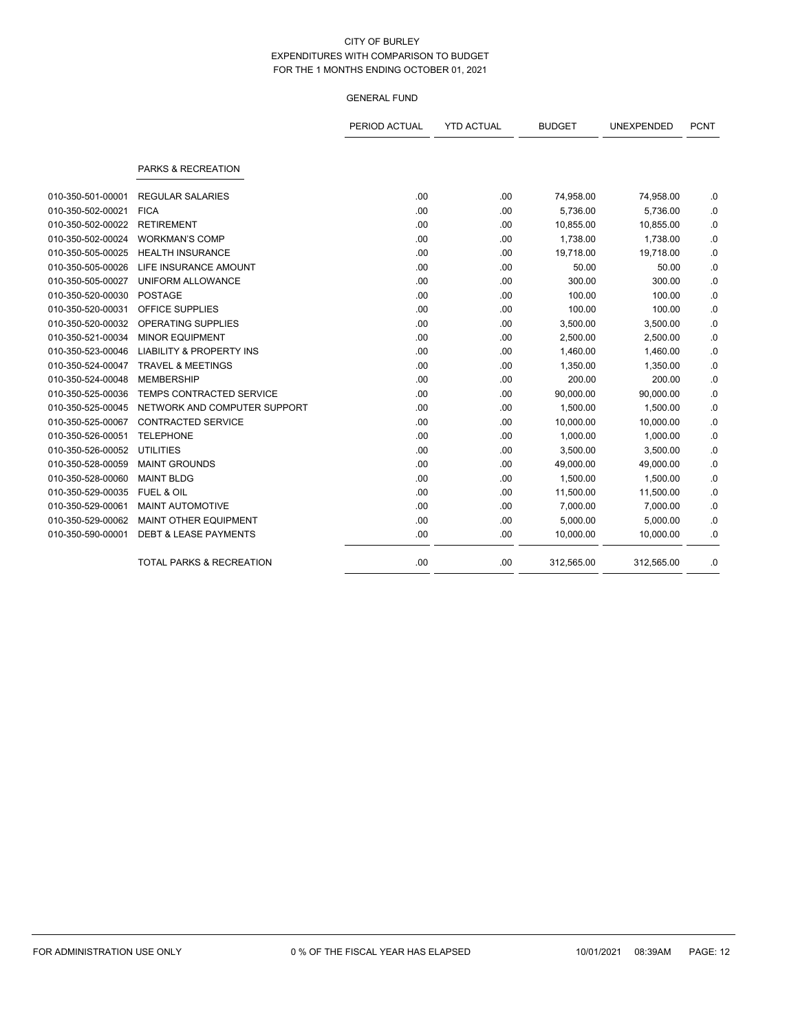|                   |                                     | PERIOD ACTUAL | <b>YTD ACTUAL</b> | <b>BUDGET</b> | UNEXPENDED | <b>PCNT</b> |
|-------------------|-------------------------------------|---------------|-------------------|---------------|------------|-------------|
|                   | PARKS & RECREATION                  |               |                   |               |            |             |
| 010-350-501-00001 | <b>REGULAR SALARIES</b>             | .00           | .00               | 74,958.00     | 74,958.00  | .0          |
| 010-350-502-00021 | <b>FICA</b>                         | .00           | .00               | 5,736.00      | 5,736.00   | .0          |
| 010-350-502-00022 | <b>RETIREMENT</b>                   | .00           | .00               | 10,855.00     | 10,855.00  | .0          |
| 010-350-502-00024 | <b>WORKMAN'S COMP</b>               | .00           | .00               | 1,738.00      | 1,738.00   | .0          |
| 010-350-505-00025 | <b>HEALTH INSURANCE</b>             | .00           | .00               | 19,718.00     | 19,718.00  | $\cdot$ 0   |
| 010-350-505-00026 | LIFE INSURANCE AMOUNT               | .00           | .00               | 50.00         | 50.00      | .0          |
| 010-350-505-00027 | UNIFORM ALLOWANCE                   | .00.          | .00               | 300.00        | 300.00     | .0          |
| 010-350-520-00030 | <b>POSTAGE</b>                      | .00.          | .00               | 100.00        | 100.00     | .0          |
| 010-350-520-00031 | OFFICE SUPPLIES                     | .00           | .00               | 100.00        | 100.00     | .0          |
| 010-350-520-00032 | <b>OPERATING SUPPLIES</b>           | .00           | .00               | 3,500.00      | 3,500.00   | .0          |
| 010-350-521-00034 | <b>MINOR EQUIPMENT</b>              | .00           | .00               | 2,500.00      | 2,500.00   | .0          |
| 010-350-523-00046 | <b>LIABILITY &amp; PROPERTY INS</b> | .00           | .00               | 1,460.00      | 1,460.00   | .0          |
| 010-350-524-00047 | <b>TRAVEL &amp; MEETINGS</b>        | .00           | .00               | 1,350.00      | 1,350.00   | .0          |
| 010-350-524-00048 | <b>MEMBERSHIP</b>                   | .00.          | .00               | 200.00        | 200.00     | .0          |
| 010-350-525-00036 | TEMPS CONTRACTED SERVICE            | .00           | .00               | 90,000.00     | 90,000.00  | .0          |
| 010-350-525-00045 | NETWORK AND COMPUTER SUPPORT        | .00           | .00               | 1,500.00      | 1,500.00   | .0          |
| 010-350-525-00067 | <b>CONTRACTED SERVICE</b>           | .00           | .00               | 10,000.00     | 10,000.00  | .0          |
| 010-350-526-00051 | <b>TELEPHONE</b>                    | .00           | .00               | 1,000.00      | 1,000.00   | .0          |
| 010-350-526-00052 | <b>UTILITIES</b>                    | .00           | .00               | 3,500.00      | 3,500.00   | .0          |
| 010-350-528-00059 | <b>MAINT GROUNDS</b>                | .00           | .00               | 49,000.00     | 49,000.00  | .0          |
| 010-350-528-00060 | <b>MAINT BLDG</b>                   | .00           | .00               | 1,500.00      | 1,500.00   | .0          |
| 010-350-529-00035 | <b>FUEL &amp; OIL</b>               | .00           | .00               | 11,500.00     | 11,500.00  | .0          |
| 010-350-529-00061 | <b>MAINT AUTOMOTIVE</b>             | .00           | .00               | 7,000.00      | 7,000.00   | $\cdot$ 0   |
| 010-350-529-00062 | MAINT OTHER EQUIPMENT               | .00           | .00               | 5,000.00      | 5,000.00   | .0          |
| 010-350-590-00001 | <b>DEBT &amp; LEASE PAYMENTS</b>    | .00           | .00               | 10,000.00     | 10,000.00  | .0          |
|                   | TOTAL PARKS & RECREATION            | .00           | .00               | 312,565.00    | 312,565.00 | .0          |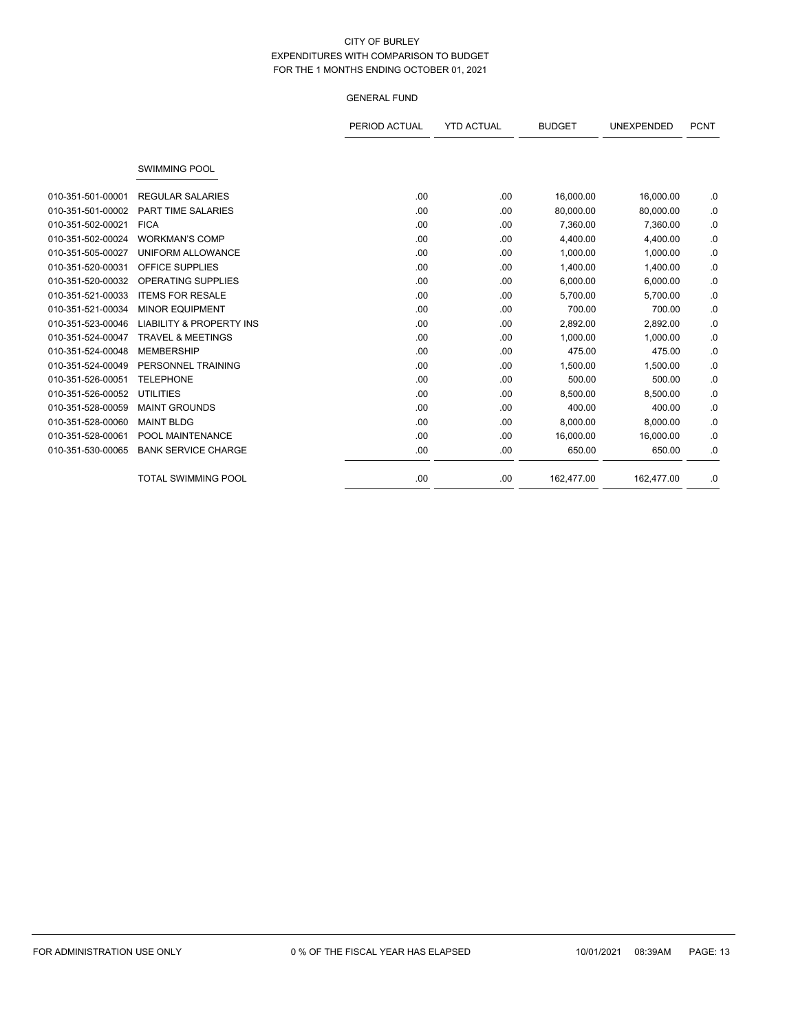|                   |                                     | PERIOD ACTUAL | <b>YTD ACTUAL</b> | <b>BUDGET</b> | <b>UNEXPENDED</b> | <b>PCNT</b> |
|-------------------|-------------------------------------|---------------|-------------------|---------------|-------------------|-------------|
|                   |                                     |               |                   |               |                   |             |
|                   | <b>SWIMMING POOL</b>                |               |                   |               |                   |             |
| 010-351-501-00001 | <b>REGULAR SALARIES</b>             | .00           | .00               | 16,000.00     | 16,000.00         | .0          |
| 010-351-501-00002 | <b>PART TIME SALARIES</b>           | .00.          | .00               | 80,000.00     | 80,000.00         | .0          |
| 010-351-502-00021 | <b>FICA</b>                         | .00           | .00               | 7,360.00      | 7,360.00          | .0          |
| 010-351-502-00024 | <b>WORKMAN'S COMP</b>               | .00           | .00               | 4,400.00      | 4,400.00          | .0          |
| 010-351-505-00027 | UNIFORM ALLOWANCE                   | .00.          | .00               | 1,000.00      | 1,000.00          | .0          |
| 010-351-520-00031 | OFFICE SUPPLIES                     | .00           | .00               | 1,400.00      | 1,400.00          | 0.          |
| 010-351-520-00032 | <b>OPERATING SUPPLIES</b>           | .00           | .00               | 6,000.00      | 6,000.00          | .0          |
| 010-351-521-00033 | <b>ITEMS FOR RESALE</b>             | .00.          | .00               | 5,700.00      | 5,700.00          | .0          |
| 010-351-521-00034 | <b>MINOR EQUIPMENT</b>              | .00           | .00               | 700.00        | 700.00            | .0          |
| 010-351-523-00046 | <b>LIABILITY &amp; PROPERTY INS</b> | .00           | .00               | 2,892.00      | 2,892.00          | .0          |
| 010-351-524-00047 | <b>TRAVEL &amp; MEETINGS</b>        | .00           | .00               | 1,000.00      | 1,000.00          | .0          |
| 010-351-524-00048 | <b>MEMBERSHIP</b>                   | .00           | .00               | 475.00        | 475.00            | .0          |
| 010-351-524-00049 | PERSONNEL TRAINING                  | .00           | .00               | 1,500.00      | 1,500.00          | .0          |
| 010-351-526-00051 | <b>TELEPHONE</b>                    | .00           | .00               | 500.00        | 500.00            | .0          |
| 010-351-526-00052 | <b>UTILITIES</b>                    | .00           | .00               | 8,500.00      | 8,500.00          | .0          |
| 010-351-528-00059 | <b>MAINT GROUNDS</b>                | .00           | .00               | 400.00        | 400.00            | .0          |
| 010-351-528-00060 | <b>MAINT BLDG</b>                   | .00           | .00               | 8,000.00      | 8,000.00          | .0          |
| 010-351-528-00061 | POOL MAINTENANCE                    | .00           | .00               | 16,000.00     | 16,000.00         | .0          |
| 010-351-530-00065 | <b>BANK SERVICE CHARGE</b>          | .00           | .00               | 650.00        | 650.00            | .0          |
|                   | <b>TOTAL SWIMMING POOL</b>          | .00           | .00               | 162,477.00    | 162,477.00        | .0          |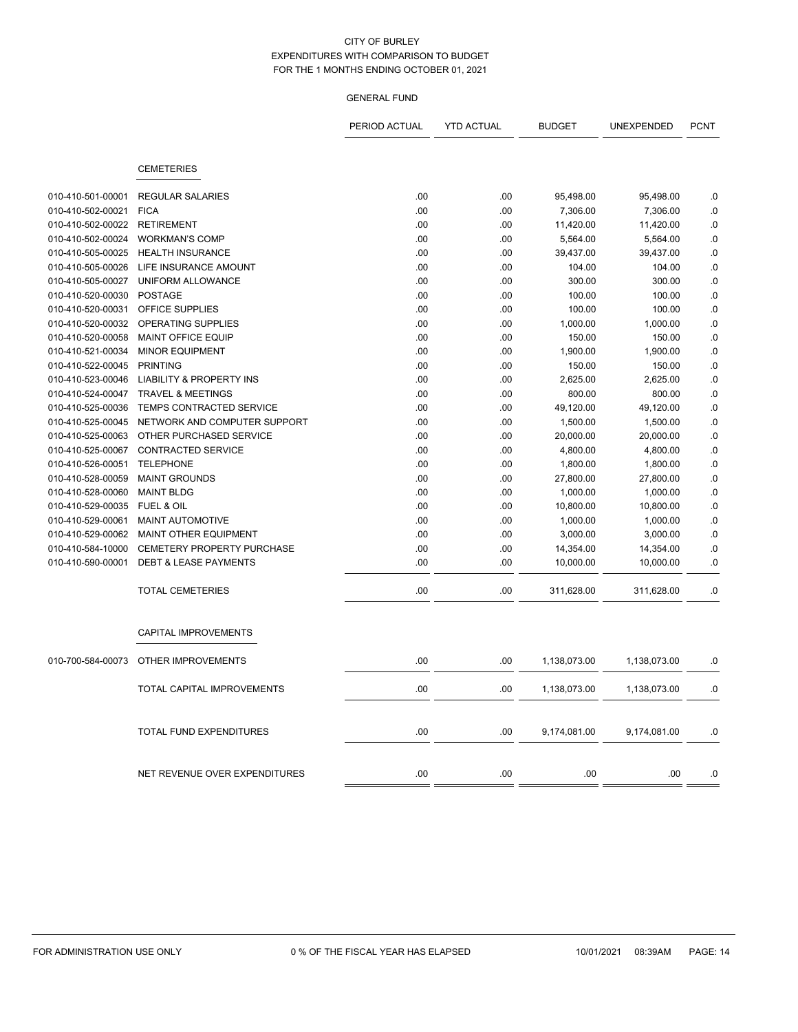|                                        |                                                                     | PERIOD ACTUAL | <b>YTD ACTUAL</b> | <b>BUDGET</b>    | UNEXPENDED         | <b>PCNT</b>   |
|----------------------------------------|---------------------------------------------------------------------|---------------|-------------------|------------------|--------------------|---------------|
|                                        | <b>CEMETERIES</b>                                                   |               |                   |                  |                    |               |
|                                        |                                                                     |               |                   |                  |                    |               |
| 010-410-501-00001                      | <b>REGULAR SALARIES</b>                                             | .00           | .00               | 95,498.00        | 95,498.00          | .0            |
| 010-410-502-00021                      | <b>FICA</b>                                                         | .00           | .00               | 7,306.00         | 7,306.00           | $\cdot$       |
| 010-410-502-00022                      | <b>RETIREMENT</b>                                                   | .00           | .00               | 11,420.00        | 11,420.00          | .0            |
| 010-410-502-00024                      | <b>WORKMAN'S COMP</b>                                               | .00           | .00               | 5,564.00         | 5,564.00           | .0            |
| 010-410-505-00025                      | <b>HEALTH INSURANCE</b>                                             | .00           | .00               | 39,437.00        | 39,437.00          | .0            |
| 010-410-505-00026<br>010-410-505-00027 | LIFE INSURANCE AMOUNT<br>UNIFORM ALLOWANCE                          | .00<br>.00    | .00<br>.00        | 104.00<br>300.00 | 104.00<br>300.00   | .0<br>.0      |
| 010-410-520-00030                      | <b>POSTAGE</b>                                                      | .00           | .00               | 100.00           | 100.00             | $\cdot$ 0     |
| 010-410-520-00031                      | OFFICE SUPPLIES                                                     | .00           | .00               | 100.00           | 100.00             | .0            |
|                                        | <b>OPERATING SUPPLIES</b>                                           |               |                   |                  |                    |               |
| 010-410-520-00032                      | <b>MAINT OFFICE EQUIP</b>                                           | .00           | .00               | 1,000.00         | 1,000.00           | $\cdot$<br>0. |
| 010-410-520-00058                      | <b>MINOR EQUIPMENT</b>                                              | .00<br>.00    | .00<br>.00        | 150.00           | 150.00             |               |
| 010-410-521-00034<br>010-410-522-00045 | <b>PRINTING</b>                                                     | .00           | .00               | 1,900.00         | 1,900.00<br>150.00 | $\cdot$<br>.0 |
|                                        |                                                                     |               |                   | 150.00           |                    |               |
| 010-410-523-00046<br>010-410-524-00047 | <b>LIABILITY &amp; PROPERTY INS</b><br><b>TRAVEL &amp; MEETINGS</b> | .00<br>.00    | .00               | 2,625.00         | 2,625.00<br>800.00 | 0.            |
|                                        | TEMPS CONTRACTED SERVICE                                            |               | .00               | 800.00           |                    | .0            |
| 010-410-525-00036<br>010-410-525-00045 | NETWORK AND COMPUTER SUPPORT                                        | .00<br>.00    | .00<br>.00        | 49,120.00        | 49,120.00          | 0.            |
|                                        |                                                                     |               |                   | 1,500.00         | 1,500.00           | 0.            |
| 010-410-525-00063                      | OTHER PURCHASED SERVICE                                             | .00           | .00               | 20,000.00        | 20,000.00          | $\cdot$ 0     |
| 010-410-525-00067                      | <b>CONTRACTED SERVICE</b>                                           | .00           | .00               | 4,800.00         | 4,800.00           | .0            |
| 010-410-526-00051                      | <b>TELEPHONE</b>                                                    | .00           | .00               | 1,800.00         | 1,800.00           | 0.            |
| 010-410-528-00059                      | <b>MAINT GROUNDS</b>                                                | .00           | .00               | 27,800.00        | 27,800.00          | 0.            |
| 010-410-528-00060                      | <b>MAINT BLDG</b>                                                   | .00           | .00               | 1,000.00         | 1,000.00           | $\cdot$       |
| 010-410-529-00035                      | FUEL & OIL                                                          | .00           | .00               | 10,800.00        | 10,800.00          | 0.            |
| 010-410-529-00061                      | MAINT AUTOMOTIVE                                                    | .00           | .00               | 1,000.00         | 1,000.00           | $0.$          |
| 010-410-529-00062                      | <b>MAINT OTHER EQUIPMENT</b>                                        | .00           | .00               | 3,000.00         | 3,000.00           | 0.            |
| 010-410-584-10000                      | <b>CEMETERY PROPERTY PURCHASE</b>                                   | .00           | .00               | 14,354.00        | 14,354.00          | .0            |
| 010-410-590-00001                      | <b>DEBT &amp; LEASE PAYMENTS</b>                                    | .00           | .00               | 10,000.00        | 10,000.00          | 0.            |
|                                        | <b>TOTAL CEMETERIES</b>                                             | .00           | .00               | 311,628.00       | 311,628.00         | 0.            |
|                                        | <b>CAPITAL IMPROVEMENTS</b>                                         |               |                   |                  |                    |               |
| 010-700-584-00073                      | OTHER IMPROVEMENTS                                                  | .00           | .00               | 1,138,073.00     | 1,138,073.00       | .0            |
|                                        | TOTAL CAPITAL IMPROVEMENTS                                          | .00           | .00               | 1,138,073.00     | 1,138,073.00       | .0            |
|                                        |                                                                     |               |                   |                  |                    |               |
|                                        | TOTAL FUND EXPENDITURES                                             | .00           | .00               | 9,174,081.00     | 9,174,081.00       | 0.            |
|                                        | NET REVENUE OVER EXPENDITURES                                       | .00           | .00               | .00              | .00                | .0            |
|                                        |                                                                     |               |                   |                  |                    |               |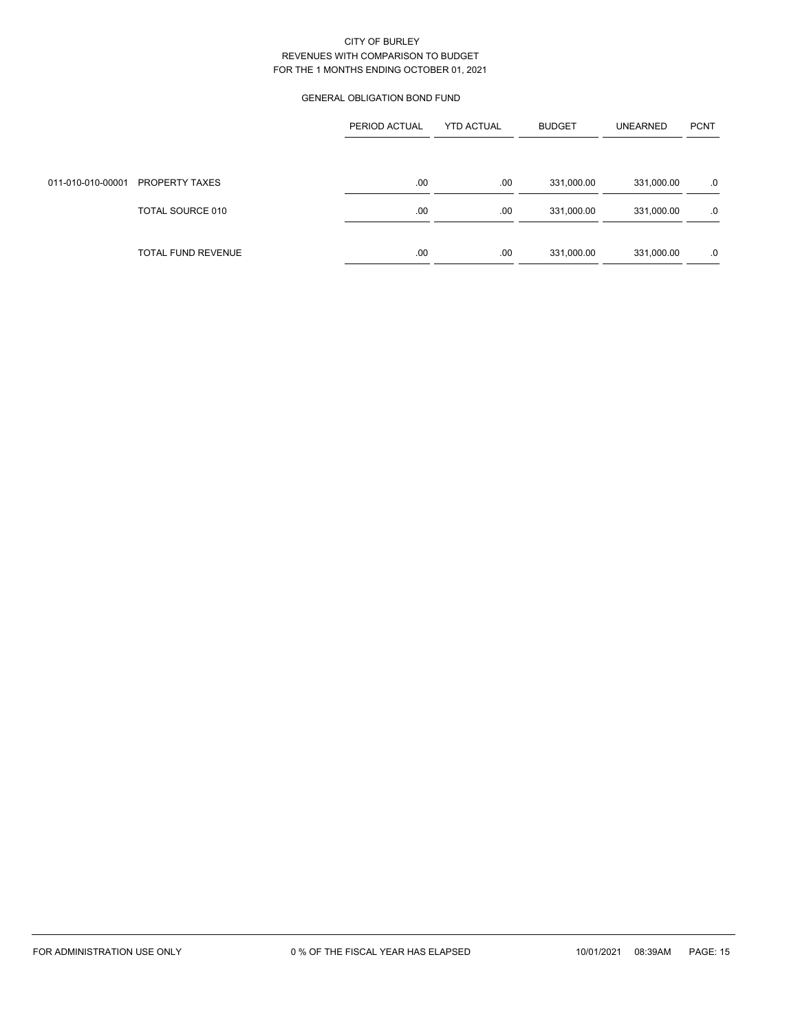# GENERAL OBLIGATION BOND FUND

|                   |                    | PERIOD ACTUAL | <b>YTD ACTUAL</b> | <b>BUDGET</b> | <b>UNEARNED</b> | <b>PCNT</b> |
|-------------------|--------------------|---------------|-------------------|---------------|-----------------|-------------|
|                   |                    |               |                   |               |                 |             |
| 011-010-010-00001 | PROPERTY TAXES     | .00           | .00               | 331,000.00    | 331,000.00      | .0          |
|                   | TOTAL SOURCE 010   | .00           | .00               | 331,000.00    | 331,000.00      | .0          |
|                   | TOTAL FUND REVENUE | .00           | .00               | 331,000.00    | 331,000.00      | .0          |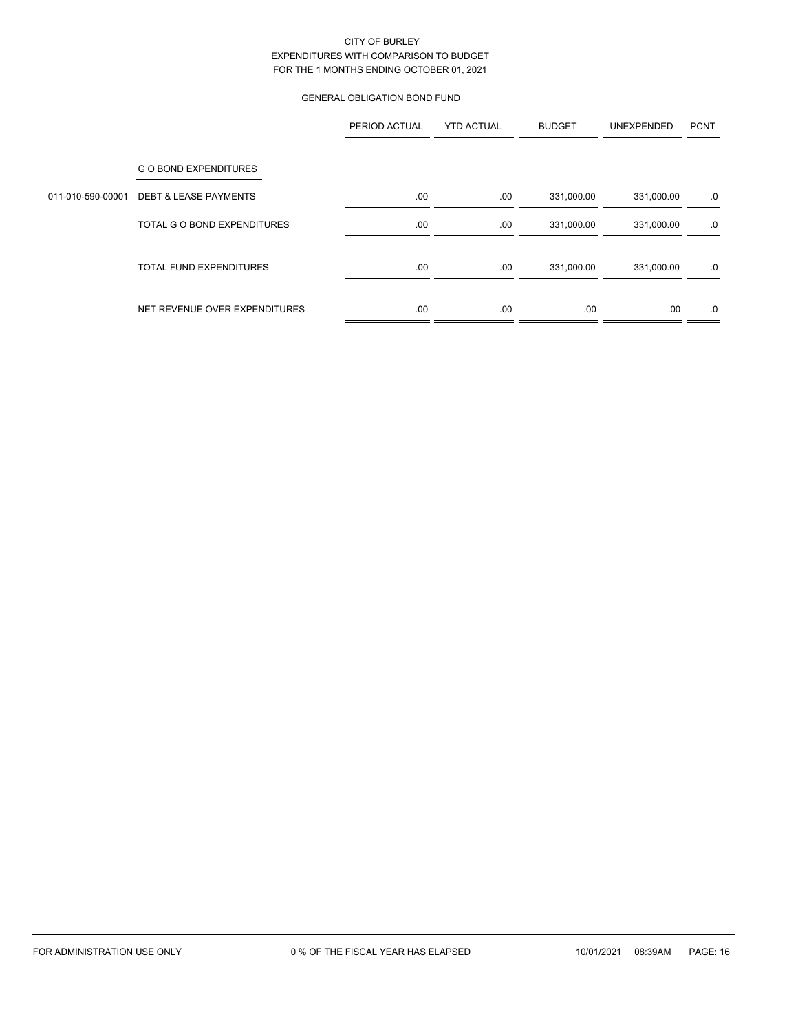# GENERAL OBLIGATION BOND FUND

|                   |                                  | PERIOD ACTUAL | <b>YTD ACTUAL</b> | <b>BUDGET</b> | UNEXPENDED | <b>PCNT</b> |
|-------------------|----------------------------------|---------------|-------------------|---------------|------------|-------------|
|                   | <b>GO BOND EXPENDITURES</b>      |               |                   |               |            |             |
| 011-010-590-00001 | <b>DEBT &amp; LEASE PAYMENTS</b> | .00.          | .00               | 331,000.00    | 331,000.00 | .0          |
|                   | TOTAL G O BOND EXPENDITURES      | .00.          | .00               | 331,000.00    | 331,000.00 | .0          |
|                   | <b>TOTAL FUND EXPENDITURES</b>   | .00           | .00               | 331,000.00    | 331,000.00 | .0          |
|                   | NET REVENUE OVER EXPENDITURES    | .00           | .00               | .00           | .00        | .0          |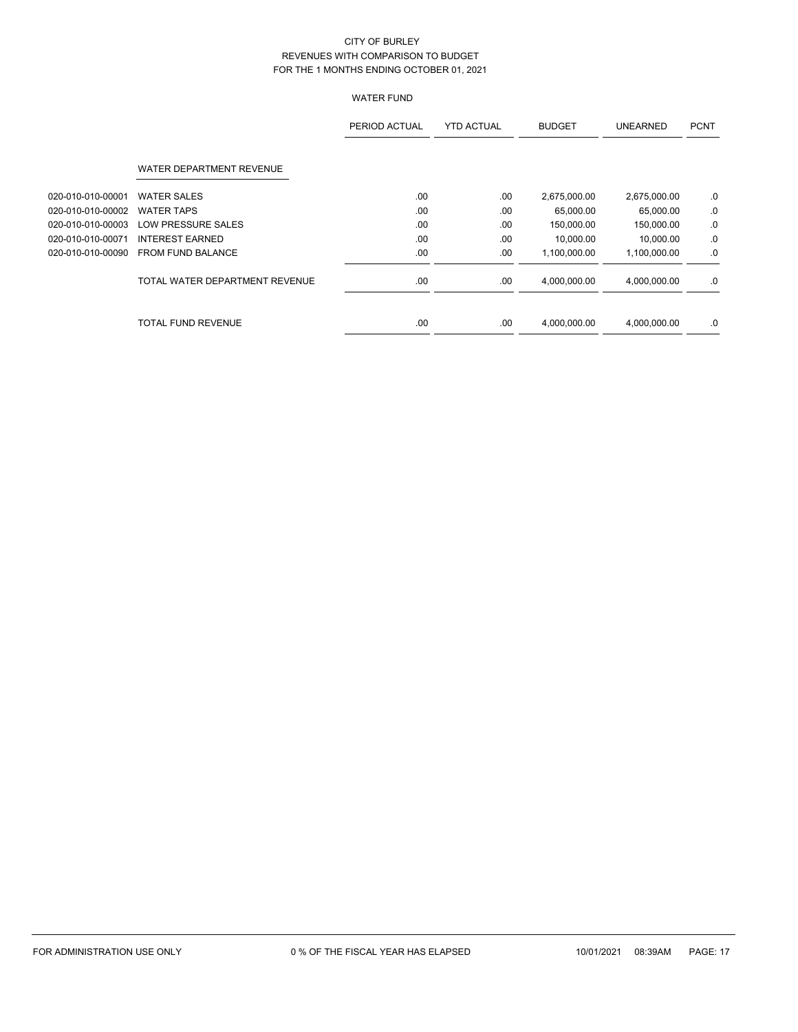# WATER FUND

|                   |                                | PERIOD ACTUAL | <b>YTD ACTUAL</b> | <b>BUDGET</b> | <b>UNEARNED</b> | <b>PCNT</b> |
|-------------------|--------------------------------|---------------|-------------------|---------------|-----------------|-------------|
|                   | WATER DEPARTMENT REVENUE       |               |                   |               |                 |             |
| 020-010-010-00001 | <b>WATER SALES</b>             | .00           | .00               | 2,675,000.00  | 2,675,000.00    | $.0 \,$     |
| 020-010-010-00002 | <b>WATER TAPS</b>              | .00           | .00               | 65,000.00     | 65,000.00       | .0          |
| 020-010-010-00003 | LOW PRESSURE SALES             | .00           | .00               | 150,000.00    | 150,000.00      | .0          |
| 020-010-010-00071 | <b>INTEREST EARNED</b>         | .00           | .00               | 10.000.00     | 10,000.00       | .0          |
| 020-010-010-00090 | <b>FROM FUND BALANCE</b>       | .00           | .00               | 1,100,000.00  | 1,100,000.00    | .0          |
|                   | TOTAL WATER DEPARTMENT REVENUE | .00           | .00               | 4,000,000.00  | 4,000,000.00    | .0          |
|                   | <b>TOTAL FUND REVENUE</b>      | .00           | .00               | 4,000,000.00  | 4,000,000.00    | .0          |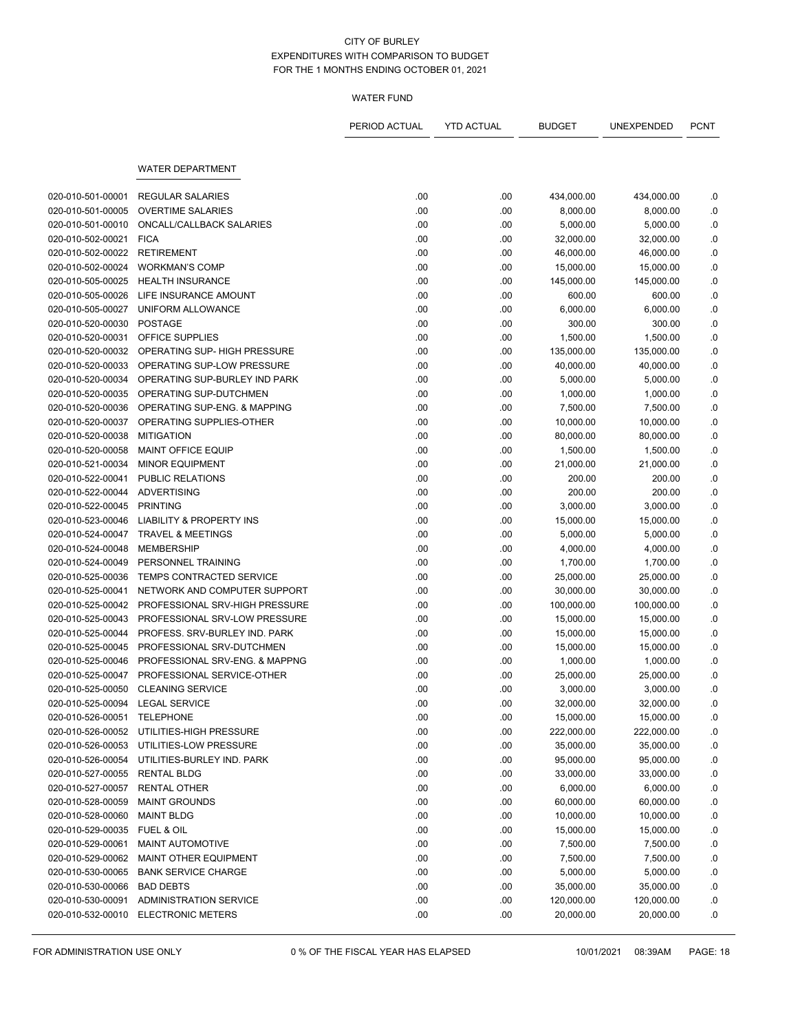### WATER FUND

|                                 |                                     | PERIOD ACTUAL | <b>YTD ACTUAL</b> | <b>BUDGET</b>           | UNEXPENDED | <b>PCNT</b> |
|---------------------------------|-------------------------------------|---------------|-------------------|-------------------------|------------|-------------|
|                                 | <b>WATER DEPARTMENT</b>             |               |                   |                         |            |             |
|                                 |                                     |               |                   |                         |            |             |
| 020-010-501-00001               | <b>REGULAR SALARIES</b>             | .00           | .00               | 434,000.00              | 434,000.00 | .0          |
| 020-010-501-00005               | <b>OVERTIME SALARIES</b>            | .00           | .00               | 8,000.00                | 8,000.00   | .0          |
| 020-010-501-00010               | ONCALL/CALLBACK SALARIES            | .00           | .00               | 5,000.00                | 5,000.00   | .0          |
| 020-010-502-00021               | <b>FICA</b>                         | .00           | .00               | 32,000.00               | 32,000.00  | .0          |
| 020-010-502-00022               | <b>RETIREMENT</b>                   | .00           | .00               | 46,000.00               | 46,000.00  | .0          |
| 020-010-502-00024               | <b>WORKMAN'S COMP</b>               | .00           | .00               | 15,000.00               | 15,000.00  | .0          |
| 020-010-505-00025               | <b>HEALTH INSURANCE</b>             | .00           | .00               | 145,000.00              | 145,000.00 | 0.0         |
| 020-010-505-00026               | LIFE INSURANCE AMOUNT               | .00           | .00               | 600.00                  | 600.00     | .0          |
| 020-010-505-00027               | UNIFORM ALLOWANCE                   | .00           | .00               | 6,000.00                | 6,000.00   | .0          |
| 020-010-520-00030               | <b>POSTAGE</b>                      | .00           | .00               | 300.00                  | 300.00     | .0          |
| 020-010-520-00031               | OFFICE SUPPLIES                     | .00           | .00               | 1,500.00                | 1,500.00   | .0          |
| 020-010-520-00032               | OPERATING SUP- HIGH PRESSURE        | .00           | .00               | 135,000.00              | 135,000.00 | .0          |
| 020-010-520-00033               | OPERATING SUP-LOW PRESSURE          | .00           | .00               | 40,000.00               | 40,000.00  | .0          |
| 020-010-520-00034               | OPERATING SUP-BURLEY IND PARK       | .00           | .00               | 5,000.00                | 5,000.00   | .0          |
| 020-010-520-00035               | OPERATING SUP-DUTCHMEN              | .00           | .00               | 1,000.00                | 1,000.00   | .0          |
| 020-010-520-00036               | OPERATING SUP-ENG. & MAPPING        | .00           | .00               | 7,500.00                | 7,500.00   | .0          |
| 020-010-520-00037               | OPERATING SUPPLIES-OTHER            | .00           | .00               | 10,000.00               | 10,000.00  | 0.0         |
| 020-010-520-00038               | <b>MITIGATION</b>                   | .00           | .00               | 80,000.00               | 80,000.00  | 0.0         |
| 020-010-520-00058               | <b>MAINT OFFICE EQUIP</b>           | .00           | .00               | 1,500.00                | 1,500.00   | .0          |
| 020-010-521-00034               | <b>MINOR EQUIPMENT</b>              | .00           | .00               | 21,000.00               | 21,000.00  | .0          |
| 020-010-522-00041               | PUBLIC RELATIONS                    | .00           | .00               | 200.00                  | 200.00     | .0          |
| 020-010-522-00044               | <b>ADVERTISING</b>                  | .00           | .00               | 200.00                  | 200.00     | 0.0         |
| 020-010-522-00045               | <b>PRINTING</b>                     | .00           | .00               | 3,000.00                | 3,000.00   | .0          |
| 020-010-523-00046               | <b>LIABILITY &amp; PROPERTY INS</b> | .00           | .00               | 15,000.00               | 15,000.00  | .0          |
| 020-010-524-00047               | <b>TRAVEL &amp; MEETINGS</b>        | .00           | .00               | 5,000.00                | 5,000.00   | .0          |
| 020-010-524-00048               | <b>MEMBERSHIP</b>                   | .00           | .00               | 4,000.00                | 4,000.00   | .0          |
| 020-010-524-00049               | PERSONNEL TRAINING                  | .00           | .00               | 1,700.00                | 1,700.00   | $\cdot$ 0   |
| 020-010-525-00036               | TEMPS CONTRACTED SERVICE            | .00           | .00               | 25,000.00               | 25,000.00  | .0          |
| 020-010-525-00041               | NETWORK AND COMPUTER SUPPORT        | .00           | .00               | 30,000.00               | 30,000.00  | .0          |
| 020-010-525-00042               | PROFESSIONAL SRV-HIGH PRESSURE      | .00           | .00               | 100,000.00              | 100,000.00 | .0          |
| 020-010-525-00043               | PROFESSIONAL SRV-LOW PRESSURE       | .00           | .00               | 15,000.00               | 15,000.00  | .0          |
| 020-010-525-00044               | PROFESS, SRV-BURLEY IND, PARK       | .00           | .00               | 15,000.00               | 15,000.00  | .0          |
| 020-010-525-00045               | PROFESSIONAL SRV-DUTCHMEN           | .00           | .00               | 15,000.00               | 15,000.00  | .0          |
| 020-010-525-00046               | PROFESSIONAL SRV-ENG. & MAPPNG      | .00           | .00               | 1,000.00                | 1,000.00   | .0          |
| 020-010-525-00047               | PROFESSIONAL SERVICE-OTHER          | .00           | .00.              | 25,000.00               | 25,000.00  | .0          |
| 020-010-525-00050               | <b>CLEANING SERVICE</b>             | .00           | .00               | 3,000.00                | 3,000.00   | .0          |
| 020-010-525-00094 LEGAL SERVICE |                                     | .00           | .00               | 32.000.00               | 32,000.00  | .0          |
| 020-010-526-00051 TELEPHONE     |                                     | .00           | .00.              | 15,000.00               | 15,000.00  | .0          |
| 020-010-526-00052               | UTILITIES-HIGH PRESSURE             | .00           | .00               |                         |            |             |
|                                 |                                     | .00           |                   | 222,000.00<br>35,000.00 | 222,000.00 | .0          |
| 020-010-526-00053               | UTILITIES-LOW PRESSURE              |               | .00               |                         | 35,000.00  | .0          |
| 020-010-526-00054               | UTILITIES-BURLEY IND. PARK          | .00           | .00               | 95,000.00               | 95,000.00  | .0          |
| 020-010-527-00055               | <b>RENTAL BLDG</b>                  | .00           | .00               | 33,000.00               | 33,000.00  | .0          |
| 020-010-527-00057               | <b>RENTAL OTHER</b>                 | .00           | .00.              | 6,000.00                | 6,000.00   | .0          |
| 020-010-528-00059               | <b>MAINT GROUNDS</b>                | .00           | .00               | 60,000.00               | 60,000.00  | .0          |
| 020-010-528-00060               | <b>MAINT BLDG</b>                   | .00           | .00               | 10,000.00               | 10,000.00  | .0          |
| 020-010-529-00035               | FUEL & OIL                          | .00           | .00               | 15,000.00               | 15,000.00  | $\cdot$     |
| 020-010-529-00061               | <b>MAINT AUTOMOTIVE</b>             | .00           | .00               | 7,500.00                | 7,500.00   | .0          |
| 020-010-529-00062               | MAINT OTHER EQUIPMENT               | .00           | .00               | 7,500.00                | 7,500.00   | .0          |
| 020-010-530-00065               | <b>BANK SERVICE CHARGE</b>          | .00           | .00               | 5,000.00                | 5,000.00   | .0          |
| 020-010-530-00066               | <b>BAD DEBTS</b>                    | .00           | .00.              | 35,000.00               | 35,000.00  | .0          |
| 020-010-530-00091               | <b>ADMINISTRATION SERVICE</b>       | .00           | .00               | 120,000.00              | 120,000.00 | .0          |
| 020-010-532-00010               | <b>ELECTRONIC METERS</b>            | .00           | .00               | 20,000.00               | 20,000.00  | .0          |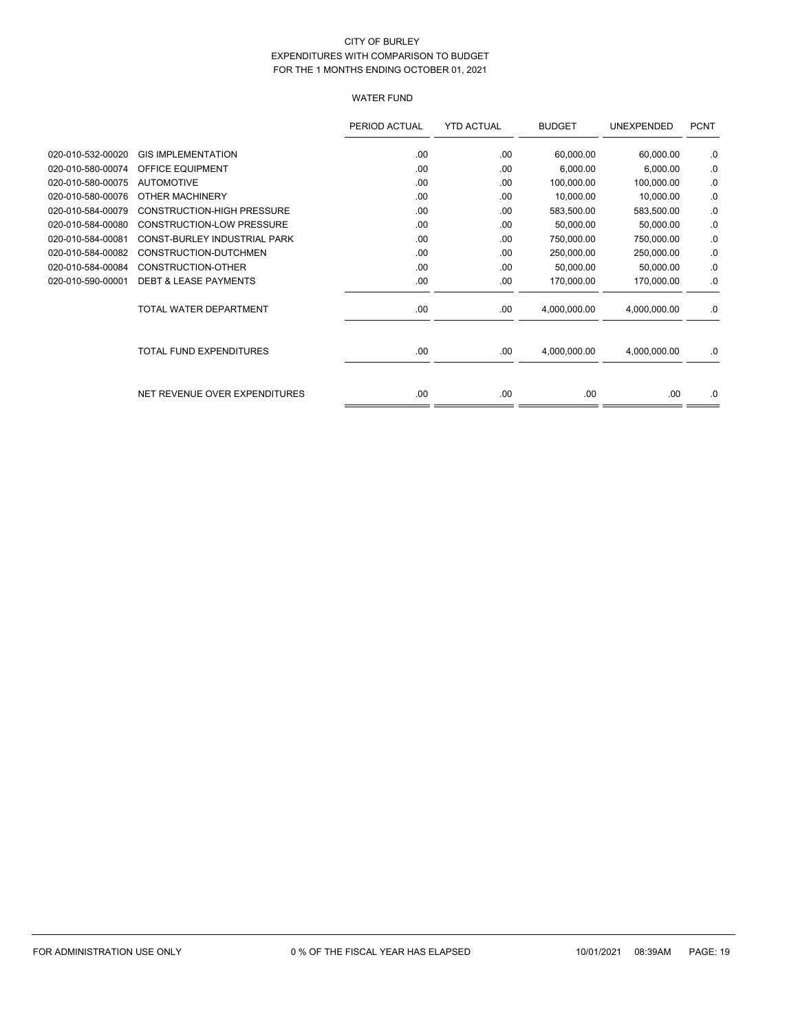# WATER FUND

|                   |                                   | PERIOD ACTUAL | <b>YTD ACTUAL</b> | <b>BUDGET</b> | UNEXPENDED   | <b>PCNT</b> |
|-------------------|-----------------------------------|---------------|-------------------|---------------|--------------|-------------|
| 020-010-532-00020 | <b>GIS IMPLEMENTATION</b>         | .00           | .00               | 60,000.00     | 60,000.00    | .0          |
| 020-010-580-00074 | <b>OFFICE EQUIPMENT</b>           | .00           | .00               | 6,000.00      | 6,000.00     | .0          |
| 020-010-580-00075 | <b>AUTOMOTIVE</b>                 | .00           | .00               | 100,000.00    | 100,000.00   | .0          |
| 020-010-580-00076 | OTHER MACHINERY                   | .00           | .00               | 10,000.00     | 10,000.00    | .0          |
| 020-010-584-00079 | <b>CONSTRUCTION-HIGH PRESSURE</b> | .00           | .00               | 583,500.00    | 583,500.00   | .0          |
| 020-010-584-00080 | <b>CONSTRUCTION-LOW PRESSURE</b>  | .00           | .00               | 50,000.00     | 50,000.00    | .0          |
| 020-010-584-00081 | CONST-BURLEY INDUSTRIAL PARK      | .00           | .00               | 750,000.00    | 750,000.00   | .0          |
| 020-010-584-00082 | CONSTRUCTION-DUTCHMEN             | .00           | .00               | 250,000.00    | 250,000.00   | .0          |
| 020-010-584-00084 | CONSTRUCTION-OTHER                | .00           | .00               | 50,000.00     | 50,000.00    | .0          |
| 020-010-590-00001 | <b>DEBT &amp; LEASE PAYMENTS</b>  | .00           | .00               | 170,000.00    | 170,000.00   | .0          |
|                   | TOTAL WATER DEPARTMENT            | .00           | .00               | 4,000,000.00  | 4,000,000.00 | .0          |
|                   | <b>TOTAL FUND EXPENDITURES</b>    | .00           | .00               | 4,000,000.00  | 4,000,000.00 | .0          |
|                   | NET REVENUE OVER EXPENDITURES     | .00           | .00               | .00.          | .00.         | .0          |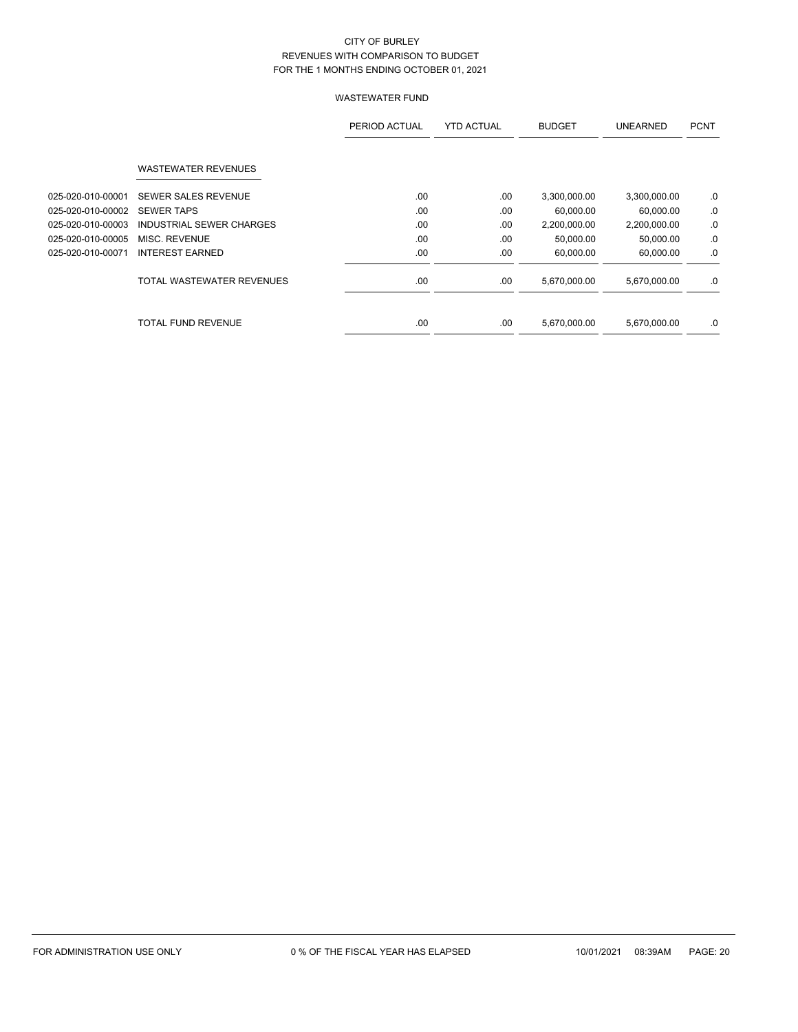|                   |                            | PERIOD ACTUAL | <b>YTD ACTUAL</b> | <b>BUDGET</b> | <b>UNEARNED</b> | <b>PCNT</b> |
|-------------------|----------------------------|---------------|-------------------|---------------|-----------------|-------------|
|                   | <b>WASTEWATER REVENUES</b> |               |                   |               |                 |             |
| 025-020-010-00001 | <b>SEWER SALES REVENUE</b> | .00.          | .00               | 3,300,000.00  | 3,300,000.00    | .0          |
| 025-020-010-00002 | <b>SEWER TAPS</b>          | .00           | .00               | 60,000.00     | 60,000.00       | .0          |
| 025-020-010-00003 | INDUSTRIAL SEWER CHARGES   | .00           | .00               | 2,200,000.00  | 2,200,000.00    | .0          |
| 025-020-010-00005 | MISC. REVENUE              | .00.          | .00               | 50,000.00     | 50,000.00       | .0          |
| 025-020-010-00071 | <b>INTEREST EARNED</b>     | .00.          | .00               | 60,000.00     | 60,000.00       | .0          |
|                   | TOTAL WASTEWATER REVENUES  | .00           | .00               | 5,670,000.00  | 5,670,000.00    | .0          |
|                   | TOTAL FUND REVENUE         | .00           | .00               | 5,670,000.00  | 5,670,000.00    | .0          |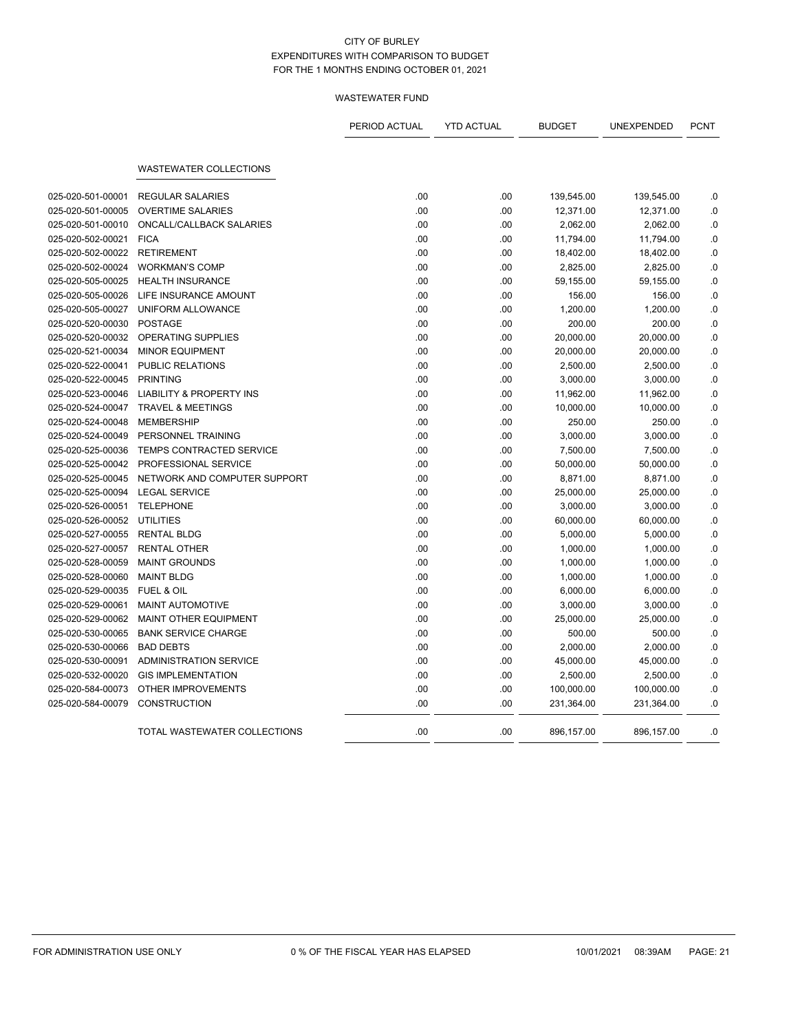|                   |                                     | PERIOD ACTUAL | <b>YTD ACTUAL</b> | <b>BUDGET</b> | UNEXPENDED | <b>PCNT</b> |
|-------------------|-------------------------------------|---------------|-------------------|---------------|------------|-------------|
|                   | <b>WASTEWATER COLLECTIONS</b>       |               |                   |               |            |             |
| 025-020-501-00001 | <b>REGULAR SALARIES</b>             | .00           | .00               | 139,545.00    | 139,545.00 | .0          |
| 025-020-501-00005 | <b>OVERTIME SALARIES</b>            | .00           | .00               | 12,371.00     | 12,371.00  | $\cdot$ 0   |
| 025-020-501-00010 | ONCALL/CALLBACK SALARIES            | .00           | .00               | 2,062.00      | 2,062.00   | $\cdot$ 0   |
| 025-020-502-00021 | <b>FICA</b>                         | .00           | .00               | 11,794.00     | 11,794.00  | .0          |
| 025-020-502-00022 | <b>RETIREMENT</b>                   | .00           | .00               | 18,402.00     | 18,402.00  | $\cdot$ 0   |
| 025-020-502-00024 | <b>WORKMAN'S COMP</b>               | .00           | .00               | 2,825.00      | 2,825.00   | .0          |
| 025-020-505-00025 | <b>HEALTH INSURANCE</b>             | .00           | .00               | 59,155.00     | 59,155.00  | .0          |
| 025-020-505-00026 | LIFE INSURANCE AMOUNT               | .00           | .00               | 156.00        | 156.00     | .0          |
| 025-020-505-00027 | UNIFORM ALLOWANCE                   | .00           | .00               | 1,200.00      | 1,200.00   | $\cdot$ 0   |
| 025-020-520-00030 | <b>POSTAGE</b>                      | .00           | .00               | 200.00        | 200.00     | .0          |
| 025-020-520-00032 | <b>OPERATING SUPPLIES</b>           | .00           | .00               | 20,000.00     | 20,000.00  | .0          |
| 025-020-521-00034 | <b>MINOR EQUIPMENT</b>              | .00           | .00               | 20,000.00     | 20,000.00  | .0          |
| 025-020-522-00041 | PUBLIC RELATIONS                    | .00           | .00               | 2,500.00      | 2,500.00   | $\cdot$ 0   |
| 025-020-522-00045 | <b>PRINTING</b>                     | .00           | .00               | 3,000.00      | 3,000.00   | .0          |
| 025-020-523-00046 | <b>LIABILITY &amp; PROPERTY INS</b> | .00           | .00               | 11,962.00     | 11,962.00  | .0          |
| 025-020-524-00047 | <b>TRAVEL &amp; MEETINGS</b>        | .00           | .00               | 10,000.00     | 10,000.00  | .0          |
| 025-020-524-00048 | <b>MEMBERSHIP</b>                   | .00           | .00               | 250.00        | 250.00     | .0          |
| 025-020-524-00049 | PERSONNEL TRAINING                  | .00           | .00               | 3,000.00      | 3,000.00   | .0          |
| 025-020-525-00036 | TEMPS CONTRACTED SERVICE            | .00           | .00               | 7,500.00      | 7,500.00   | .0          |
| 025-020-525-00042 | PROFESSIONAL SERVICE                | .00           | .00               | 50,000.00     | 50,000.00  | .0          |
| 025-020-525-00045 | NETWORK AND COMPUTER SUPPORT        | .00           | .00               | 8,871.00      | 8,871.00   | .0          |
| 025-020-525-00094 | <b>LEGAL SERVICE</b>                | .00           | .00               | 25,000.00     | 25,000.00  | $\cdot$ 0   |
| 025-020-526-00051 | <b>TELEPHONE</b>                    | .00           | .00               | 3,000.00      | 3,000.00   | .0          |
| 025-020-526-00052 | <b>UTILITIES</b>                    | .00           | .00               | 60,000.00     | 60,000.00  | .0          |
| 025-020-527-00055 | <b>RENTAL BLDG</b>                  | .00           | .00               | 5,000.00      | 5,000.00   | .0          |
| 025-020-527-00057 | <b>RENTAL OTHER</b>                 | .00           | .00               | 1,000.00      | 1,000.00   | .0          |
| 025-020-528-00059 | <b>MAINT GROUNDS</b>                | .00           | .00               | 1,000.00      | 1,000.00   | $\cdot$ 0   |
| 025-020-528-00060 | <b>MAINT BLDG</b>                   | .00           | .00               | 1,000.00      | 1,000.00   | $\cdot$ 0   |
| 025-020-529-00035 | <b>FUEL &amp; OIL</b>               | .00           | .00               | 6,000.00      | 6,000.00   | .0          |
| 025-020-529-00061 | <b>MAINT AUTOMOTIVE</b>             | .00           | .00               | 3,000.00      | 3,000.00   | .0          |
| 025-020-529-00062 | MAINT OTHER EQUIPMENT               | .00           | .00               | 25,000.00     | 25,000.00  | .0          |
| 025-020-530-00065 | <b>BANK SERVICE CHARGE</b>          | .00           | .00               | 500.00        | 500.00     | .0          |
| 025-020-530-00066 | <b>BAD DEBTS</b>                    | .00           | .00               | 2,000.00      | 2,000.00   | .0          |
| 025-020-530-00091 | <b>ADMINISTRATION SERVICE</b>       | .00           | .00               | 45,000.00     | 45,000.00  | .0          |
| 025-020-532-00020 | <b>GIS IMPLEMENTATION</b>           | .00           | .00               | 2,500.00      | 2,500.00   | .0          |
| 025-020-584-00073 | OTHER IMPROVEMENTS                  | .00           | .00               | 100,000.00    | 100,000.00 | $\cdot$ 0   |
| 025-020-584-00079 | <b>CONSTRUCTION</b>                 | .00           | .00               | 231,364.00    | 231,364.00 | .0          |
|                   | TOTAL WASTEWATER COLLECTIONS        | .00           | .00               | 896,157.00    | 896,157.00 | .0          |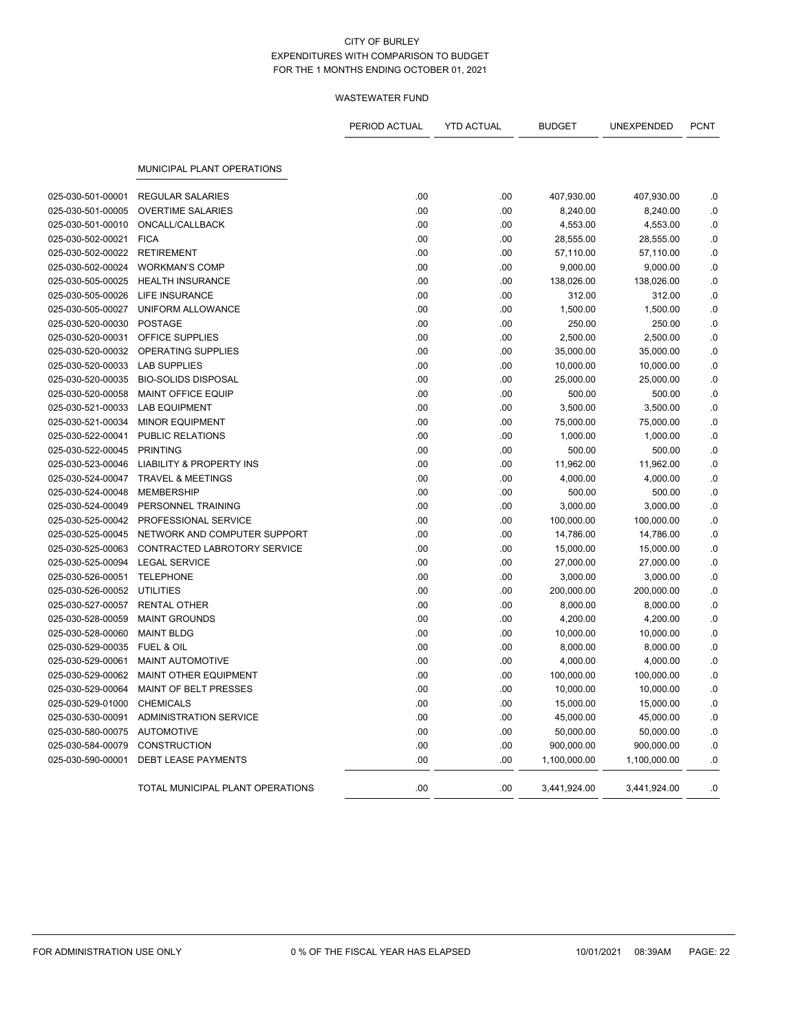|                   |                                     | PERIOD ACTUAL | <b>YTD ACTUAL</b> | <b>BUDGET</b> | UNEXPENDED   | <b>PCNT</b> |
|-------------------|-------------------------------------|---------------|-------------------|---------------|--------------|-------------|
|                   | <b>MUNICIPAL PLANT OPERATIONS</b>   |               |                   |               |              |             |
|                   |                                     |               |                   |               |              |             |
| 025-030-501-00001 | <b>REGULAR SALARIES</b>             | .00           | .00               | 407,930.00    | 407,930.00   | .0          |
| 025-030-501-00005 | <b>OVERTIME SALARIES</b>            | .00           | .00               | 8,240.00      | 8,240.00     | .0          |
| 025-030-501-00010 | ONCALL/CALLBACK                     | .00           | .00               | 4,553.00      | 4,553.00     | .0          |
| 025-030-502-00021 | <b>FICA</b>                         | .00           | .00               | 28,555.00     | 28,555.00    | .0          |
| 025-030-502-00022 | <b>RETIREMENT</b>                   | .00           | .00               | 57,110.00     | 57,110.00    | $0.$        |
| 025-030-502-00024 | <b>WORKMAN'S COMP</b>               | .00           | .00               | 9,000.00      | 9,000.00     | .0          |
| 025-030-505-00025 | <b>HEALTH INSURANCE</b>             | .00           | .00               | 138,026.00    | 138,026.00   | .0          |
| 025-030-505-00026 | <b>LIFE INSURANCE</b>               | .00           | .00               | 312.00        | 312.00       | .0          |
| 025-030-505-00027 | UNIFORM ALLOWANCE                   | .00           | .00               | 1,500.00      | 1,500.00     | $0.$        |
| 025-030-520-00030 | <b>POSTAGE</b>                      | .00           | .00               | 250.00        | 250.00       | .0          |
| 025-030-520-00031 | OFFICE SUPPLIES                     | .00           | .00               | 2,500.00      | 2,500.00     | .0          |
| 025-030-520-00032 | OPERATING SUPPLIES                  | .00           | .00               | 35,000.00     | 35,000.00    | .0          |
| 025-030-520-00033 | <b>LAB SUPPLIES</b>                 | .00           | .00               | 10,000.00     | 10,000.00    | .0          |
| 025-030-520-00035 | <b>BIO-SOLIDS DISPOSAL</b>          | .00           | .00               | 25,000.00     | 25,000.00    | .0          |
| 025-030-520-00058 | <b>MAINT OFFICE EQUIP</b>           | .00           | .00               | 500.00        | 500.00       | .0          |
| 025-030-521-00033 | <b>LAB EQUIPMENT</b>                | .00           | .00               | 3,500.00      | 3,500.00     | 0.0         |
| 025-030-521-00034 | <b>MINOR EQUIPMENT</b>              | .00           | .00               | 75,000.00     | 75,000.00    | .0          |
| 025-030-522-00041 | PUBLIC RELATIONS                    | .00           | .00               | 1,000.00      | 1,000.00     | .0          |
| 025-030-522-00045 | <b>PRINTING</b>                     | .00           | .00               | 500.00        | 500.00       | 0.0         |
| 025-030-523-00046 | <b>LIABILITY &amp; PROPERTY INS</b> | .00           | .00               | 11,962.00     | 11,962.00    | 0.          |
| 025-030-524-00047 | <b>TRAVEL &amp; MEETINGS</b>        | .00           | .00               | 4,000.00      | 4,000.00     | .0          |
| 025-030-524-00048 | <b>MEMBERSHIP</b>                   | .00           | .00               | 500.00        | 500.00       | .0          |
| 025-030-524-00049 | PERSONNEL TRAINING                  | .00           | .00               | 3,000.00      | 3,000.00     | 0.0         |
| 025-030-525-00042 | PROFESSIONAL SERVICE                | .00           | .00               | 100,000.00    | 100,000.00   | 0.          |
| 025-030-525-00045 | NETWORK AND COMPUTER SUPPORT        | .00           | .00               | 14,786.00     | 14,786.00    | .0          |
| 025-030-525-00063 | CONTRACTED LABROTORY SERVICE        | .00           | .00               | 15,000.00     | 15,000.00    | .0          |
| 025-030-525-00094 | <b>LEGAL SERVICE</b>                | .00           | .00               | 27,000.00     | 27,000.00    | 0.0         |
| 025-030-526-00051 | <b>TELEPHONE</b>                    | .00           | .00               | 3,000.00      | 3,000.00     | .0          |
| 025-030-526-00052 | <b>UTILITIES</b>                    | .00           | .00               | 200,000.00    | 200,000.00   | .0          |
| 025-030-527-00057 | <b>RENTAL OTHER</b>                 | .00           | .00               | 8,000.00      | 8,000.00     | .0          |
| 025-030-528-00059 | <b>MAINT GROUNDS</b>                | .00           | .00               | 4,200.00      | 4,200.00     | 0.0         |
| 025-030-528-00060 | <b>MAINT BLDG</b>                   | .00           | .00               | 10,000.00     | 10,000.00    | .0          |
| 025-030-529-00035 | <b>FUEL &amp; OIL</b>               | .00           | .00               | 8,000.00      | 8,000.00     | .0          |
| 025-030-529-00061 | MAINT AUTOMOTIVE                    | .00           | .00               | 4,000.00      | 4,000.00     | .0          |
| 025-030-529-00062 | MAINT OTHER EQUIPMENT               | .00           | .00               | 100,000.00    | 100,000.00   | .0          |
| 025-030-529-00064 | <b>MAINT OF BELT PRESSES</b>        | .00           | .00               | 10,000.00     | 10,000.00    | .0          |
| 025-030-529-01000 | <b>CHEMICALS</b>                    | .00           | .00               | 15,000.00     | 15,000.00    | .0          |
| 025-030-530-00091 | <b>ADMINISTRATION SERVICE</b>       | .00           | .00               | 45,000.00     | 45,000.00    | .0          |
| 025-030-580-00075 | <b>AUTOMOTIVE</b>                   | .00           | .00               | 50,000.00     | 50,000.00    | $0.$        |
| 025-030-584-00079 | <b>CONSTRUCTION</b>                 | .00           | .00               | 900,000.00    | 900,000.00   | .0          |
| 025-030-590-00001 | <b>DEBT LEASE PAYMENTS</b>          | .00           | .00               | 1,100,000.00  | 1,100,000.00 | 0.          |
|                   | TOTAL MUNICIPAL PLANT OPERATIONS    | .00           | .00               | 3,441,924.00  | 3,441,924.00 | .0          |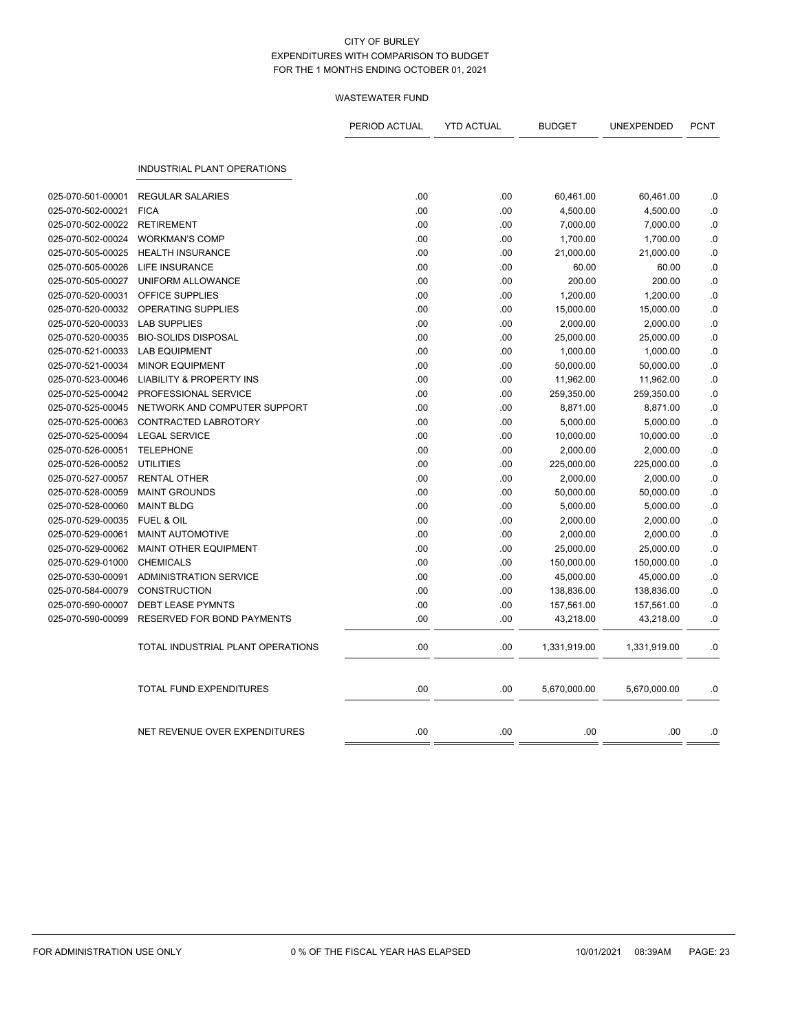|                   |                                     | PERIOD ACTUAL | <b>YTD ACTUAL</b> | <b>BUDGET</b> | UNEXPENDED   | <b>PCNT</b> |
|-------------------|-------------------------------------|---------------|-------------------|---------------|--------------|-------------|
|                   | <b>INDUSTRIAL PLANT OPERATIONS</b>  |               |                   |               |              |             |
|                   |                                     |               |                   |               |              |             |
| 025-070-501-00001 | <b>REGULAR SALARIES</b>             | .00           | .00               | 60,461.00     | 60,461.00    | .0          |
| 025-070-502-00021 | <b>FICA</b>                         | .00           | .00               | 4,500.00      | 4,500.00     | .0          |
| 025-070-502-00022 | <b>RETIREMENT</b>                   | .00           | .00               | 7,000.00      | 7,000.00     | .0          |
| 025-070-502-00024 | <b>WORKMAN'S COMP</b>               | .00           | .00               | 1,700.00      | 1,700.00     | .0          |
| 025-070-505-00025 | <b>HEALTH INSURANCE</b>             | .00           | .00               | 21,000.00     | 21,000.00    | .0          |
| 025-070-505-00026 | LIFE INSURANCE                      | .00           | .00               | 60.00         | 60.00        | .0          |
| 025-070-505-00027 | UNIFORM ALLOWANCE                   | .00           | .00               | 200.00        | 200.00       | .0          |
| 025-070-520-00031 | OFFICE SUPPLIES                     | .00           | .00               | 1,200.00      | 1,200.00     | $\cdot$ 0   |
| 025-070-520-00032 | OPERATING SUPPLIES                  | .00           | .00               | 15,000.00     | 15,000.00    | $0.$        |
| 025-070-520-00033 | <b>LAB SUPPLIES</b>                 | .00           | .00               | 2,000.00      | 2,000.00     | .0          |
| 025-070-520-00035 | <b>BIO-SOLIDS DISPOSAL</b>          | .00           | .00               | 25,000.00     | 25,000.00    | .0          |
| 025-070-521-00033 | <b>LAB EQUIPMENT</b>                | .00           | .00               | 1,000.00      | 1,000.00     | .0          |
| 025-070-521-00034 | <b>MINOR EQUIPMENT</b>              | .00           | .00               | 50,000.00     | 50,000.00    | .0          |
| 025-070-523-00046 | <b>LIABILITY &amp; PROPERTY INS</b> | .00           | .00               | 11,962.00     | 11,962.00    | .0          |
| 025-070-525-00042 | PROFESSIONAL SERVICE                | .00           | .00               | 259,350.00    | 259,350.00   | .0          |
| 025-070-525-00045 | NETWORK AND COMPUTER SUPPORT        | .00           | .00               | 8,871.00      | 8,871.00     | .0          |
| 025-070-525-00063 | CONTRACTED LABROTORY                | .00           | .00               | 5,000.00      | 5,000.00     | .0          |
| 025-070-525-00094 | <b>LEGAL SERVICE</b>                | .00           | .00               | 10,000.00     | 10,000.00    | 0.0         |
| 025-070-526-00051 | <b>TELEPHONE</b>                    | .00           | .00               | 2,000.00      | 2,000.00     | .0          |
| 025-070-526-00052 | <b>UTILITIES</b>                    | .00           | .00               | 225,000.00    | 225,000.00   | .0          |
| 025-070-527-00057 | <b>RENTAL OTHER</b>                 | .00           | .00.              | 2,000.00      | 2,000.00     | .0          |
| 025-070-528-00059 | <b>MAINT GROUNDS</b>                | .00           | .00               | 50,000.00     | 50,000.00    | .0          |
| 025-070-528-00060 | <b>MAINT BLDG</b>                   | .00           | .00               | 5,000.00      | 5,000.00     | .0          |
| 025-070-529-00035 | <b>FUEL &amp; OIL</b>               | .00           | .00.              | 2,000.00      | 2,000.00     | .0          |
| 025-070-529-00061 | <b>MAINT AUTOMOTIVE</b>             | .00           | .00               | 2,000.00      | 2,000.00     | .0          |
| 025-070-529-00062 | <b>MAINT OTHER EQUIPMENT</b>        | .00           | .00               | 25,000.00     | 25,000.00    | .0          |
| 025-070-529-01000 | <b>CHEMICALS</b>                    | .00           | .00               | 150,000.00    | 150,000.00   | .0          |
| 025-070-530-00091 | <b>ADMINISTRATION SERVICE</b>       | .00           | .00               | 45,000.00     | 45,000.00    | .0          |
| 025-070-584-00079 | <b>CONSTRUCTION</b>                 | .00           | .00               | 138,836.00    | 138,836.00   | .0          |
| 025-070-590-00007 | <b>DEBT LEASE PYMNTS</b>            | .00           | .00               | 157,561.00    | 157,561.00   | .0          |
| 025-070-590-00099 | RESERVED FOR BOND PAYMENTS          | .00           | .00               | 43,218.00     | 43,218.00    | .0          |
|                   |                                     |               |                   |               |              |             |
|                   | TOTAL INDUSTRIAL PLANT OPERATIONS   | .00           | .00               | 1,331,919.00  | 1,331,919.00 | .0          |
|                   | <b>TOTAL FUND EXPENDITURES</b>      | .00           | .00               | 5,670,000.00  | 5,670,000.00 | .0          |
|                   |                                     |               |                   |               |              |             |
|                   | NET REVENUE OVER EXPENDITURES       | .00           | .00               | .00           | .00          | .0          |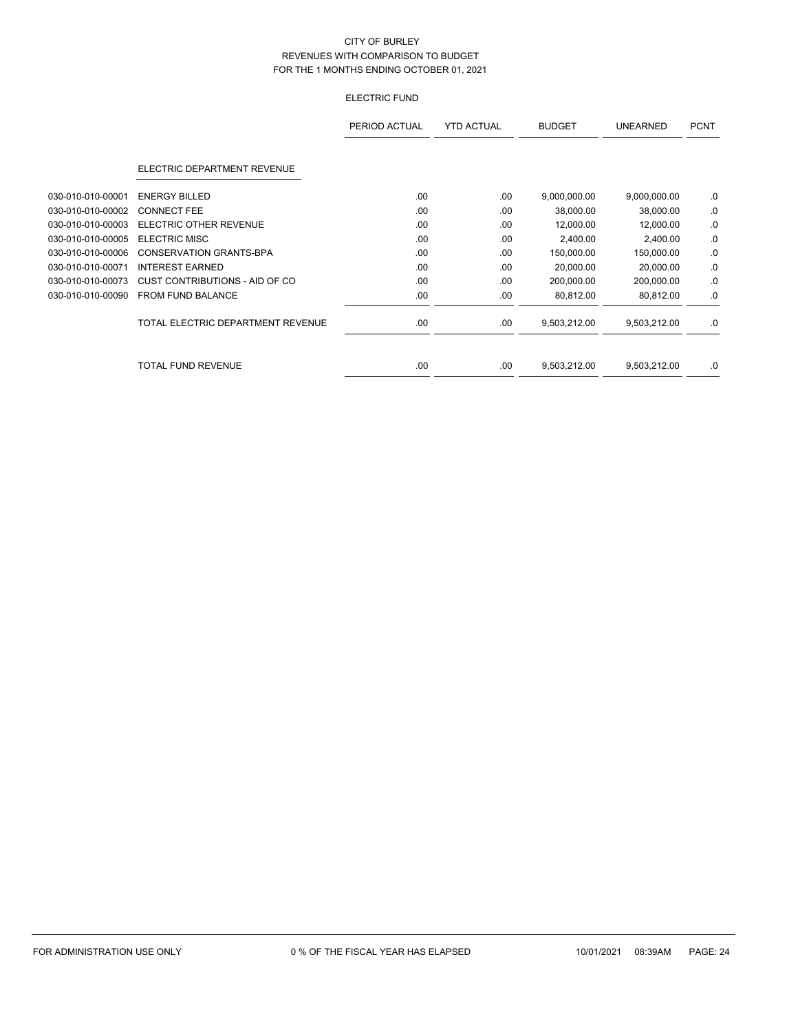# ELECTRIC FUND

|                   |                                   | PERIOD ACTUAL | <b>YTD ACTUAL</b> | <b>BUDGET</b> | <b>UNEARNED</b> | <b>PCNT</b> |
|-------------------|-----------------------------------|---------------|-------------------|---------------|-----------------|-------------|
|                   | ELECTRIC DEPARTMENT REVENUE       |               |                   |               |                 |             |
| 030-010-010-00001 | <b>ENERGY BILLED</b>              | .00           | .00.              | 9,000,000.00  | 9,000,000.00    | $.0 \,$     |
| 030-010-010-00002 | <b>CONNECT FEE</b>                | .00           | .00.              | 38,000.00     | 38,000.00       | 0.          |
| 030-010-010-00003 | ELECTRIC OTHER REVENUE            | .00           | .00.              | 12,000.00     | 12,000.00       | 0.          |
| 030-010-010-00005 | <b>ELECTRIC MISC</b>              | .00           | .00               | 2,400.00      | 2,400.00        | .0          |
| 030-010-010-00006 | <b>CONSERVATION GRANTS-BPA</b>    | .00           | .00.              | 150,000.00    | 150,000.00      | .0          |
| 030-010-010-00071 | <b>INTEREST EARNED</b>            | .00           | .00               | 20,000.00     | 20,000.00       | .0          |
| 030-010-010-00073 | CUST CONTRIBUTIONS - AID OF CO    | .00           | .00               | 200,000.00    | 200,000.00      | .0          |
| 030-010-010-00090 | <b>FROM FUND BALANCE</b>          | .00           | .00.              | 80,812.00     | 80,812.00       | .0          |
|                   | TOTAL ELECTRIC DEPARTMENT REVENUE | .00           | .00.              | 9,503,212.00  | 9,503,212.00    | .0          |
|                   | TOTAL FUND REVENUE                | .00.          | .00               | 9,503,212.00  | 9,503,212.00    | .0          |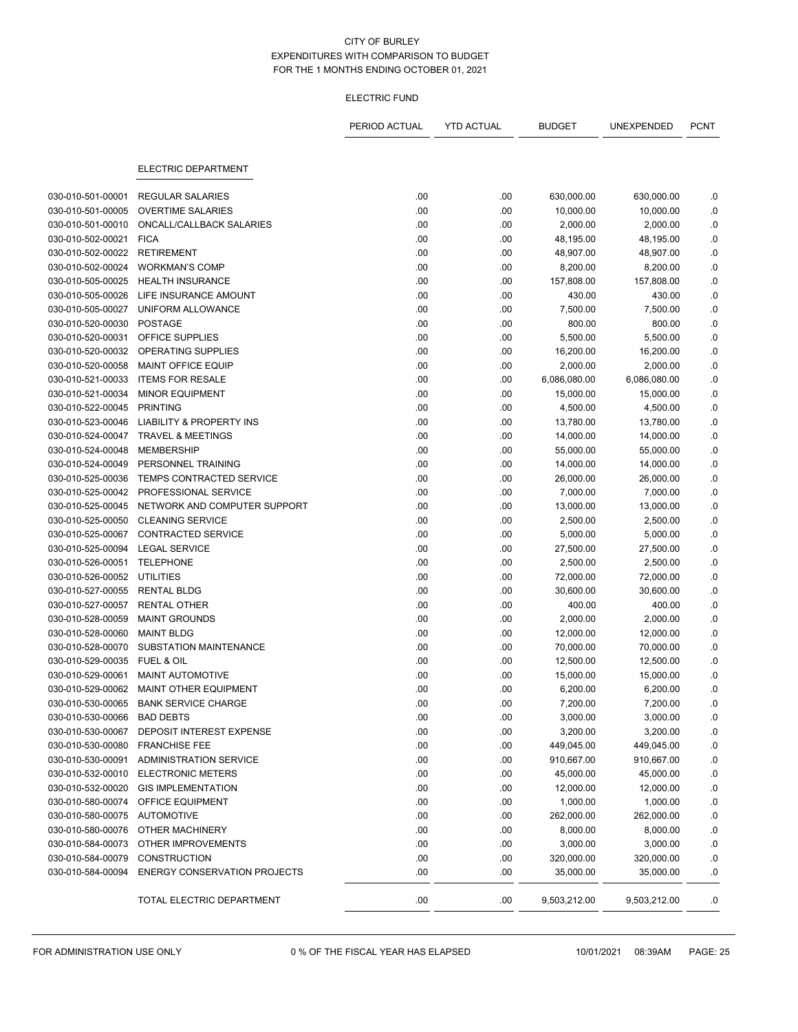#### ELECTRIC FUND

|                   |                                     | PERIOD ACTUAL | <b>YTD ACTUAL</b> | <b>BUDGET</b> | UNEXPENDED   | <b>PCNT</b> |
|-------------------|-------------------------------------|---------------|-------------------|---------------|--------------|-------------|
|                   | <b>ELECTRIC DEPARTMENT</b>          |               |                   |               |              |             |
| 030-010-501-00001 | <b>REGULAR SALARIES</b>             | .00           | .00               | 630,000.00    | 630,000.00   | .0          |
| 030-010-501-00005 | <b>OVERTIME SALARIES</b>            | .00           | .00               | 10,000.00     | 10,000.00    | .0          |
| 030-010-501-00010 | ONCALL/CALLBACK SALARIES            | .00           | .00               | 2,000.00      | 2,000.00     | .0          |
| 030-010-502-00021 | <b>FICA</b>                         | .00           | .00               | 48,195.00     | 48,195.00    | $\cdot$ 0   |
| 030-010-502-00022 | <b>RETIREMENT</b>                   | .00           | .00               | 48,907.00     | 48,907.00    | $\cdot$ 0   |
| 030-010-502-00024 | <b>WORKMAN'S COMP</b>               | .00           | .00               | 8,200.00      | 8,200.00     | .0          |
| 030-010-505-00025 | <b>HEALTH INSURANCE</b>             | .00           | .00               | 157,808.00    | 157,808.00   | .0          |
| 030-010-505-00026 | LIFE INSURANCE AMOUNT               | .00           | .00               | 430.00        | 430.00       | .0          |
| 030-010-505-00027 | UNIFORM ALLOWANCE                   | .00           | .00               | 7,500.00      | 7,500.00     | 0.          |
| 030-010-520-00030 | <b>POSTAGE</b>                      | .00           | .00               | 800.00        | 800.00       | .0          |
| 030-010-520-00031 | OFFICE SUPPLIES                     | .00           | .00               | 5,500.00      | 5,500.00     | .0          |
| 030-010-520-00032 | OPERATING SUPPLIES                  | .00           | .00               | 16,200.00     | 16,200.00    | .0          |
| 030-010-520-00058 | MAINT OFFICE EQUIP                  | .00           | .00               | 2,000.00      | 2,000.00     | .0          |
| 030-010-521-00033 | <b>ITEMS FOR RESALE</b>             | .00           | .00               | 6,086,080.00  | 6,086,080.00 | .0          |
| 030-010-521-00034 | <b>MINOR EQUIPMENT</b>              | .00           | .00               | 15,000.00     | 15,000.00    | $\cdot$ 0   |
| 030-010-522-00045 | <b>PRINTING</b>                     | .00           | .00               | 4,500.00      | 4,500.00     | .0          |
| 030-010-523-00046 | <b>LIABILITY &amp; PROPERTY INS</b> | .00           | .00               | 13,780.00     | 13,780.00    | $\cdot$ 0   |
| 030-010-524-00047 | <b>TRAVEL &amp; MEETINGS</b>        | .00           | .00               | 14,000.00     | 14,000.00    | $\cdot$ 0   |
| 030-010-524-00048 | <b>MEMBERSHIP</b>                   | .00           | .00               | 55,000.00     | 55,000.00    | .0          |
| 030-010-524-00049 | PERSONNEL TRAINING                  | .00           | .00               | 14,000.00     | 14,000.00    | $\cdot$ 0   |
| 030-010-525-00036 | <b>TEMPS CONTRACTED SERVICE</b>     | .00           | .00               | 26,000.00     | 26,000.00    | .0          |
| 030-010-525-00042 | PROFESSIONAL SERVICE                | .00           | .00               | 7,000.00      | 7,000.00     | $\cdot$     |
| 030-010-525-00045 | NETWORK AND COMPUTER SUPPORT        | .00           | .00               | 13,000.00     | 13,000.00    | .0          |
| 030-010-525-00050 | <b>CLEANING SERVICE</b>             | .00           | .00               | 2,500.00      | 2,500.00     | $\cdot$ 0   |
| 030-010-525-00067 | <b>CONTRACTED SERVICE</b>           | .00           | .00               | 5,000.00      | 5,000.00     | $\cdot$ 0   |
| 030-010-525-00094 | <b>LEGAL SERVICE</b>                | .00           | .00               | 27,500.00     | 27,500.00    | .0          |
| 030-010-526-00051 | <b>TELEPHONE</b>                    | .00           | .00               | 2,500.00      | 2,500.00     | $\cdot$ 0   |
| 030-010-526-00052 | <b>UTILITIES</b>                    | .00           | .00               | 72,000.00     | 72,000.00    | .0          |
| 030-010-527-00055 | <b>RENTAL BLDG</b>                  | .00           | .00               | 30,600.00     | 30,600.00    | 0.          |
| 030-010-527-00057 | <b>RENTAL OTHER</b>                 | .00           | .00               | 400.00        | 400.00       | .0          |
| 030-010-528-00059 | <b>MAINT GROUNDS</b>                | .00           | .00               | 2,000.00      | 2,000.00     | .0          |
| 030-010-528-00060 | <b>MAINT BLDG</b>                   | .00           | .00               | 12,000.00     | 12,000.00    | .0          |
| 030-010-528-00070 | SUBSTATION MAINTENANCE              | .00           | .00               | 70,000.00     | 70,000.00    | .0          |
| 030-010-529-00035 | FUEL & OIL                          | .00           | .00               | 12,500.00     | 12,500.00    | .0          |
| 030-010-529-00061 | <b>MAINT AUTOMOTIVE</b>             | .00           | .00               | 15,000.00     | 15,000.00    | .0          |
| 030-010-529-00062 | MAINT OTHER EQUIPMENT               | .00           | .00               | 6,200.00      | 6,200.00     | .0          |
| 030-010-530-00065 | <b>BANK SERVICE CHARGE</b>          | .00           | .00               | 7,200.00      | 7,200.00     | 0.          |
| 030-010-530-00066 | <b>BAD DEBTS</b>                    | .00           | .00               | 3,000.00      | 3,000.00     | .0          |
| 030-010-530-00067 | DEPOSIT INTEREST EXPENSE            | .00           | .00               | 3,200.00      | 3,200.00     | .0          |
| 030-010-530-00080 | <b>FRANCHISE FEE</b>                | .00           | .00               | 449,045.00    | 449,045.00   | .0          |
| 030-010-530-00091 | <b>ADMINISTRATION SERVICE</b>       | .00           | .00               | 910,667.00    | 910,667.00   | .0          |
| 030-010-532-00010 | <b>ELECTRONIC METERS</b>            | .00           | .00               | 45,000.00     | 45,000.00    | .0          |
| 030-010-532-00020 | <b>GIS IMPLEMENTATION</b>           | .00           | .00               | 12,000.00     | 12,000.00    | .0          |
| 030-010-580-00074 | OFFICE EQUIPMENT                    | .00           | .00               | 1,000.00      | 1,000.00     | .0          |
| 030-010-580-00075 | <b>AUTOMOTIVE</b>                   | .00           | .00               | 262,000.00    | 262,000.00   | .0          |
| 030-010-580-00076 | OTHER MACHINERY                     | .00           | .00               | 8,000.00      | 8,000.00     | .0          |
| 030-010-584-00073 | OTHER IMPROVEMENTS                  | .00           | .00               | 3,000.00      | 3,000.00     | .0          |
| 030-010-584-00079 | <b>CONSTRUCTION</b>                 | .00           | .00               | 320,000.00    | 320,000.00   | .0          |
| 030-010-584-00094 | <b>ENERGY CONSERVATION PROJECTS</b> | .00           | .00               | 35,000.00     | 35,000.00    | .0          |
|                   | TOTAL ELECTRIC DEPARTMENT           | .00           | .00.              | 9,503,212.00  | 9,503,212.00 | .0          |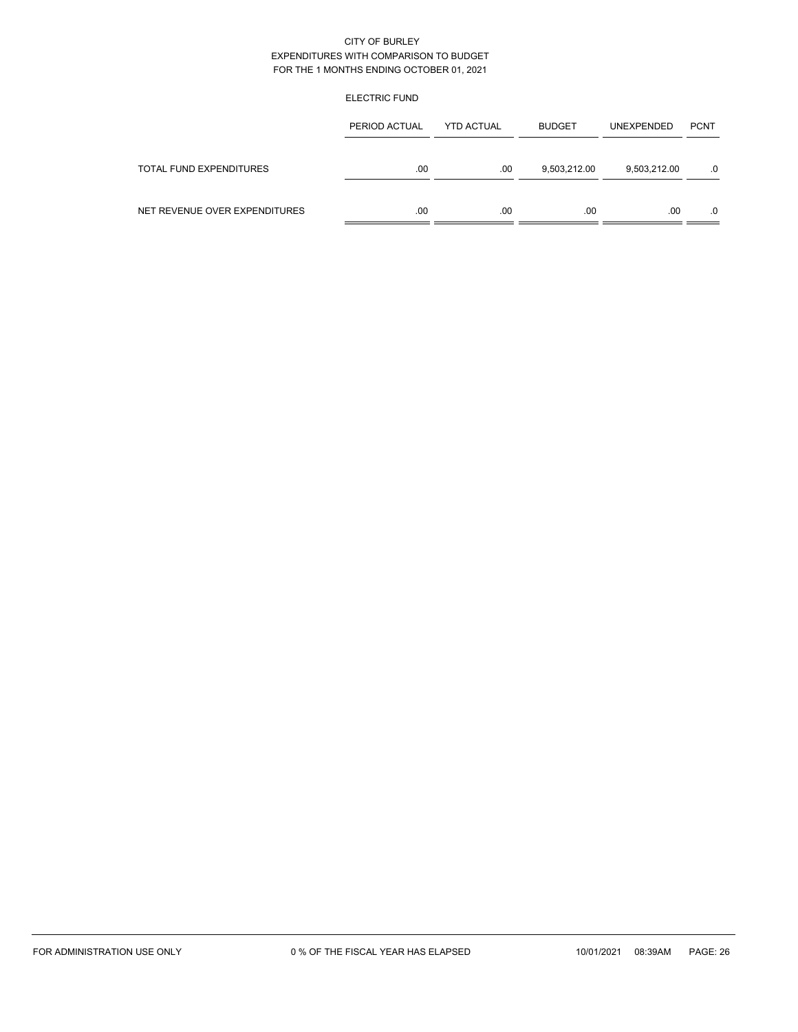## ELECTRIC FUND

|                               | PERIOD ACTUAL | <b>YTD ACTUAL</b> | <b>BUDGET</b> | <b>UNEXPENDED</b> | <b>PCNT</b> |
|-------------------------------|---------------|-------------------|---------------|-------------------|-------------|
| TOTAL FUND EXPENDITURES       | .00           | .00               | 9,503,212.00  | 9,503,212.00      | 0.          |
| NET REVENUE OVER EXPENDITURES | .00           | .00               | .00           | .00               | $.0 \,$     |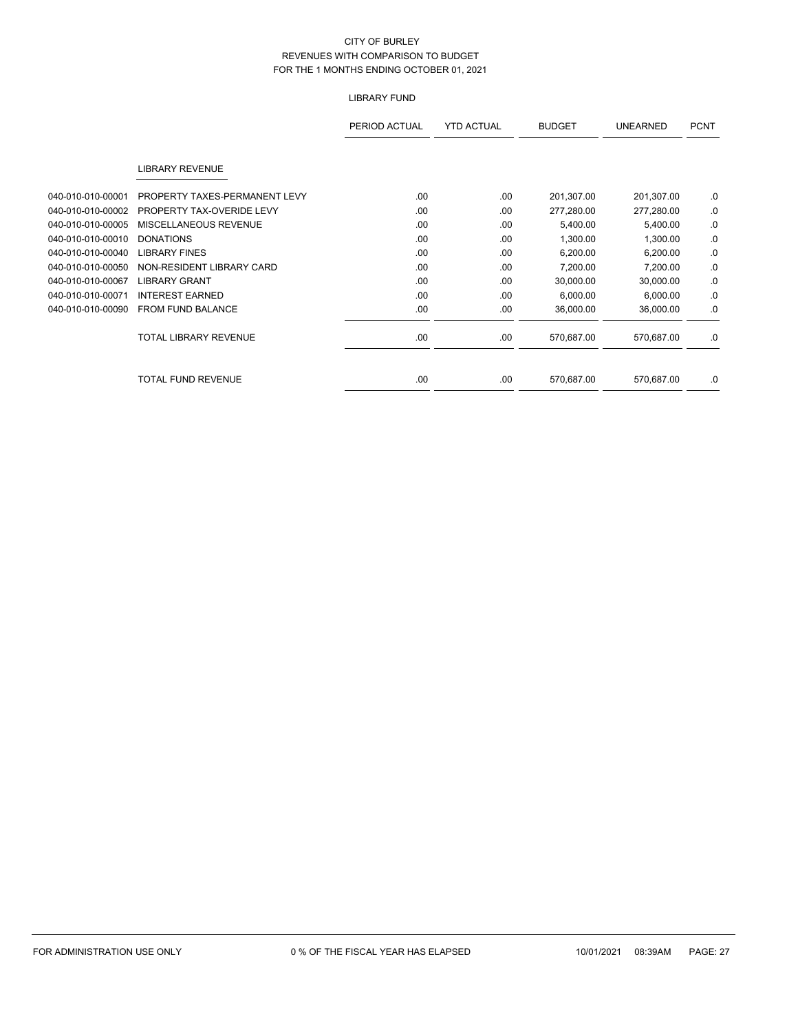# LIBRARY FUND

|                   |                               | PERIOD ACTUAL | <b>YTD ACTUAL</b> | <b>BUDGET</b> | <b>UNEARNED</b> | <b>PCNT</b> |
|-------------------|-------------------------------|---------------|-------------------|---------------|-----------------|-------------|
|                   | <b>LIBRARY REVENUE</b>        |               |                   |               |                 |             |
| 040-010-010-00001 | PROPERTY TAXES-PERMANENT LEVY | .00           | .00               | 201,307.00    | 201,307.00      | .0          |
| 040-010-010-00002 | PROPERTY TAX-OVERIDE LEVY     | .00           | .00               | 277,280.00    | 277,280.00      | .0          |
| 040-010-010-00005 | MISCELLANEOUS REVENUE         | .00           | .00               | 5,400.00      | 5,400.00        | .0          |
| 040-010-010-00010 | <b>DONATIONS</b>              | .00           | .00               | 1,300.00      | 1,300.00        | .0          |
| 040-010-010-00040 | <b>LIBRARY FINES</b>          | .00           | .00               | 6,200.00      | 6,200.00        | .0          |
| 040-010-010-00050 | NON-RESIDENT LIBRARY CARD     | .00           | .00               | 7,200.00      | 7,200.00        | .0          |
| 040-010-010-00067 | <b>LIBRARY GRANT</b>          | .00           | .00               | 30,000.00     | 30,000.00       | .0          |
| 040-010-010-00071 | <b>INTEREST EARNED</b>        | .00           | .00               | 6,000.00      | 6,000.00        | .0          |
| 040-010-010-00090 | FROM FUND BALANCE             | .00           | .00               | 36,000.00     | 36,000.00       | .0          |
|                   | <b>TOTAL LIBRARY REVENUE</b>  | .00           | .00               | 570,687.00    | 570,687.00      | .0          |
|                   | <b>TOTAL FUND REVENUE</b>     | .00           | .00               | 570,687.00    | 570,687.00      | .0          |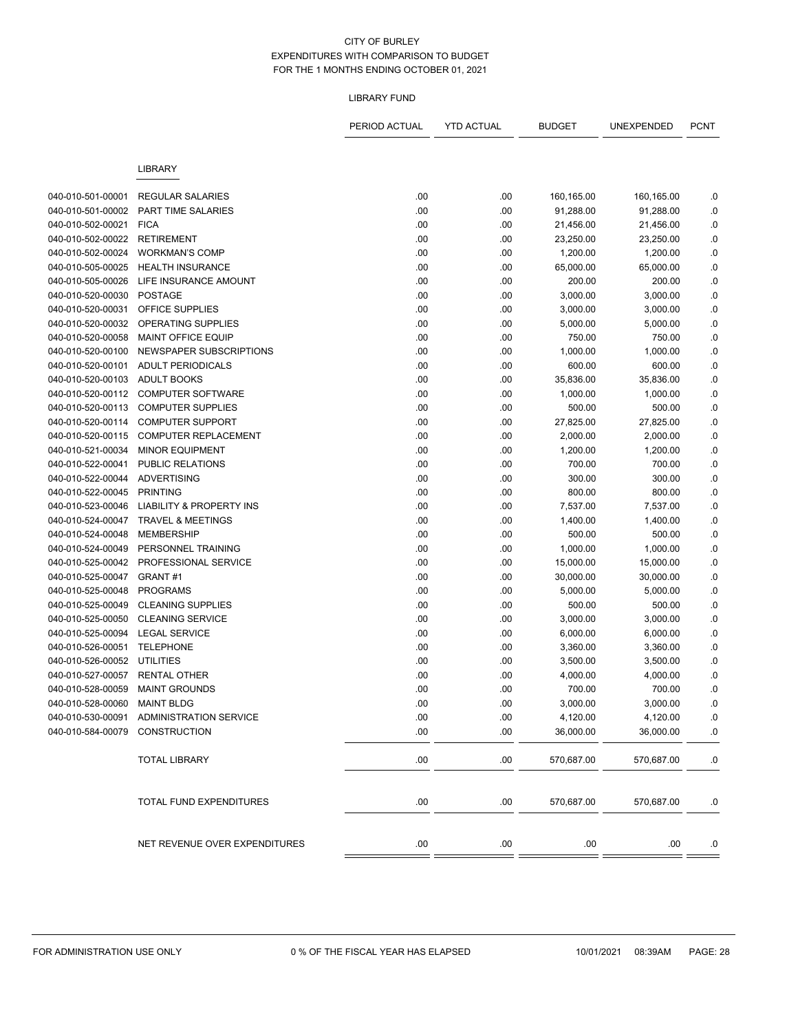### LIBRARY FUND

|                              |                                          | PERIOD ACTUAL | <b>YTD ACTUAL</b> | <b>BUDGET</b> | UNEXPENDED | <b>PCNT</b> |
|------------------------------|------------------------------------------|---------------|-------------------|---------------|------------|-------------|
|                              | <b>LIBRARY</b>                           |               |                   |               |            |             |
|                              |                                          |               |                   |               |            |             |
| 040-010-501-00001            | <b>REGULAR SALARIES</b>                  | .00           | .00               | 160,165.00    | 160,165.00 | .0          |
| 040-010-501-00002            | PART TIME SALARIES                       | .00           | .00               | 91,288.00     | 91,288.00  | .0          |
| 040-010-502-00021            | <b>FICA</b>                              | .00           | .00               | 21,456.00     | 21,456.00  | $0.$        |
| 040-010-502-00022            | <b>RETIREMENT</b>                        | .00           | .00               | 23,250.00     | 23,250.00  | .0          |
| 040-010-502-00024            | <b>WORKMAN'S COMP</b>                    | .00           | .00               | 1,200.00      | 1,200.00   | $\cdot$     |
| 040-010-505-00025            | <b>HEALTH INSURANCE</b>                  | .00           | .00               | 65,000.00     | 65,000.00  | .0          |
| 040-010-505-00026            | LIFE INSURANCE AMOUNT                    | .00           | .00               | 200.00        | 200.00     | $\cdot$ 0   |
| 040-010-520-00030            | <b>POSTAGE</b>                           | .00           | .00               | 3,000.00      | 3,000.00   | $\cdot$ 0   |
| 040-010-520-00031            | OFFICE SUPPLIES                          | .00           | .00               | 3,000.00      | 3,000.00   | .0          |
| 040-010-520-00032            | OPERATING SUPPLIES                       | .00           | .00               | 5,000.00      | 5,000.00   | $\cdot$     |
| 040-010-520-00058            | <b>MAINT OFFICE EQUIP</b>                | .00           | .00               | 750.00        | 750.00     | .0          |
| 040-010-520-00100            | NEWSPAPER SUBSCRIPTIONS                  | .00           | .00               | 1,000.00      | 1,000.00   | .0          |
| 040-010-520-00101            | <b>ADULT PERIODICALS</b>                 | .00           | .00               | 600.00        | 600.00     | $\cdot$ 0   |
| 040-010-520-00103            | <b>ADULT BOOKS</b>                       | .00           | .00               | 35,836.00     | 35,836.00  | .0          |
| 040-010-520-00112            | <b>COMPUTER SOFTWARE</b>                 | .00           | .00               | 1,000.00      | 1,000.00   | $\cdot$     |
| 040-010-520-00113            | <b>COMPUTER SUPPLIES</b>                 | .00           | .00               | 500.00        | 500.00     | .0          |
| 040-010-520-00114            | <b>COMPUTER SUPPORT</b>                  | .00           | .00               | 27,825.00     | 27,825.00  | .0          |
| 040-010-520-00115            | <b>COMPUTER REPLACEMENT</b>              | .00           | .00               | 2,000.00      | 2,000.00   | $\cdot$     |
| 040-010-521-00034            | <b>MINOR EQUIPMENT</b>                   | .00           | .00               | 1,200.00      | 1,200.00   | .0          |
| 040-010-522-00041            | <b>PUBLIC RELATIONS</b>                  | .00           | .00               | 700.00        | 700.00     | $\cdot$     |
| 040-010-522-00044            | <b>ADVERTISING</b>                       | .00           | .00               | 300.00        | 300.00     | .0          |
| 040-010-522-00045            | <b>PRINTING</b>                          | .00           | .00               | 800.00        | 800.00     | .0          |
| 040-010-523-00046            | <b>LIABILITY &amp; PROPERTY INS</b>      | .00           | .00               | 7,537.00      | 7,537.00   | $\cdot$ 0   |
| 040-010-524-00047            | <b>TRAVEL &amp; MEETINGS</b>             | .00           | .00               | 1,400.00      | 1,400.00   | .0          |
| 040-010-524-00048            | <b>MEMBERSHIP</b>                        | .00           | .00               | 500.00        | 500.00     | $\cdot$ 0   |
| 040-010-524-00049            | PERSONNEL TRAINING                       | .00           | .00               | 1,000.00      | 1,000.00   | .0          |
| 040-010-525-00042            | PROFESSIONAL SERVICE                     | .00           | .00               | 15,000.00     | 15,000.00  | .0          |
| 040-010-525-00047            | GRANT#1                                  | .00           | .00               | 30,000.00     | 30,000.00  | $\cdot$     |
| 040-010-525-00048            | <b>PROGRAMS</b>                          | .00           | .00               | 5,000.00      | 5,000.00   | .0          |
| 040-010-525-00049            | <b>CLEANING SUPPLIES</b>                 | .00           | .00               | 500.00        | 500.00     | $\cdot$ 0   |
| 040-010-525-00050            | <b>CLEANING SERVICE</b>                  | .00           | .00               | 3,000.00      | 3,000.00   | .0          |
| 040-010-525-00094            | <b>LEGAL SERVICE</b>                     | .00           | .00               | 6,000.00      | 6,000.00   | .0          |
| 040-010-526-00051            | <b>TELEPHONE</b>                         | .00           | .00               | 3,360.00      | 3,360.00   | $\cdot$ 0   |
| 040-010-526-00052            | <b>UTILITIES</b>                         | .00           | .00               | 3,500.00      | 3,500.00   | .0          |
| 040-010-527-00057            | <b>RENTAL OTHER</b>                      | .00           | .00               | 4,000.00      | 4,000.00   | .0          |
| 040-010-528-00059            | <b>MAINT GROUNDS</b>                     | .00           | .00               | 700.00        | 700.00     | .0          |
| 040-010-528-00060 MAINT BLDG |                                          | .00           | .00               | 3,000.00      | 3,000.00   | 0.          |
|                              | 040-010-530-00091 ADMINISTRATION SERVICE | .00           | .00               | 4,120.00      | 4,120.00   | .0          |
| 040-010-584-00079            | CONSTRUCTION                             | .00           | .00               | 36,000.00     | 36,000.00  | .0          |
|                              |                                          |               |                   |               |            |             |
|                              | <b>TOTAL LIBRARY</b>                     | .00.          | .00.              | 570,687.00    | 570,687.00 | .0          |
|                              | TOTAL FUND EXPENDITURES                  | .00           | .00.              | 570,687.00    | 570,687.00 | .0          |
|                              | NET REVENUE OVER EXPENDITURES            | .00           | .00               | .00           | .00        | .0          |
|                              |                                          |               |                   |               |            |             |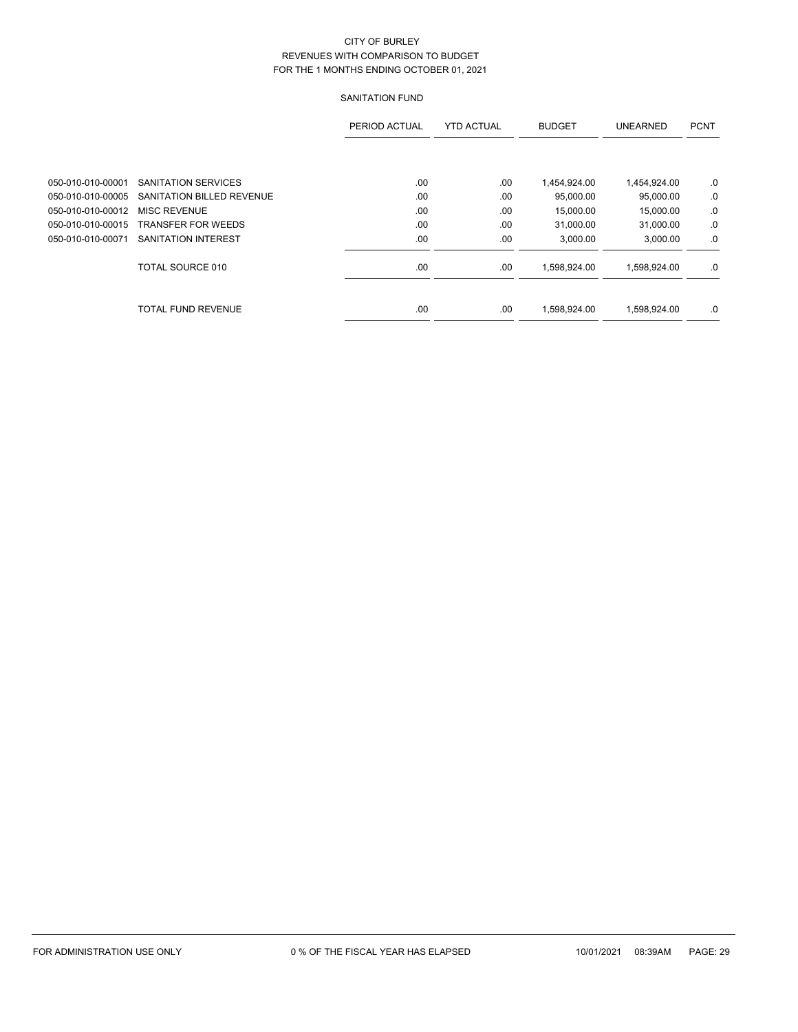# SANITATION FUND

|                   |                           | PERIOD ACTUAL | <b>YTD ACTUAL</b> | <b>BUDGET</b> | <b>UNEARNED</b> | <b>PCNT</b> |
|-------------------|---------------------------|---------------|-------------------|---------------|-----------------|-------------|
|                   |                           |               |                   |               |                 |             |
| 050-010-010-00001 | SANITATION SERVICES       | .00           | .00               | 1,454,924.00  | 1,454,924.00    | .0          |
| 050-010-010-00005 | SANITATION BILLED REVENUE | .00           | .00               | 95,000.00     | 95,000.00       | .0          |
| 050-010-010-00012 | <b>MISC REVENUE</b>       | .00           | .00               | 15,000.00     | 15,000.00       | .0          |
| 050-010-010-00015 | <b>TRANSFER FOR WEEDS</b> | .00           | .00               | 31.000.00     | 31,000.00       | .0          |
| 050-010-010-00071 | SANITATION INTEREST       | .00           | .00               | 3,000.00      | 3,000.00        | .0          |
|                   | <b>TOTAL SOURCE 010</b>   | .00           | .00               | 1,598,924.00  | 1.598.924.00    | .0          |
|                   | <b>TOTAL FUND REVENUE</b> | .00.          | .00               | 1.598.924.00  | 1.598.924.00    | .0          |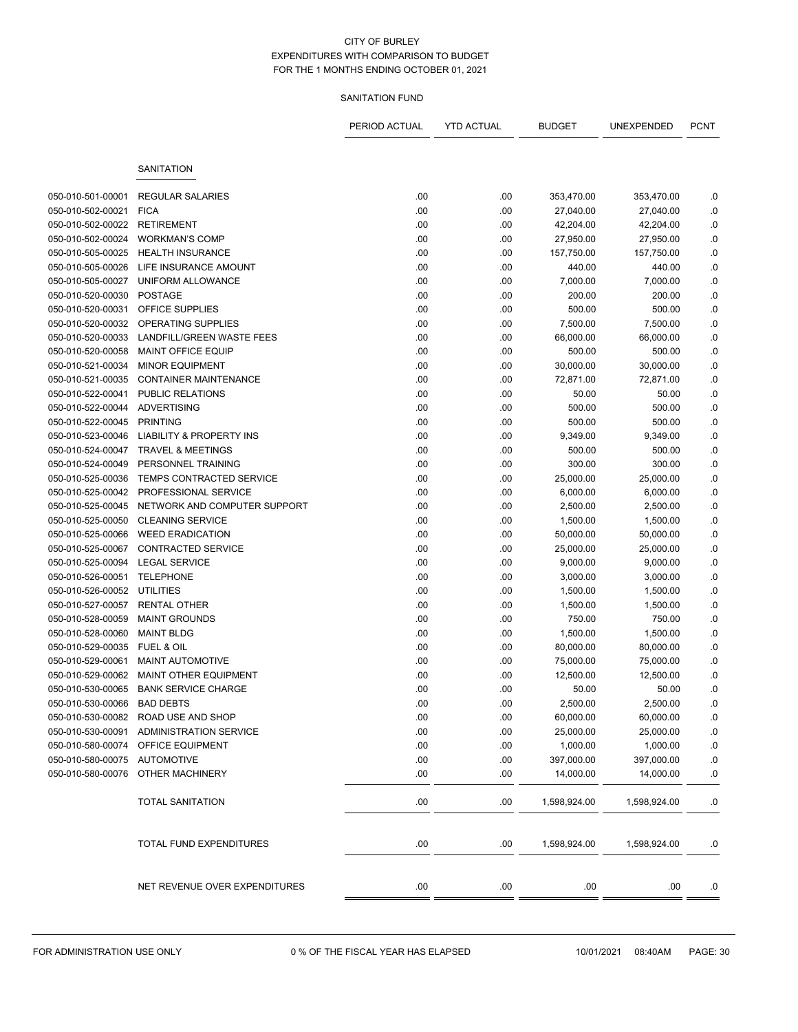# SANITATION FUND

|                             |                                     | PERIOD ACTUAL | <b>YTD ACTUAL</b> | <b>BUDGET</b> | UNEXPENDED   | <b>PCNT</b> |
|-----------------------------|-------------------------------------|---------------|-------------------|---------------|--------------|-------------|
|                             | <b>SANITATION</b>                   |               |                   |               |              |             |
|                             |                                     |               |                   |               |              |             |
| 050-010-501-00001           | <b>REGULAR SALARIES</b>             | .00           | .00               | 353,470.00    | 353,470.00   | .0          |
| 050-010-502-00021           | <b>FICA</b>                         | .00           | .00               | 27,040.00     | 27,040.00    | .0          |
| 050-010-502-00022           | <b>RETIREMENT</b>                   | .00           | .00               | 42,204.00     | 42,204.00    | $\cdot$ 0   |
| 050-010-502-00024           | <b>WORKMAN'S COMP</b>               | .00           | .00               | 27,950.00     | 27,950.00    | $0.$        |
| 050-010-505-00025           | <b>HEALTH INSURANCE</b>             | .00           | .00               | 157,750.00    | 157,750.00   | .0          |
| 050-010-505-00026           | LIFE INSURANCE AMOUNT               | .00           | .00               | 440.00        | 440.00       | .0          |
| 050-010-505-00027           | UNIFORM ALLOWANCE                   | .00           | .00               | 7,000.00      | 7,000.00     | $\cdot$ 0   |
| 050-010-520-00030           | <b>POSTAGE</b>                      | .00           | .00               | 200.00        | 200.00       | .0          |
| 050-010-520-00031           | OFFICE SUPPLIES                     | .00           | .00               | 500.00        | 500.00       | .0          |
| 050-010-520-00032           | OPERATING SUPPLIES                  | .00           | .00               | 7,500.00      | 7,500.00     | $0.$        |
| 050-010-520-00033           | LANDFILL/GREEN WASTE FEES           | .00           | .00               | 66,000.00     | 66,000.00    | .0          |
| 050-010-520-00058           | <b>MAINT OFFICE EQUIP</b>           | .00           | .00               | 500.00        | 500.00       | .0          |
| 050-010-521-00034           | <b>MINOR EQUIPMENT</b>              | .00           | .00               | 30,000.00     | 30,000.00    | $0.$        |
| 050-010-521-00035           | <b>CONTAINER MAINTENANCE</b>        | .00           | .00               | 72,871.00     | 72,871.00    | .0          |
| 050-010-522-00041           | <b>PUBLIC RELATIONS</b>             | .00           | .00               | 50.00         | 50.00        | $\cdot$ 0   |
| 050-010-522-00044           | <b>ADVERTISING</b>                  | .00           | .00               | 500.00        | 500.00       | .0          |
| 050-010-522-00045           | <b>PRINTING</b>                     | .00           | .00               | 500.00        | 500.00       | $\cdot$ 0   |
| 050-010-523-00046           | <b>LIABILITY &amp; PROPERTY INS</b> | .00           | .00               | 9,349.00      | 9,349.00     | .0          |
| 050-010-524-00047           | <b>TRAVEL &amp; MEETINGS</b>        | .00           | .00               | 500.00        | 500.00       | .0          |
| 050-010-524-00049           | PERSONNEL TRAINING                  | .00           | .00               | 300.00        | 300.00       | $0.$        |
| 050-010-525-00036           | TEMPS CONTRACTED SERVICE            | .00           | .00               | 25,000.00     | 25,000.00    | .0          |
| 050-010-525-00042           | PROFESSIONAL SERVICE                | .00           | .00               | 6,000.00      | 6,000.00     | .0          |
| 050-010-525-00045           | NETWORK AND COMPUTER SUPPORT        | .00           | .00               | 2,500.00      | 2,500.00     | .0          |
| 050-010-525-00050           | <b>CLEANING SERVICE</b>             | .00           | .00               | 1,500.00      | 1,500.00     | $0.$        |
| 050-010-525-00066           | <b>WEED ERADICATION</b>             | .00           | .00               | 50,000.00     | 50,000.00    | $\cdot$ 0   |
| 050-010-525-00067           | <b>CONTRACTED SERVICE</b>           | .00           | .00               | 25,000.00     | 25,000.00    | .0          |
| 050-010-525-00094           | <b>LEGAL SERVICE</b>                | .00           | .00               | 9,000.00      | 9,000.00     | $\cdot$ 0   |
| 050-010-526-00051           | <b>TELEPHONE</b>                    | .00           | .00               | 3,000.00      | 3,000.00     | .0          |
| 050-010-526-00052           | UTILITIES                           | .00           | .00               | 1,500.00      | 1,500.00     | .0          |
| 050-010-527-00057           | <b>RENTAL OTHER</b>                 | .00           | .00               | 1,500.00      | 1,500.00     | .0          |
| 050-010-528-00059           | <b>MAINT GROUNDS</b>                | .00           | .00               | 750.00        | 750.00       | .0          |
| 050-010-528-00060           | <b>MAINT BLDG</b>                   | .00           | .00               | 1,500.00      | 1,500.00     | .0          |
| 050-010-529-00035           | FUEL & OIL                          | .00           | .00               | 80,000.00     | 80,000.00    | .0          |
| 050-010-529-00061           | <b>MAINT AUTOMOTIVE</b>             | .00           | .00               | 75,000.00     | 75,000.00    | .0          |
| 050-010-529-00062           | <b>MAINT OTHER EQUIPMENT</b>        | .00           | .00               | 12,500.00     | 12,500.00    | .0          |
| 050-010-530-00065           | <b>BANK SERVICE CHARGE</b>          | .00           | .00               | 50.00         | 50.00        | .0          |
| 050-010-530-00066 BAD DEBTS |                                     | .00           | .00               | 2,500.00      | 2,500.00     | 0.          |
|                             | 050-010-530-00082 ROAD USE AND SHOP | .00           | .00               | 60,000.00     | 60,000.00    | .0          |
| 050-010-530-00091           | <b>ADMINISTRATION SERVICE</b>       | .00           | .00               | 25,000.00     | 25,000.00    | ${\bf .0}$  |
| 050-010-580-00074           | OFFICE EQUIPMENT                    | .00           | .00               | 1,000.00      | 1,000.00     | .0          |
| 050-010-580-00075           | <b>AUTOMOTIVE</b>                   | .00           | .00               | 397,000.00    | 397,000.00   | .0          |
| 050-010-580-00076           | OTHER MACHINERY                     | .00           | .00               | 14,000.00     | 14,000.00    | .0          |
|                             | <b>TOTAL SANITATION</b>             | .00           | .00.              | 1,598,924.00  | 1,598,924.00 | .0          |
|                             | TOTAL FUND EXPENDITURES             | .00           | .00               | 1,598,924.00  | 1,598,924.00 | .0          |
|                             | NET REVENUE OVER EXPENDITURES       | .00           | .00               | .00           | .00          | $\cdot$     |
|                             |                                     |               |                   |               |              |             |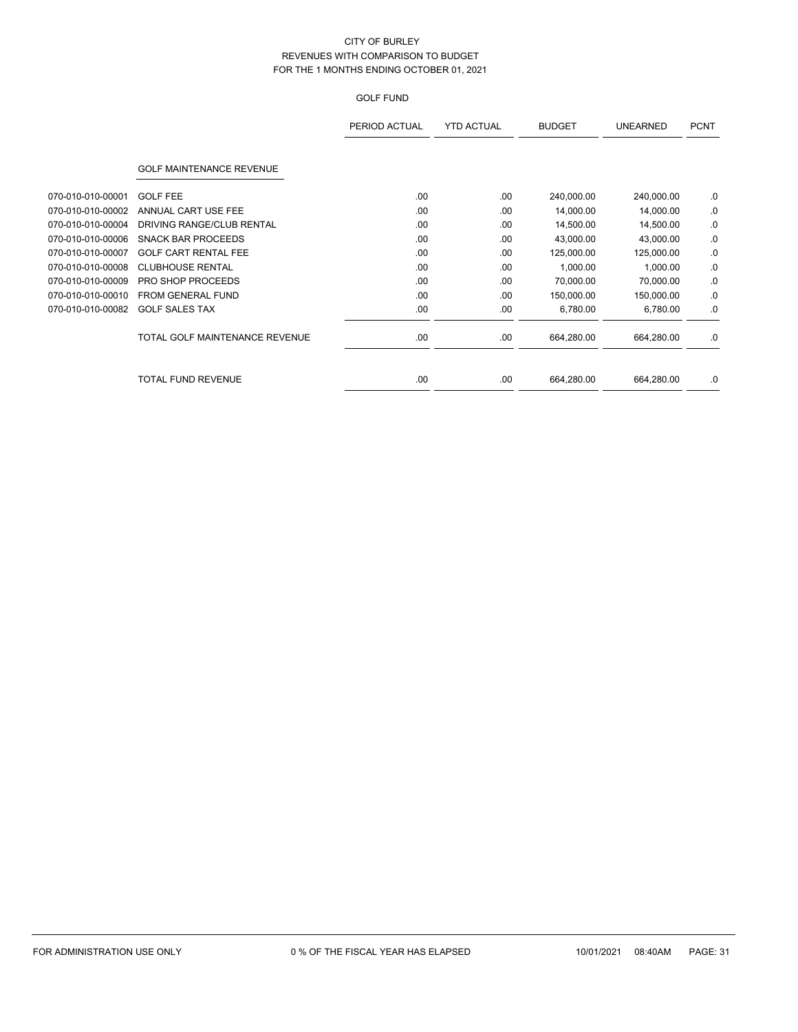# GOLF FUND

|                   |                                 | PERIOD ACTUAL | <b>YTD ACTUAL</b> | <b>BUDGET</b> | <b>UNEARNED</b> | <b>PCNT</b> |
|-------------------|---------------------------------|---------------|-------------------|---------------|-----------------|-------------|
|                   | <b>GOLF MAINTENANCE REVENUE</b> |               |                   |               |                 |             |
| 070-010-010-00001 | <b>GOLF FEE</b>                 | .00.          | .00               | 240,000.00    | 240,000.00      | .0          |
| 070-010-010-00002 | ANNUAL CART USE FEE             | .00           | .00               | 14,000.00     | 14,000.00       | .0          |
| 070-010-010-00004 | DRIVING RANGE/CLUB RENTAL       | .00           | .00               | 14,500.00     | 14,500.00       | .0          |
| 070-010-010-00006 | <b>SNACK BAR PROCEEDS</b>       | .00           | .00               | 43,000.00     | 43,000.00       | .0          |
| 070-010-010-00007 | <b>GOLF CART RENTAL FEE</b>     | .00           | .00               | 125,000.00    | 125,000.00      | .0          |
| 070-010-010-00008 | <b>CLUBHOUSE RENTAL</b>         | .00.          | .00               | 1,000.00      | 1,000.00        | .0          |
| 070-010-010-00009 | <b>PRO SHOP PROCEEDS</b>        | .00           | .00               | 70,000.00     | 70,000.00       | .0          |
| 070-010-010-00010 | <b>FROM GENERAL FUND</b>        | .00           | .00               | 150,000.00    | 150,000.00      | .0          |
| 070-010-010-00082 | <b>GOLF SALES TAX</b>           | .00           | .00               | 6,780.00      | 6,780.00        | .0          |
|                   | TOTAL GOLF MAINTENANCE REVENUE  | .00           | .00               | 664,280.00    | 664,280.00      | .0          |
|                   | <b>TOTAL FUND REVENUE</b>       | .00           | .00               | 664,280.00    | 664,280.00      | .0          |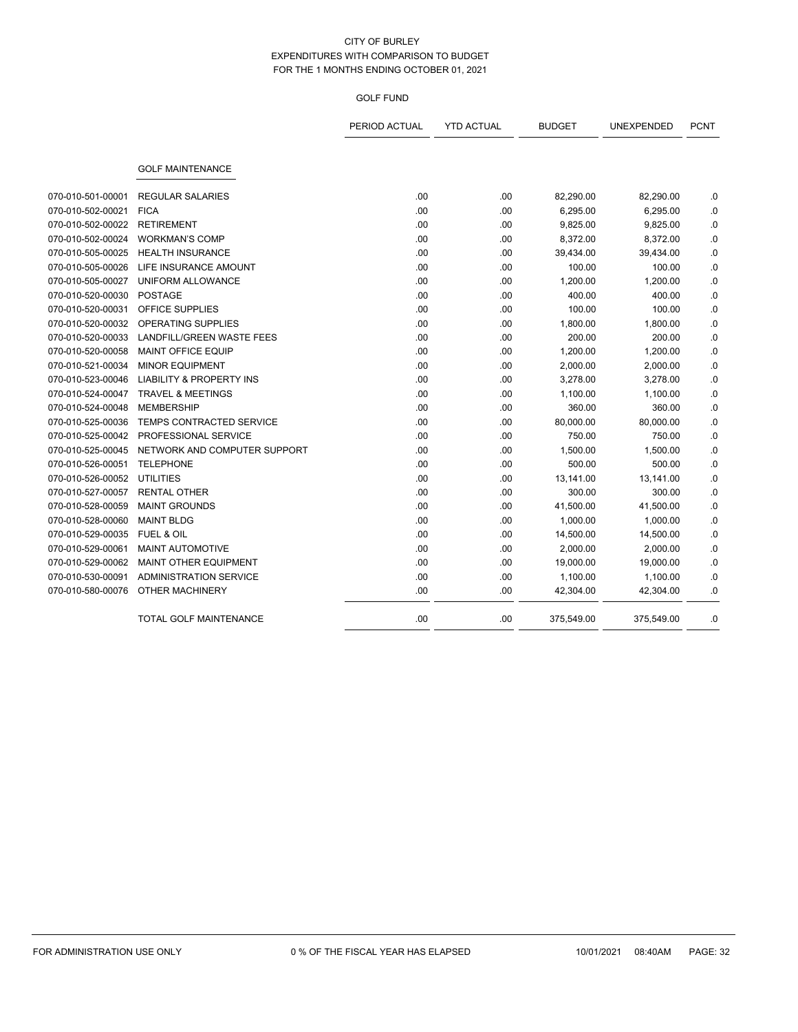## GOLF FUND

|                   |                                     | PERIOD ACTUAL | <b>YTD ACTUAL</b> | <b>BUDGET</b> | UNEXPENDED | <b>PCNT</b> |
|-------------------|-------------------------------------|---------------|-------------------|---------------|------------|-------------|
|                   | <b>GOLF MAINTENANCE</b>             |               |                   |               |            |             |
| 070-010-501-00001 | <b>REGULAR SALARIES</b>             | .00           | .00.              | 82,290.00     | 82,290.00  | .0          |
| 070-010-502-00021 | <b>FICA</b>                         | .00           | .00               | 6,295.00      | 6,295.00   | .0          |
| 070-010-502-00022 | <b>RETIREMENT</b>                   | .00           | .00               | 9,825.00      | 9,825.00   | 0.          |
| 070-010-502-00024 | <b>WORKMAN'S COMP</b>               | .00           | .00               | 8,372.00      | 8,372.00   | .0          |
| 070-010-505-00025 | <b>HEALTH INSURANCE</b>             | .00           | .00.              | 39,434.00     | 39,434.00  | .0          |
| 070-010-505-00026 | LIFE INSURANCE AMOUNT               | .00           | .00               | 100.00        | 100.00     | .0          |
| 070-010-505-00027 | UNIFORM ALLOWANCE                   | .00           | .00               | 1,200.00      | 1,200.00   | .0          |
| 070-010-520-00030 | <b>POSTAGE</b>                      | .00           | .00               | 400.00        | 400.00     | .0          |
| 070-010-520-00031 | <b>OFFICE SUPPLIES</b>              | .00           | .00.              | 100.00        | 100.00     | .0          |
| 070-010-520-00032 | OPERATING SUPPLIES                  | .00           | .00               | 1,800.00      | 1,800.00   | .0          |
| 070-010-520-00033 | LANDFILL/GREEN WASTE FEES           | .00           | .00               | 200.00        | 200.00     | .0          |
| 070-010-520-00058 | MAINT OFFICE EQUIP                  | .00           | .00               | 1,200.00      | 1,200.00   | $\cdot$ 0   |
| 070-010-521-00034 | <b>MINOR EQUIPMENT</b>              | .00           | .00               | 2,000.00      | 2,000.00   | .0          |
| 070-010-523-00046 | <b>LIABILITY &amp; PROPERTY INS</b> | .00           | .00               | 3,278.00      | 3,278.00   | .0          |
| 070-010-524-00047 | <b>TRAVEL &amp; MEETINGS</b>        | .00           | .00               | 1,100.00      | 1,100.00   | .0          |
| 070-010-524-00048 | <b>MEMBERSHIP</b>                   | .00           | .00.              | 360.00        | 360.00     | .0          |
| 070-010-525-00036 | <b>TEMPS CONTRACTED SERVICE</b>     | .00           | .00               | 80,000.00     | 80,000.00  | .0          |
| 070-010-525-00042 | PROFESSIONAL SERVICE                | .00           | .00               | 750.00        | 750.00     | .0          |
| 070-010-525-00045 | NETWORK AND COMPUTER SUPPORT        | .00           | .00               | 1,500.00      | 1,500.00   | .0          |
| 070-010-526-00051 | <b>TELEPHONE</b>                    | .00           | .00.              | 500.00        | 500.00     | .0          |
| 070-010-526-00052 | <b>UTILITIES</b>                    | .00           | .00               | 13,141.00     | 13,141.00  | .0          |
| 070-010-527-00057 | <b>RENTAL OTHER</b>                 | .00           | .00               | 300.00        | 300.00     | .0          |
| 070-010-528-00059 | <b>MAINT GROUNDS</b>                | .00           | .00               | 41,500.00     | 41,500.00  | .0          |
| 070-010-528-00060 | <b>MAINT BLDG</b>                   | .00           | .00               | 1,000.00      | 1,000.00   | .0          |
| 070-010-529-00035 | <b>FUEL &amp; OIL</b>               | .00           | .00               | 14,500.00     | 14,500.00  | .0          |
| 070-010-529-00061 | MAINT AUTOMOTIVE                    | .00           | .00               | 2,000.00      | 2,000.00   | $\cdot$ 0   |
| 070-010-529-00062 | <b>MAINT OTHER EQUIPMENT</b>        | .00           | .00               | 19,000.00     | 19,000.00  | .0          |
| 070-010-530-00091 | <b>ADMINISTRATION SERVICE</b>       | .00           | .00               | 1,100.00      | 1,100.00   | 0.          |
| 070-010-580-00076 | OTHER MACHINERY                     | .00           | .00               | 42,304.00     | 42,304.00  | .0          |
|                   | TOTAL GOLF MAINTENANCE              | .00           | .00.              | 375,549.00    | 375,549.00 | .0          |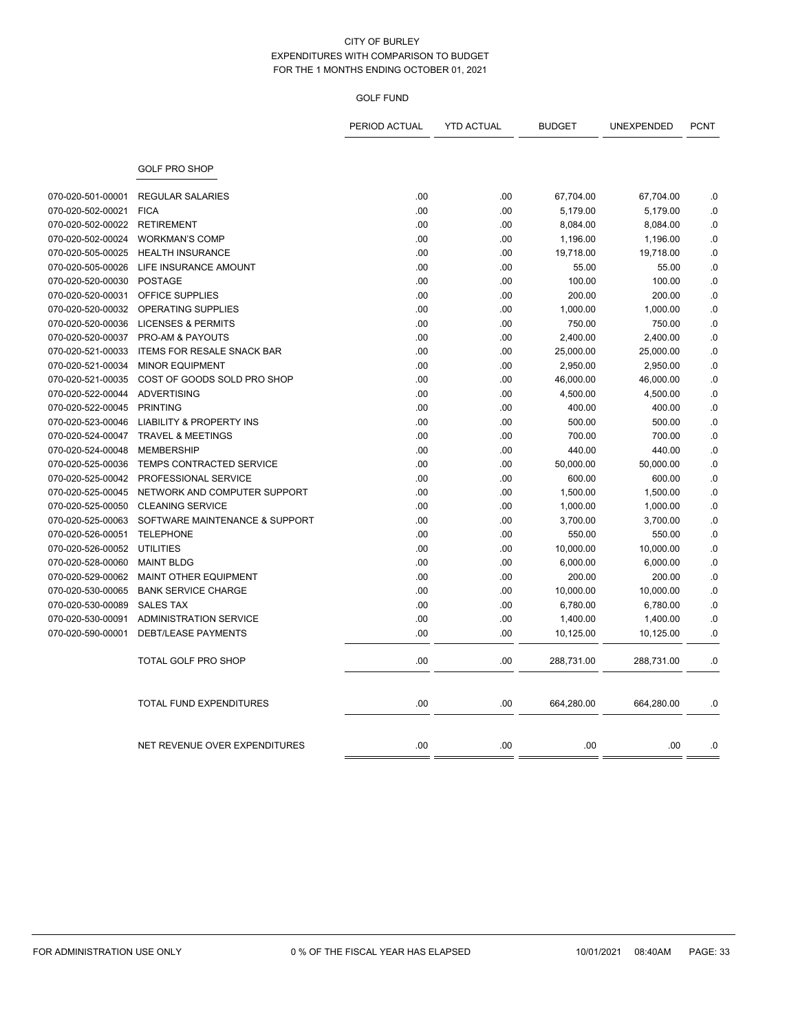## GOLF FUND

|                   |                                     | PERIOD ACTUAL | <b>YTD ACTUAL</b> | <b>BUDGET</b> | UNEXPENDED | <b>PCNT</b> |
|-------------------|-------------------------------------|---------------|-------------------|---------------|------------|-------------|
|                   | <b>GOLF PRO SHOP</b>                |               |                   |               |            |             |
| 070-020-501-00001 | <b>REGULAR SALARIES</b>             | .00           | .00               | 67,704.00     | 67,704.00  | .0          |
| 070-020-502-00021 | <b>FICA</b>                         | .00           | .00               | 5,179.00      | 5,179.00   | .0          |
| 070-020-502-00022 | <b>RETIREMENT</b>                   | .00           | .00               | 8,084.00      | 8,084.00   | .0          |
| 070-020-502-00024 | <b>WORKMAN'S COMP</b>               | .00           | .00               | 1,196.00      | 1,196.00   | .0          |
| 070-020-505-00025 | <b>HEALTH INSURANCE</b>             | .00           | .00               | 19,718.00     | 19,718.00  | $\cdot$ 0   |
| 070-020-505-00026 | LIFE INSURANCE AMOUNT               | .00           | .00               | 55.00         | 55.00      | .0          |
| 070-020-520-00030 | <b>POSTAGE</b>                      | .00           | .00               | 100.00        | 100.00     | .0          |
| 070-020-520-00031 | OFFICE SUPPLIES                     | .00           | .00               | 200.00        | 200.00     | .0          |
| 070-020-520-00032 | OPERATING SUPPLIES                  | .00           | .00               | 1,000.00      | 1,000.00   | .0          |
| 070-020-520-00036 | <b>LICENSES &amp; PERMITS</b>       | .00           | .00               | 750.00        | 750.00     | .0          |
| 070-020-520-00037 | PRO-AM & PAYOUTS                    | .00           | .00               | 2,400.00      | 2,400.00   | .0          |
| 070-020-521-00033 | <b>ITEMS FOR RESALE SNACK BAR</b>   | .00           | .00               | 25,000.00     | 25,000.00  | .0          |
| 070-020-521-00034 | <b>MINOR EQUIPMENT</b>              | .00           | .00               | 2,950.00      | 2,950.00   | .0          |
| 070-020-521-00035 | COST OF GOODS SOLD PRO SHOP         | .00           | .00               | 46,000.00     | 46,000.00  | .0          |
| 070-020-522-00044 | <b>ADVERTISING</b>                  | .00           | .00               | 4,500.00      | 4,500.00   | .0          |
| 070-020-522-00045 | <b>PRINTING</b>                     | .00           | .00               | 400.00        | 400.00     | .0          |
| 070-020-523-00046 | <b>LIABILITY &amp; PROPERTY INS</b> | .00           | .00               | 500.00        | 500.00     | .0          |
| 070-020-524-00047 | <b>TRAVEL &amp; MEETINGS</b>        | .00           | .00               | 700.00        | 700.00     | .0          |
| 070-020-524-00048 | <b>MEMBERSHIP</b>                   | .00           | .00               | 440.00        | 440.00     | .0          |
| 070-020-525-00036 | TEMPS CONTRACTED SERVICE            | .00           | .00               | 50,000.00     | 50,000.00  | .0          |
| 070-020-525-00042 | PROFESSIONAL SERVICE                | .00           | .00               | 600.00        | 600.00     | .0          |
| 070-020-525-00045 | NETWORK AND COMPUTER SUPPORT        | .00           | .00               | 1,500.00      | 1,500.00   | .0          |
| 070-020-525-00050 | <b>CLEANING SERVICE</b>             | .00           | .00               | 1,000.00      | 1,000.00   | .0          |
| 070-020-525-00063 | SOFTWARE MAINTENANCE & SUPPORT      | .00           | .00               | 3,700.00      | 3,700.00   | .0          |
| 070-020-526-00051 | <b>TELEPHONE</b>                    | .00           | .00               | 550.00        | 550.00     | .0          |
| 070-020-526-00052 | UTILITIES                           | .00           | .00               | 10,000.00     | 10,000.00  | .0          |
| 070-020-528-00060 | <b>MAINT BLDG</b>                   | .00           | .00               | 6,000.00      | 6,000.00   | $\cdot$ 0   |
| 070-020-529-00062 | <b>MAINT OTHER EQUIPMENT</b>        | .00           | .00               | 200.00        | 200.00     | .0          |
| 070-020-530-00065 | <b>BANK SERVICE CHARGE</b>          | .00           | .00               | 10,000.00     | 10,000.00  | .0          |
| 070-020-530-00089 | <b>SALES TAX</b>                    | .00           | .00               | 6,780.00      | 6,780.00   | .0          |
| 070-020-530-00091 | <b>ADMINISTRATION SERVICE</b>       | .00           | .00               | 1,400.00      | 1,400.00   | .0          |
| 070-020-590-00001 | <b>DEBT/LEASE PAYMENTS</b>          | .00           | .00               | 10,125.00     | 10,125.00  | .0          |
|                   | TOTAL GOLF PRO SHOP                 | .00           | .00               | 288,731.00    | 288,731.00 | .0          |
|                   | <b>TOTAL FUND EXPENDITURES</b>      | .00           | .00               | 664,280.00    | 664,280.00 | .0          |
|                   | NET REVENUE OVER EXPENDITURES       | .00           | .00               | .00           | .00        | .0          |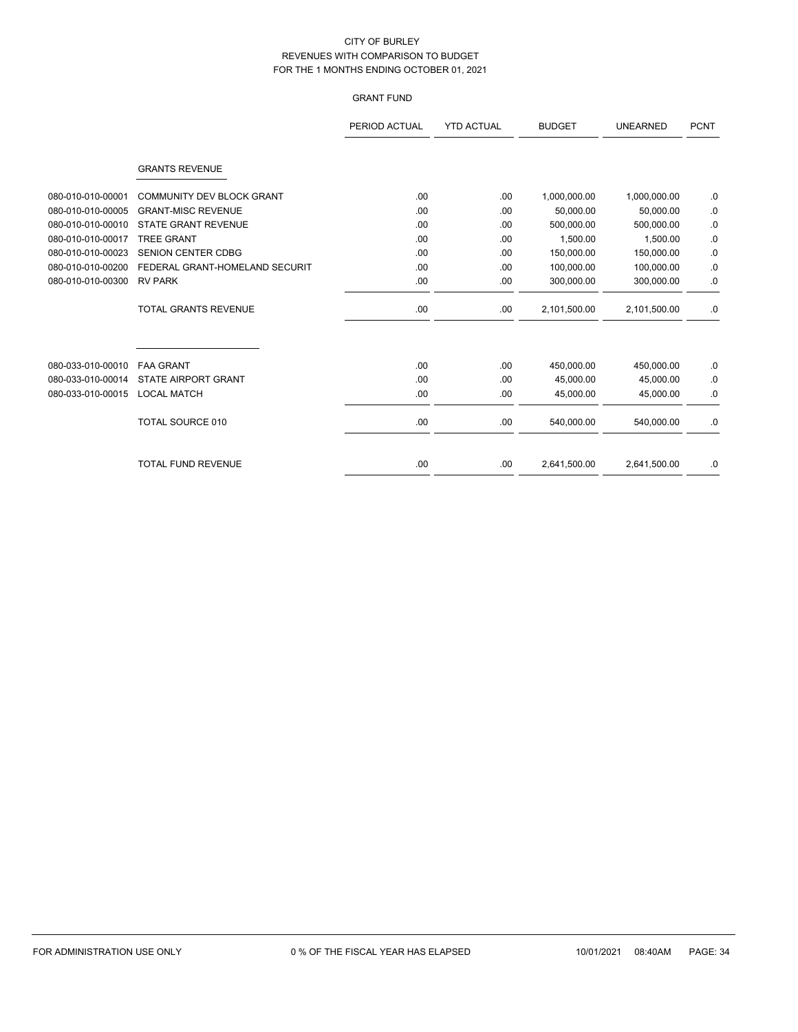# GRANT FUND

|                   |                                | PERIOD ACTUAL | <b>YTD ACTUAL</b> | <b>BUDGET</b> | <b>UNEARNED</b> | <b>PCNT</b> |
|-------------------|--------------------------------|---------------|-------------------|---------------|-----------------|-------------|
|                   | <b>GRANTS REVENUE</b>          |               |                   |               |                 |             |
| 080-010-010-00001 | COMMUNITY DEV BLOCK GRANT      | .00           | .00               | 1,000,000.00  | 1,000,000.00    | .0          |
| 080-010-010-00005 | <b>GRANT-MISC REVENUE</b>      | .00           | .00               | 50,000.00     | 50,000.00       | .0          |
| 080-010-010-00010 | <b>STATE GRANT REVENUE</b>     | .00           | .00               | 500,000.00    | 500.000.00      | .0          |
| 080-010-010-00017 | <b>TREE GRANT</b>              | .00           | .00               | 1,500.00      | 1,500.00        | .0          |
| 080-010-010-00023 | <b>SENION CENTER CDBG</b>      | .00           | .00               | 150,000.00    | 150,000.00      | .0          |
| 080-010-010-00200 | FEDERAL GRANT-HOMELAND SECURIT | .00           | .00               | 100.000.00    | 100,000.00      | .0          |
| 080-010-010-00300 | <b>RV PARK</b>                 | .00.          | .00               | 300,000.00    | 300,000.00      | .0          |
|                   | <b>TOTAL GRANTS REVENUE</b>    | .00.          | .00               | 2,101,500.00  | 2,101,500.00    | .0          |
| 080-033-010-00010 | <b>FAA GRANT</b>               | .00.          | .00               | 450,000.00    | 450,000.00      | .0          |
| 080-033-010-00014 | STATE AIRPORT GRANT            | .00           | .00               | 45,000.00     | 45,000.00       | .0          |
| 080-033-010-00015 | <b>LOCAL MATCH</b>             | .00.          | .00               | 45,000.00     | 45,000.00       | .0          |
|                   | <b>TOTAL SOURCE 010</b>        | .00.          | .00.              | 540,000.00    | 540,000.00      | .0          |
|                   | <b>TOTAL FUND REVENUE</b>      | .00.          | .00               | 2,641,500.00  | 2.641.500.00    | .0          |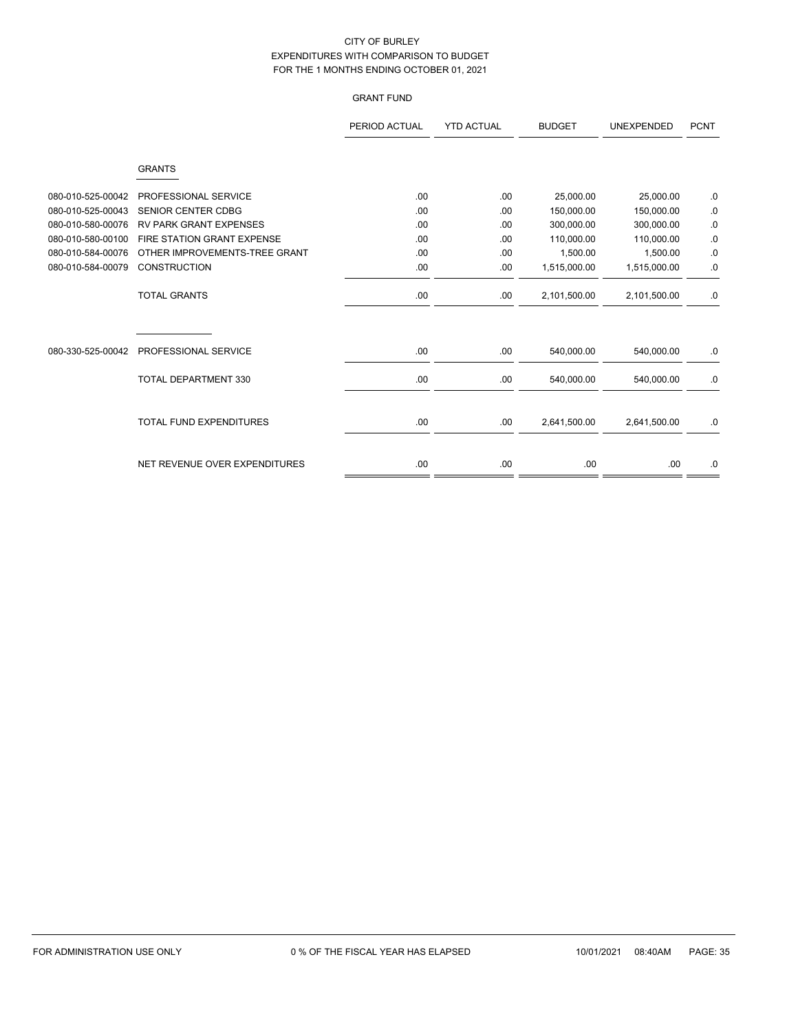# GRANT FUND

|                   |                                | PERIOD ACTUAL | <b>YTD ACTUAL</b> | <b>BUDGET</b> | <b>UNEXPENDED</b> | <b>PCNT</b> |
|-------------------|--------------------------------|---------------|-------------------|---------------|-------------------|-------------|
|                   | <b>GRANTS</b>                  |               |                   |               |                   |             |
| 080-010-525-00042 | PROFESSIONAL SERVICE           | .00           | .00               | 25,000.00     | 25,000.00         | .0          |
| 080-010-525-00043 | <b>SENIOR CENTER CDBG</b>      | .00           | .00               | 150,000.00    | 150,000.00        | .0          |
| 080-010-580-00076 | <b>RV PARK GRANT EXPENSES</b>  | .00           | .00               | 300,000.00    | 300,000.00        | .0          |
| 080-010-580-00100 | FIRE STATION GRANT EXPENSE     | .00           | .00               | 110,000.00    | 110,000.00        | 0.          |
| 080-010-584-00076 | OTHER IMPROVEMENTS-TREE GRANT  | .00           | .00               | 1,500.00      | 1,500.00          | .0          |
| 080-010-584-00079 | <b>CONSTRUCTION</b>            | .00           | .00               | 1,515,000.00  | 1,515,000.00      | .0          |
|                   | <b>TOTAL GRANTS</b>            | .00           | .00               | 2,101,500.00  | 2,101,500.00      | $.0\,$      |
| 080-330-525-00042 | PROFESSIONAL SERVICE           | .00           | .00.              | 540,000.00    | 540,000.00        | .0          |
|                   | TOTAL DEPARTMENT 330           | .00           | .00               | 540,000.00    | 540,000.00        | .0          |
|                   | <b>TOTAL FUND EXPENDITURES</b> | .00           | .00               | 2,641,500.00  | 2,641,500.00      | .0          |
|                   | NET REVENUE OVER EXPENDITURES  | .00           | .00.              | .00           | .00.              | .0          |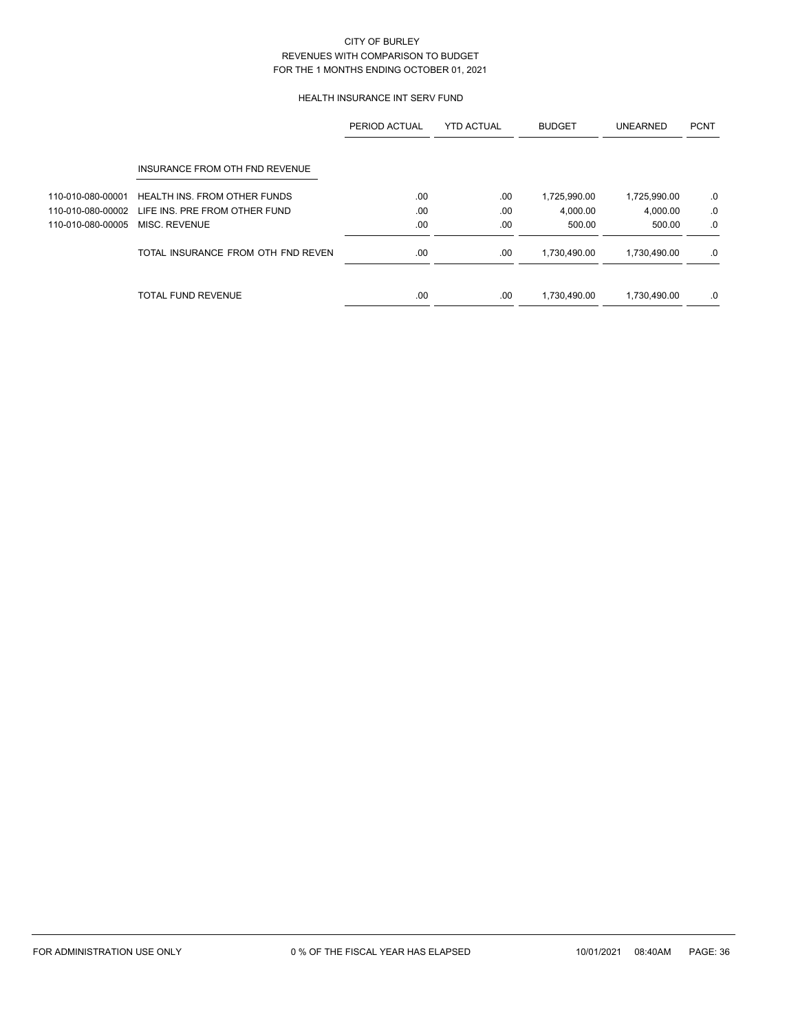## HEALTH INSURANCE INT SERV FUND

|                   |                                     | PERIOD ACTUAL | <b>YTD ACTUAL</b> | <b>BUDGET</b> | <b>UNEARNED</b> | <b>PCNT</b> |
|-------------------|-------------------------------------|---------------|-------------------|---------------|-----------------|-------------|
|                   | INSURANCE FROM OTH FND REVENUE      |               |                   |               |                 |             |
| 110-010-080-00001 | <b>HEALTH INS. FROM OTHER FUNDS</b> | .00           | .00               | 1,725,990.00  | 1,725,990.00    | .0          |
| 110-010-080-00002 | LIFE INS. PRE FROM OTHER FUND       | .00           | .00               | 4.000.00      | 4,000.00        | .0          |
| 110-010-080-00005 | MISC. REVENUE                       | .00           | .00.              | 500.00        | 500.00          | .0          |
|                   | TOTAL INSURANCE FROM OTH FND REVEN  | .00           | .00               | 1,730,490.00  | 1,730,490.00    | .0          |
|                   | <b>TOTAL FUND REVENUE</b>           | .00           | .00               | 1,730,490.00  | 1,730,490.00    | .0          |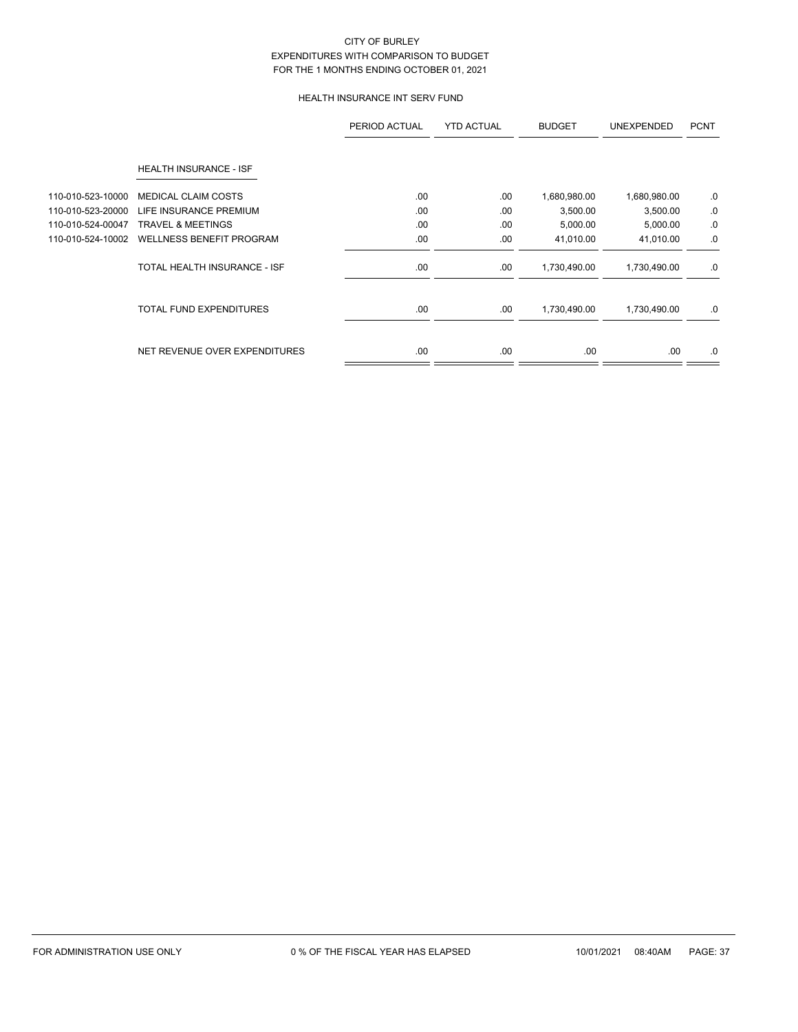# HEALTH INSURANCE INT SERV FUND

|                   |                                 | PERIOD ACTUAL | <b>YTD ACTUAL</b> | <b>BUDGET</b> | <b>UNEXPENDED</b> | <b>PCNT</b> |
|-------------------|---------------------------------|---------------|-------------------|---------------|-------------------|-------------|
|                   | HEALTH INSURANCE - ISF          |               |                   |               |                   |             |
| 110-010-523-10000 | <b>MEDICAL CLAIM COSTS</b>      | .00           | .00               | 1,680,980.00  | 1,680,980.00      | .0          |
| 110-010-523-20000 | LIFE INSURANCE PREMIUM          | .00           | .00               | 3,500.00      | 3,500.00          | .0          |
| 110-010-524-00047 | <b>TRAVEL &amp; MEETINGS</b>    | .00           | .00               | 5,000.00      | 5,000.00          | .0          |
| 110-010-524-10002 | <b>WELLNESS BENEFIT PROGRAM</b> | .00           | .00               | 41,010.00     | 41,010.00         | .0          |
|                   | TOTAL HEALTH INSURANCE - ISF    | .00.          | .00               | 1,730,490.00  | 1,730,490.00      | .0          |
|                   | <b>TOTAL FUND EXPENDITURES</b>  | .00.          | .00               | 1,730,490.00  | 1,730,490.00      | .0          |
|                   | NET REVENUE OVER EXPENDITURES   | .00.          | .00               | .00.          | .00.              | .0          |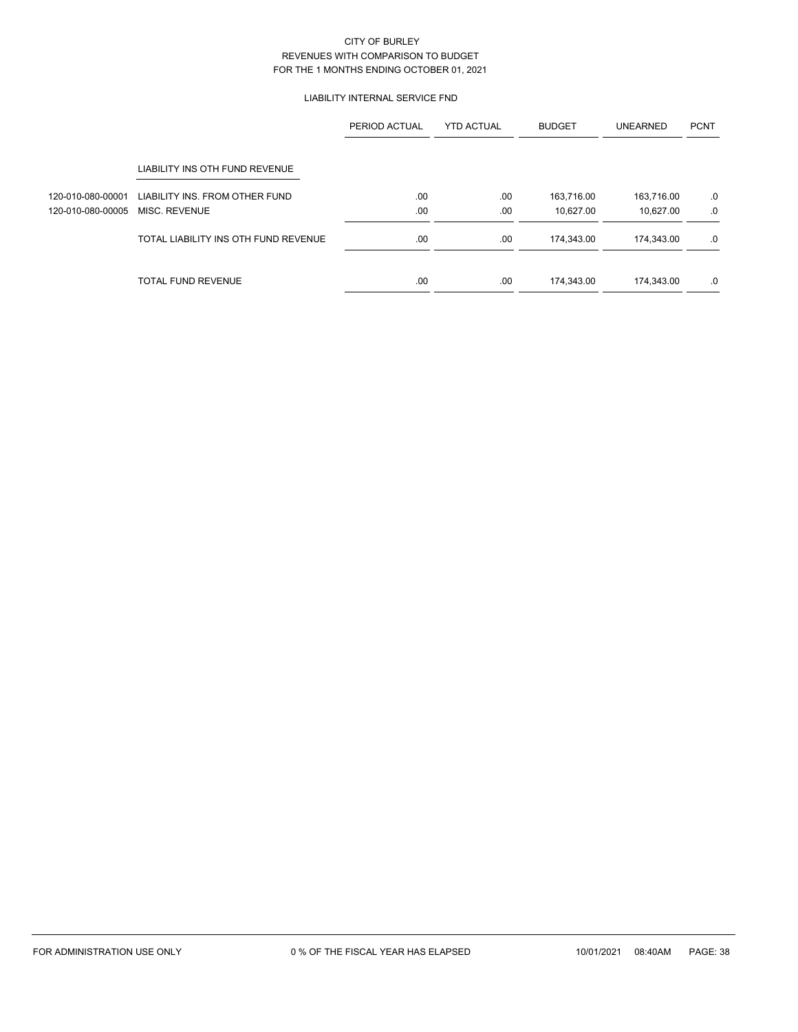## LIABILITY INTERNAL SERVICE FND

|                   |                                      | PERIOD ACTUAL | <b>YTD ACTUAL</b> | <b>BUDGET</b> | <b>UNEARNED</b> | <b>PCNT</b> |
|-------------------|--------------------------------------|---------------|-------------------|---------------|-----------------|-------------|
|                   | LIABILITY INS OTH FUND REVENUE       |               |                   |               |                 |             |
| 120-010-080-00001 | LIABILITY INS. FROM OTHER FUND       | .00.          | .00               | 163,716.00    | 163,716.00      | .0          |
| 120-010-080-00005 | MISC. REVENUE                        | .00           | .00               | 10,627.00     | 10,627.00       | .0          |
|                   | TOTAL LIABILITY INS OTH FUND REVENUE | .00           | .00               | 174,343.00    | 174,343.00      | .0          |
|                   | TOTAL FUND REVENUE                   | .00           | .00               | 174,343.00    | 174,343.00      | .0          |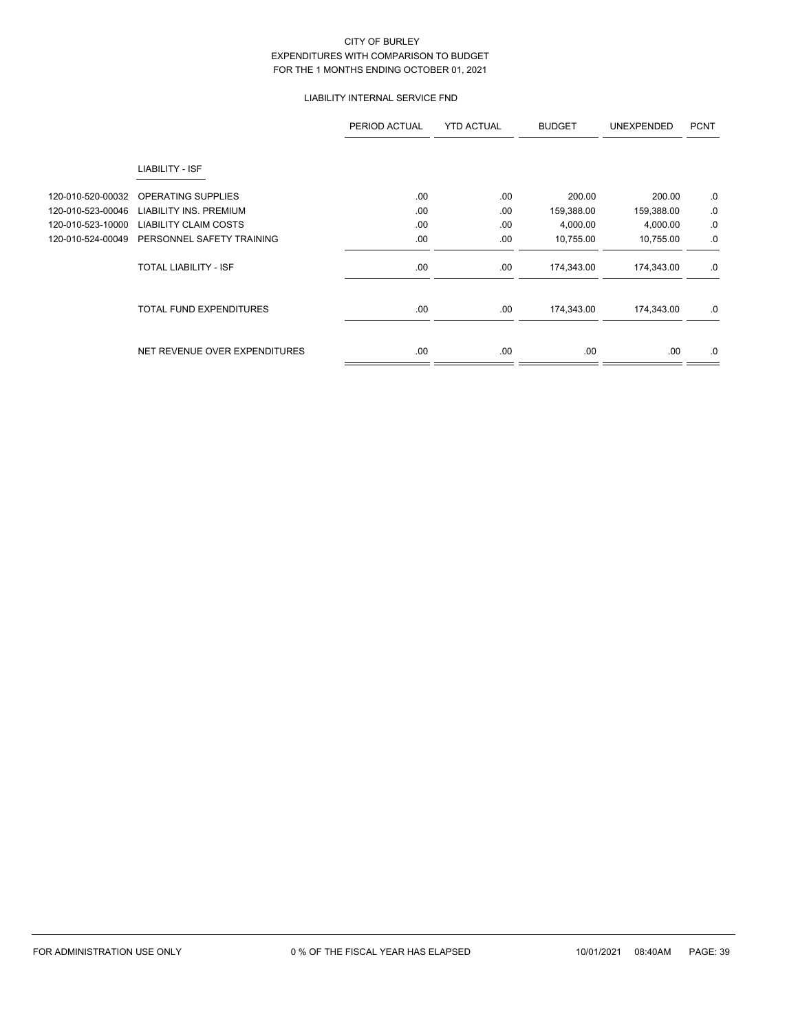# LIABILITY INTERNAL SERVICE FND

|                   |                                | PERIOD ACTUAL | <b>YTD ACTUAL</b> | <b>BUDGET</b> | <b>UNEXPENDED</b> | <b>PCNT</b> |
|-------------------|--------------------------------|---------------|-------------------|---------------|-------------------|-------------|
|                   | LIABILITY - ISF                |               |                   |               |                   |             |
| 120-010-520-00032 | OPERATING SUPPLIES             | .00           | .00               | 200.00        | 200.00            | $.0 \,$     |
| 120-010-523-00046 | <b>LIABILITY INS. PREMIUM</b>  | .00           | .00               | 159,388.00    | 159,388.00        | 0.          |
| 120-010-523-10000 | <b>LIABILITY CLAIM COSTS</b>   | .00           | .00               | 4,000.00      | 4,000.00          | 0.          |
| 120-010-524-00049 | PERSONNEL SAFETY TRAINING      | .00           | .00               | 10,755.00     | 10,755.00         | .0          |
|                   | <b>TOTAL LIABILITY - ISF</b>   | .00.          | .00               | 174,343.00    | 174,343.00        | .0          |
|                   | <b>TOTAL FUND EXPENDITURES</b> | .00           | .00               | 174,343.00    | 174,343.00        | .0          |
|                   | NET REVENUE OVER EXPENDITURES  | .00           | .00               | .00.          | .00.              | .0          |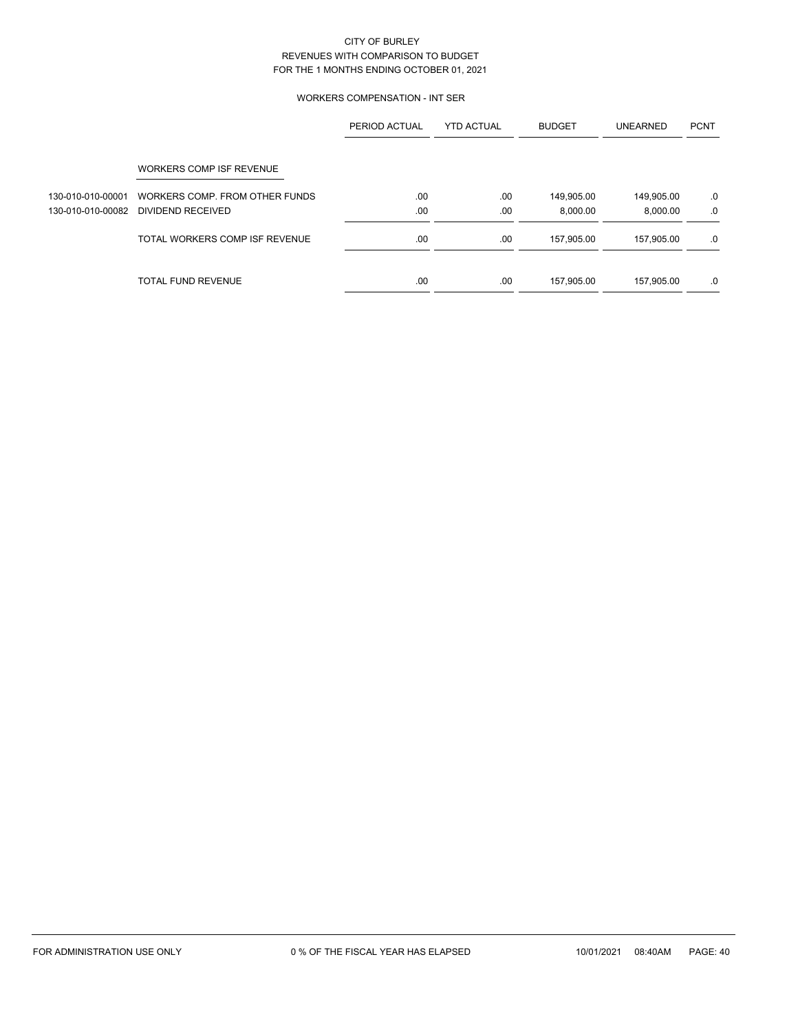## WORKERS COMPENSATION - INT SER

|                   |                                | PERIOD ACTUAL | <b>YTD ACTUAL</b> | <b>BUDGET</b> | <b>UNEARNED</b> | <b>PCNT</b> |
|-------------------|--------------------------------|---------------|-------------------|---------------|-----------------|-------------|
|                   | WORKERS COMP ISF REVENUE       |               |                   |               |                 |             |
| 130-010-010-00001 | WORKERS COMP. FROM OTHER FUNDS | .00           | .00               | 149,905.00    | 149,905.00      | .0          |
| 130-010-010-00082 | DIVIDEND RECEIVED              | .00           | .00               | 8.000.00      | 8,000.00        | .0          |
|                   | TOTAL WORKERS COMP ISF REVENUE | .00           | .00               | 157,905.00    | 157,905.00      | .0          |
|                   | TOTAL FUND REVENUE             | .00           | .00               | 157,905.00    | 157,905.00      | .0          |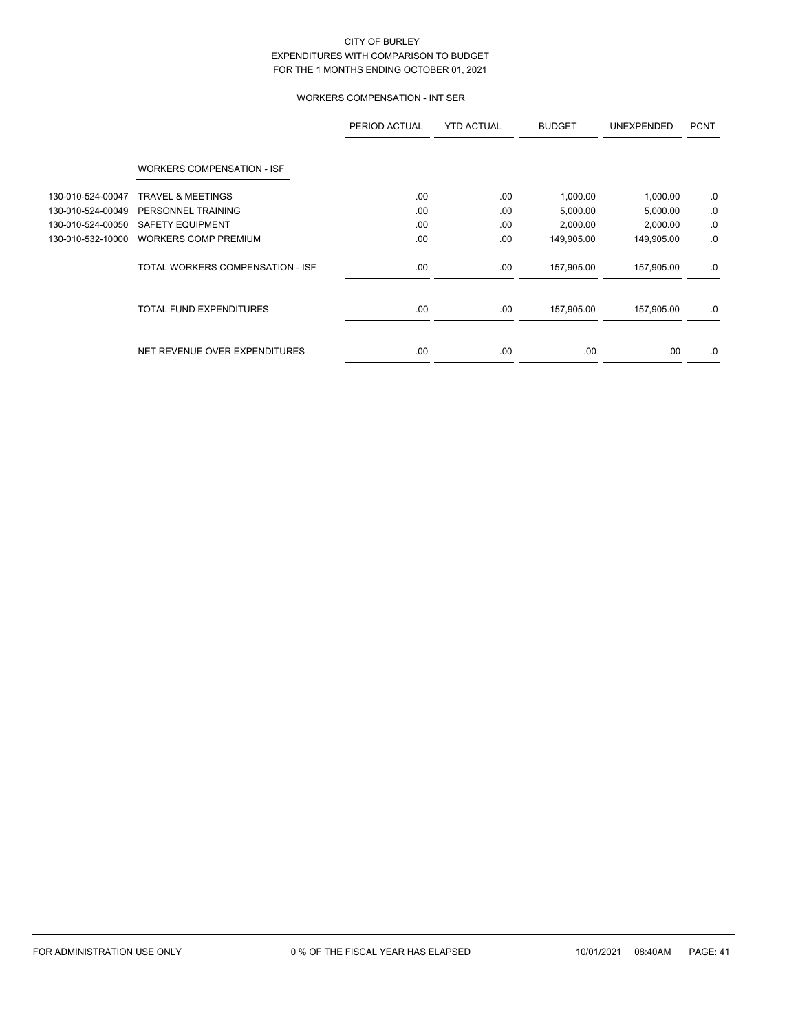# WORKERS COMPENSATION - INT SER

|                   |                                   | PERIOD ACTUAL | <b>YTD ACTUAL</b> | <b>BUDGET</b> | <b>UNEXPENDED</b> | <b>PCNT</b> |
|-------------------|-----------------------------------|---------------|-------------------|---------------|-------------------|-------------|
|                   | <b>WORKERS COMPENSATION - ISF</b> |               |                   |               |                   |             |
| 130-010-524-00047 | <b>TRAVEL &amp; MEETINGS</b>      | .00           | .00               | 1,000.00      | 1,000.00          | .0          |
| 130-010-524-00049 | PERSONNEL TRAINING                | .00           | .00               | 5,000.00      | 5,000.00          | .0          |
| 130-010-524-00050 | <b>SAFETY EQUIPMENT</b>           | .00           | .00               | 2,000.00      | 2,000.00          | 0.          |
| 130-010-532-10000 | <b>WORKERS COMP PREMIUM</b>       | .00           | .00               | 149,905.00    | 149,905.00        | .0          |
|                   | TOTAL WORKERS COMPENSATION - ISF  | .00.          | .00               | 157,905.00    | 157,905.00        | .0          |
|                   | <b>TOTAL FUND EXPENDITURES</b>    | .00           | .00               | 157,905.00    | 157,905.00        | .0          |
|                   | NET REVENUE OVER EXPENDITURES     | .00.          | .00               | .00.          | .00.              | .0          |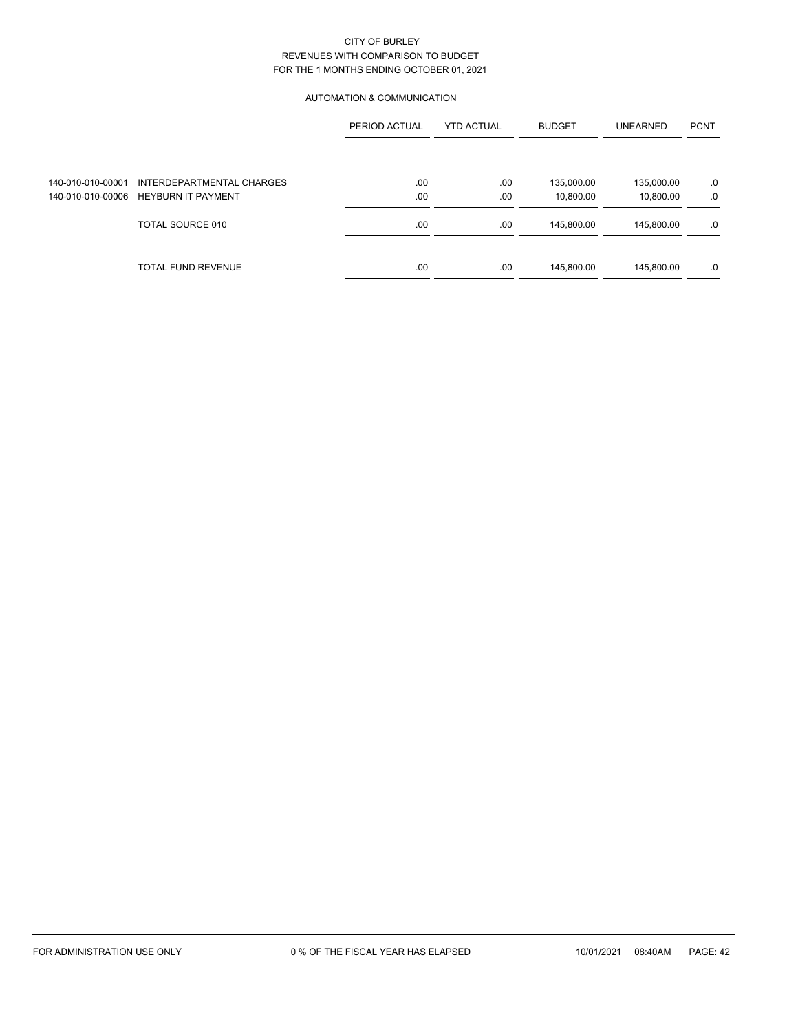### AUTOMATION & COMMUNICATION

|                   |                           | PERIOD ACTUAL | <b>YTD ACTUAL</b> | <b>BUDGET</b> | <b>UNEARNED</b> | <b>PCNT</b> |
|-------------------|---------------------------|---------------|-------------------|---------------|-----------------|-------------|
|                   |                           |               |                   |               |                 |             |
| 140-010-010-00001 | INTERDEPARTMENTAL CHARGES | .00           | .00               | 135,000.00    | 135,000.00      | .0          |
| 140-010-010-00006 | <b>HEYBURN IT PAYMENT</b> | .00           | .00               | 10,800.00     | 10,800.00       | .0          |
|                   | TOTAL SOURCE 010          | .00           | .00               | 145,800.00    | 145,800.00      | .0          |
|                   | <b>TOTAL FUND REVENUE</b> | .00           | .00               | 145,800.00    | 145,800.00      | .0          |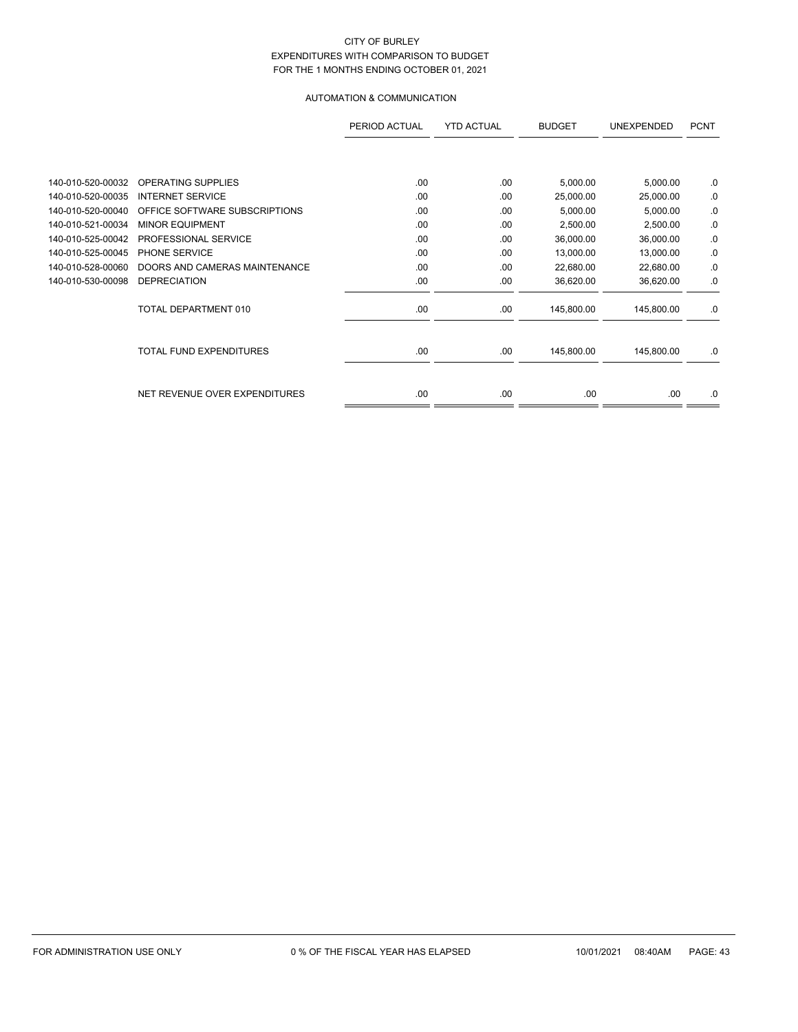# AUTOMATION & COMMUNICATION

|                   |                               | PERIOD ACTUAL | <b>YTD ACTUAL</b> | <b>BUDGET</b> | <b>UNEXPENDED</b> | <b>PCNT</b> |
|-------------------|-------------------------------|---------------|-------------------|---------------|-------------------|-------------|
|                   |                               |               |                   |               |                   |             |
| 140-010-520-00032 | <b>OPERATING SUPPLIES</b>     | .00           | .00               | 5,000.00      | 5,000.00          | .0          |
| 140-010-520-00035 | <b>INTERNET SERVICE</b>       | .00           | .00               | 25,000.00     | 25,000.00         | .0          |
| 140-010-520-00040 | OFFICE SOFTWARE SUBSCRIPTIONS | .00           | .00               | 5,000.00      | 5,000.00          | .0          |
| 140-010-521-00034 | <b>MINOR EQUIPMENT</b>        | .00           | .00               | 2,500.00      | 2,500.00          | .0          |
| 140-010-525-00042 | PROFESSIONAL SERVICE          | .00           | .00               | 36,000.00     | 36,000.00         | .0          |
| 140-010-525-00045 | PHONE SERVICE                 | .00           | .00               | 13,000.00     | 13,000.00         | .0          |
| 140-010-528-00060 | DOORS AND CAMERAS MAINTENANCE | .00           | .00               | 22,680.00     | 22,680.00         | .0          |
| 140-010-530-00098 | <b>DEPRECIATION</b>           | .00           | .00               | 36,620.00     | 36,620.00         | .0          |
|                   | TOTAL DEPARTMENT 010          | .00           | .00               | 145,800.00    | 145,800.00        | .0          |
|                   | TOTAL FUND EXPENDITURES       | .00           | .00               | 145,800.00    | 145,800.00        | .0          |
|                   | NET REVENUE OVER EXPENDITURES | .00           | .00               | .00           | .00               | .0          |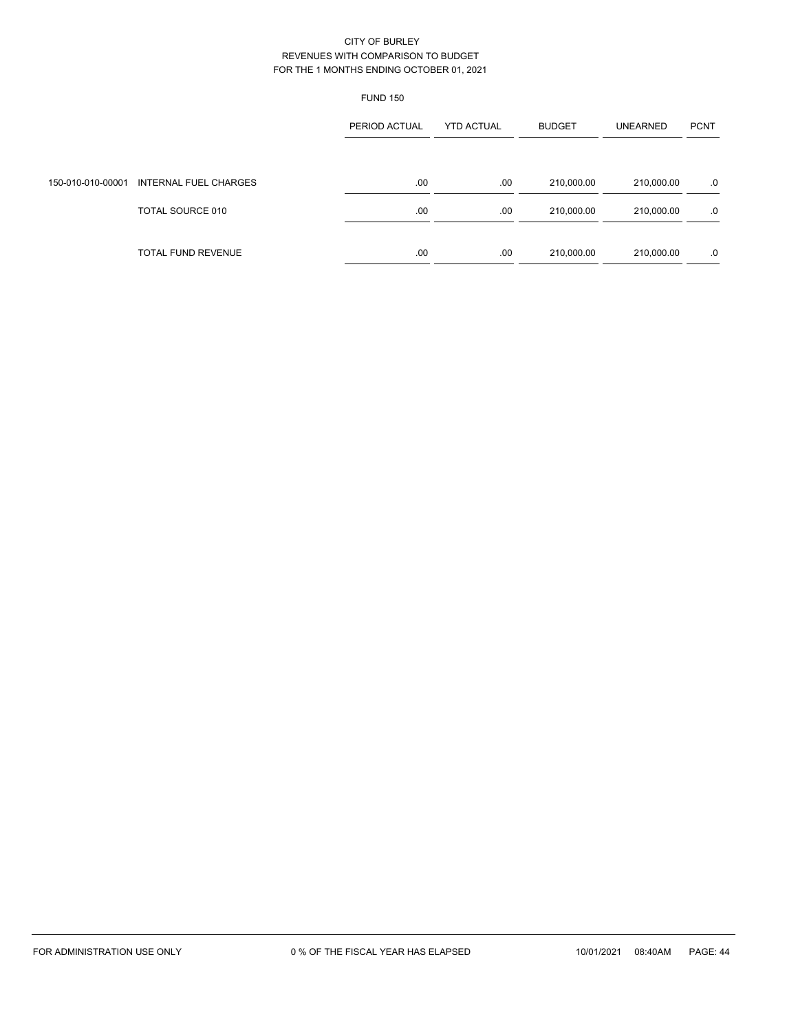|                   |                           | <b>FUND 150</b> |                   |               |                 |             |
|-------------------|---------------------------|-----------------|-------------------|---------------|-----------------|-------------|
|                   |                           | PERIOD ACTUAL   | <b>YTD ACTUAL</b> | <b>BUDGET</b> | <b>UNEARNED</b> | <b>PCNT</b> |
| 150-010-010-00001 | INTERNAL FUEL CHARGES     | .00             | .00.              | 210,000.00    | 210,000.00      | .0          |
|                   | TOTAL SOURCE 010          | .00.            | .00               | 210,000.00    | 210,000.00      | .0          |
|                   | <b>TOTAL FUND REVENUE</b> | .00             | .00               | 210,000.00    | 210,000.00      | .0          |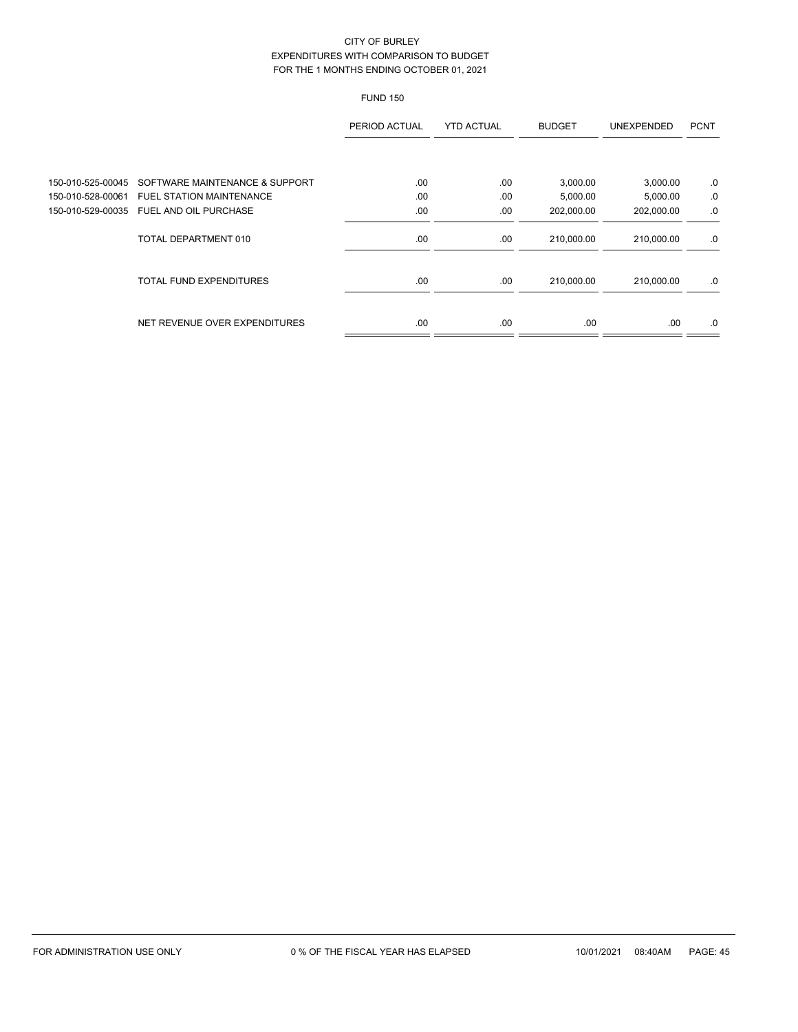# FUND 150

|                   |                                 | PERIOD ACTUAL | <b>YTD ACTUAL</b> | <b>BUDGET</b> | <b>UNEXPENDED</b> | <b>PCNT</b> |
|-------------------|---------------------------------|---------------|-------------------|---------------|-------------------|-------------|
|                   |                                 |               |                   |               |                   |             |
| 150-010-525-00045 | SOFTWARE MAINTENANCE & SUPPORT  | .00           | .00               | 3,000.00      | 3,000.00          | .0          |
| 150-010-528-00061 | <b>FUEL STATION MAINTENANCE</b> | .00           | .00               | 5,000.00      | 5,000.00          | .0          |
| 150-010-529-00035 | FUEL AND OIL PURCHASE           | .00           | .00               | 202,000.00    | 202,000.00        | .0          |
|                   | TOTAL DEPARTMENT 010            | .00           | .00               | 210,000.00    | 210,000.00        | .0          |
|                   | <b>TOTAL FUND EXPENDITURES</b>  | .00           | .00               | 210,000.00    | 210,000.00        | .0          |
|                   | NET REVENUE OVER EXPENDITURES   | .00           | .00               | .00           | .00               | .0          |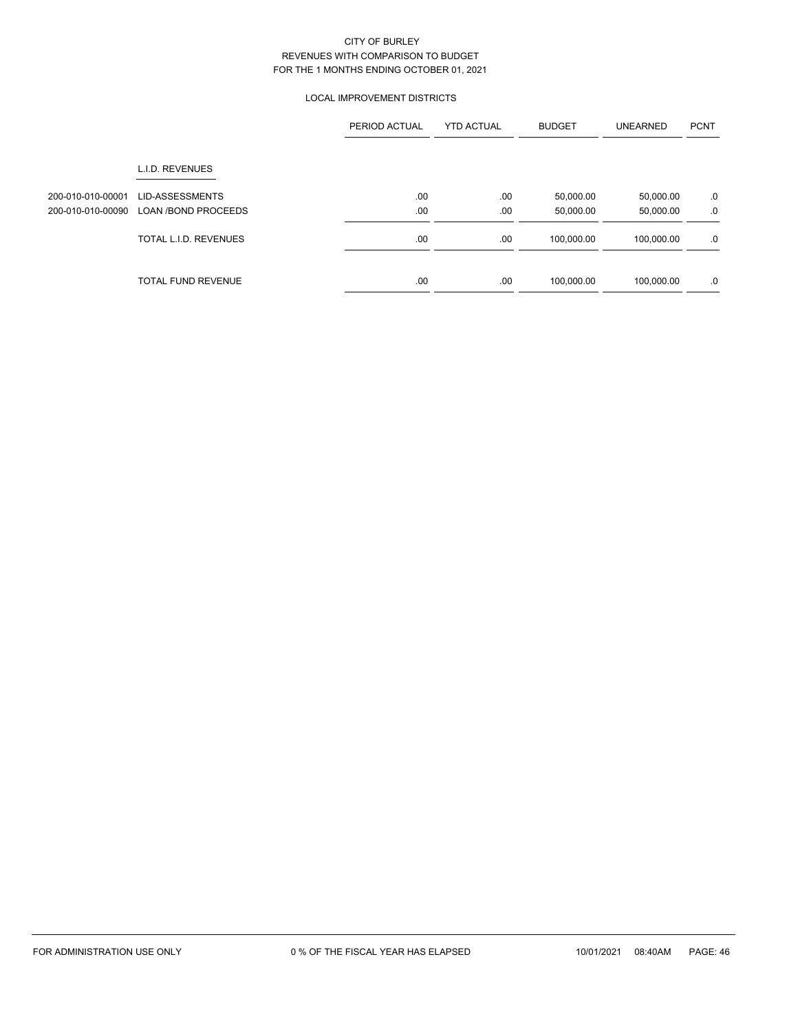# LOCAL IMPROVEMENT DISTRICTS

|                   |                            | PERIOD ACTUAL | <b>YTD ACTUAL</b> | <b>BUDGET</b> | <b>UNEARNED</b> | <b>PCNT</b> |
|-------------------|----------------------------|---------------|-------------------|---------------|-----------------|-------------|
|                   | L.I.D. REVENUES            |               |                   |               |                 |             |
| 200-010-010-00001 | <b>LID-ASSESSMENTS</b>     | .00           | .00               | 50,000.00     | 50,000.00       | .0          |
| 200-010-010-00090 | <b>LOAN /BOND PROCEEDS</b> | .00           | .00               | 50,000.00     | 50,000.00       | .0          |
|                   | TOTAL L.I.D. REVENUES      | .00           | .00               | 100,000.00    | 100,000.00      | .0          |
|                   | <b>TOTAL FUND REVENUE</b>  | .00           | .00.              | 100,000.00    | 100,000.00      | .0          |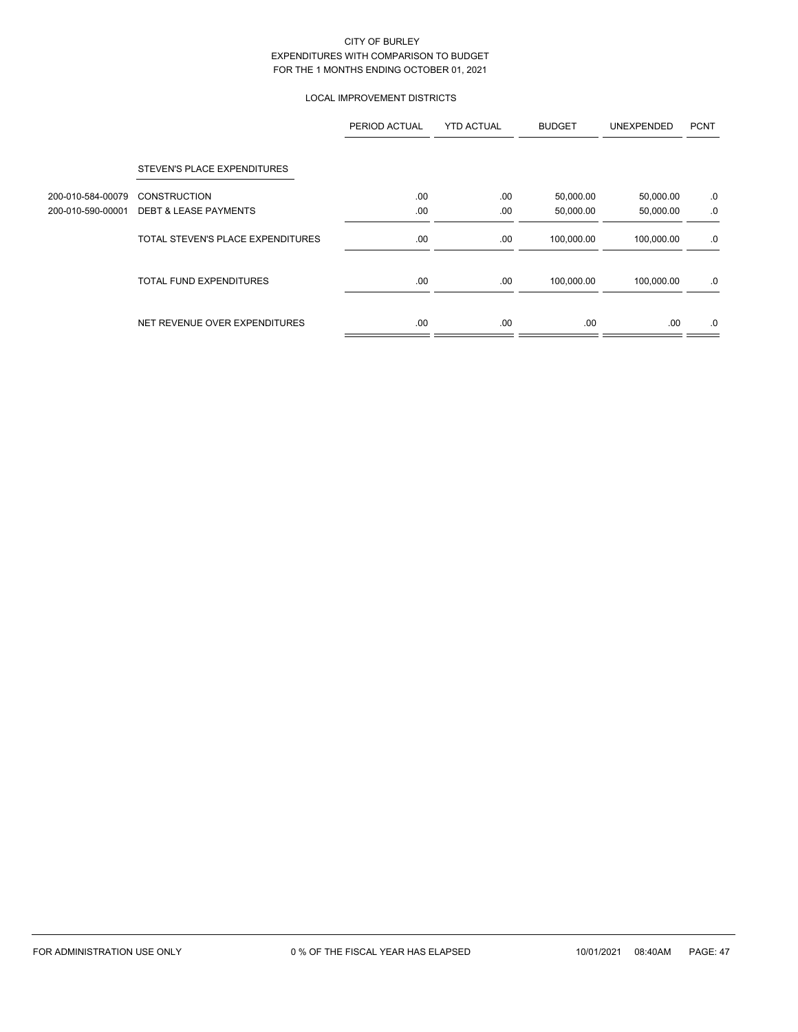## LOCAL IMPROVEMENT DISTRICTS

|                   |                                   | PERIOD ACTUAL | <b>YTD ACTUAL</b> | <b>BUDGET</b> | <b>UNEXPENDED</b> | <b>PCNT</b> |
|-------------------|-----------------------------------|---------------|-------------------|---------------|-------------------|-------------|
|                   | STEVEN'S PLACE EXPENDITURES       |               |                   |               |                   |             |
| 200-010-584-00079 | <b>CONSTRUCTION</b>               | .00           | .00               | 50,000.00     | 50,000.00         | .0          |
| 200-010-590-00001 | <b>DEBT &amp; LEASE PAYMENTS</b>  | .00           | .00               | 50,000.00     | 50,000.00         | .0          |
|                   | TOTAL STEVEN'S PLACE EXPENDITURES | .00           | .00               | 100,000.00    | 100,000.00        | .0          |
|                   | <b>TOTAL FUND EXPENDITURES</b>    | .00           | .00               | 100,000.00    | 100,000.00        | .0          |
|                   | NET REVENUE OVER EXPENDITURES     | .00.          | .00               | .00.          | .00               | .0          |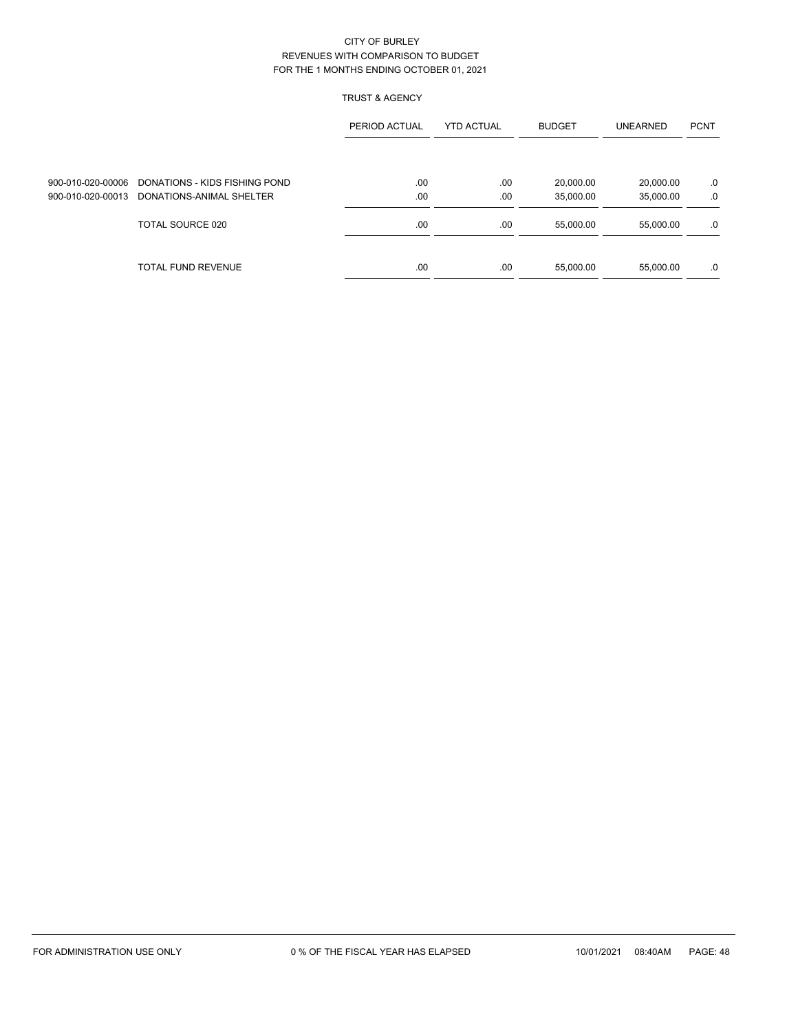# TRUST & AGENCY

|                   |                               | PERIOD ACTUAL | <b>YTD ACTUAL</b> | <b>BUDGET</b> | <b>UNEARNED</b> | <b>PCNT</b> |
|-------------------|-------------------------------|---------------|-------------------|---------------|-----------------|-------------|
|                   |                               |               |                   |               |                 |             |
| 900-010-020-00006 | DONATIONS - KIDS FISHING POND | .00           | .00               | 20,000.00     | 20,000.00       | .0          |
| 900-010-020-00013 | DONATIONS-ANIMAL SHELTER      | .00           | .00               | 35,000.00     | 35,000.00       | .0          |
|                   | TOTAL SOURCE 020              | .00           | .00               | 55,000.00     | 55.000.00       | .0          |
|                   | TOTAL FUND REVENUE            | .00           | .00               | 55,000.00     | 55,000.00       | .0          |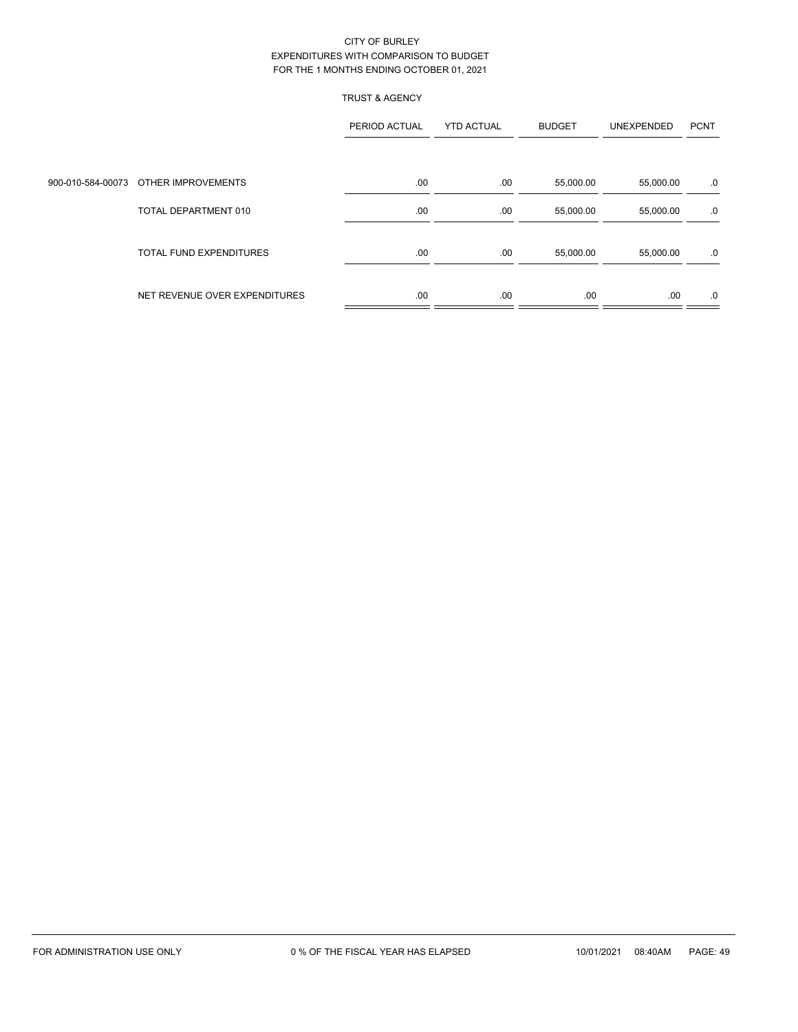## TRUST & AGENCY

|                                      | PERIOD ACTUAL | <b>YTD ACTUAL</b> | <b>BUDGET</b> | UNEXPENDED | <b>PCNT</b> |
|--------------------------------------|---------------|-------------------|---------------|------------|-------------|
|                                      |               |                   |               |            |             |
| 900-010-584-00073 OTHER IMPROVEMENTS | .00           | .00               | 55,000.00     | 55,000.00  | .0          |
| TOTAL DEPARTMENT 010                 | .00           | .00               | 55,000.00     | 55,000.00  | .0          |
| <b>TOTAL FUND EXPENDITURES</b>       | .00           | .00               | 55,000.00     | 55,000.00  | .0          |
| NET REVENUE OVER EXPENDITURES        | .00           | .00               | .00.          | .00        | .0          |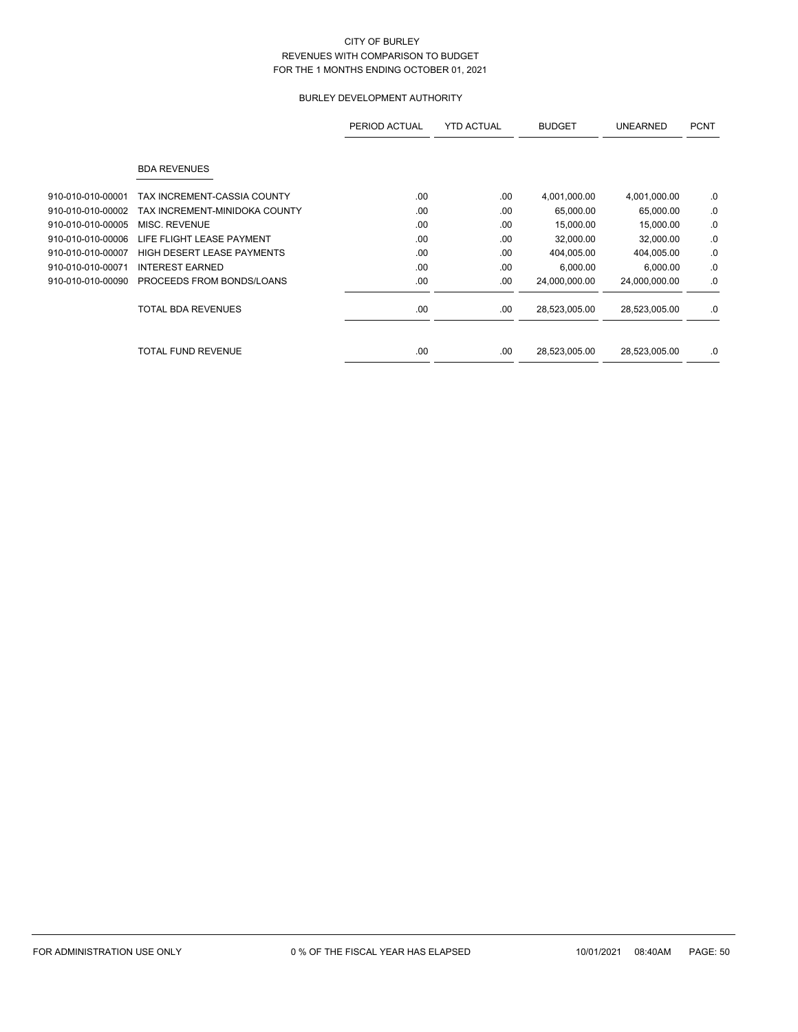# BURLEY DEVELOPMENT AUTHORITY

|                   |                               | PERIOD ACTUAL | <b>YTD ACTUAL</b> | <b>BUDGET</b> | <b>UNEARNED</b> | <b>PCNT</b> |
|-------------------|-------------------------------|---------------|-------------------|---------------|-----------------|-------------|
|                   | <b>BDA REVENUES</b>           |               |                   |               |                 |             |
| 910-010-010-00001 | TAX INCREMENT-CASSIA COUNTY   | .00           | .00               | 4,001,000.00  | 4,001,000.00    | .0          |
| 910-010-010-00002 | TAX INCREMENT-MINIDOKA COUNTY | .00           | .00               | 65,000.00     | 65,000.00       | .0          |
| 910-010-010-00005 | MISC. REVENUE                 | .00.          | .00               | 15,000.00     | 15,000.00       | .0          |
| 910-010-010-00006 | LIFE FLIGHT LEASE PAYMENT     | .00           | .00               | 32,000.00     | 32,000.00       | .0          |
| 910-010-010-00007 | HIGH DESERT LEASE PAYMENTS    | .00           | .00               | 404,005.00    | 404,005.00      | .0          |
| 910-010-010-00071 | <b>INTEREST EARNED</b>        | .00.          | .00               | 6,000.00      | 6,000.00        | .0          |
| 910-010-010-00090 | PROCEEDS FROM BONDS/LOANS     | .00           | .00               | 24,000,000.00 | 24,000,000.00   | .0          |
|                   | <b>TOTAL BDA REVENUES</b>     | .00           | .00               | 28,523,005.00 | 28,523,005.00   | .0          |
|                   | TOTAL FUND REVENUE            | .00.          | .00               | 28,523,005.00 | 28,523,005.00   | .0          |